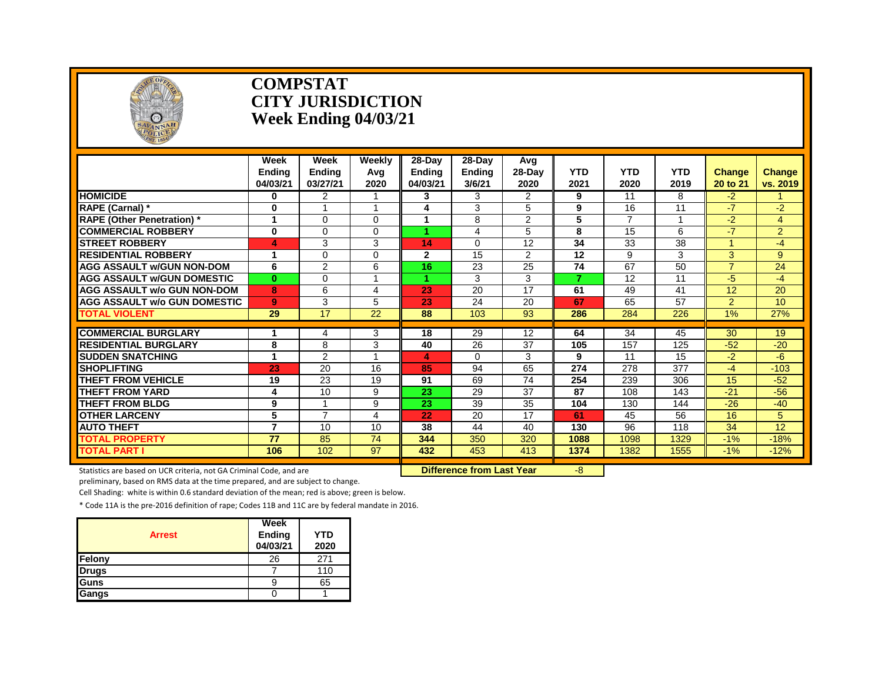

#### **COMPSTAT CITY JURISDICTION Week Ending 04/03/21**

|                                     | Week<br><b>Endina</b><br>04/03/21 | Week<br><b>Ending</b><br>03/27/21 | Weekly<br>Avg<br>2020 | 28-Day<br>Endina<br>04/03/21 | 28-Dav<br><b>Ending</b><br>3/6/21 | Avg<br>28-Dav<br>2020 | <b>YTD</b><br>2021 | <b>YTD</b><br>2020 | <b>YTD</b><br>2019 | <b>Change</b><br>20 to 21 | <b>Change</b><br>vs. 2019 |
|-------------------------------------|-----------------------------------|-----------------------------------|-----------------------|------------------------------|-----------------------------------|-----------------------|--------------------|--------------------|--------------------|---------------------------|---------------------------|
| <b>HOMICIDE</b>                     | $\mathbf{0}$                      | $\overline{2}$                    |                       | 3                            | 3                                 | $\overline{2}$        | 9                  | 11                 | 8                  | $-2$                      | $\blacktriangleleft$      |
| RAPE (Carnal) *                     | 0                                 |                                   | 4                     | 4                            | 3                                 | 5                     | 9                  | 16                 | 11                 | $-7$                      | $-2$                      |
| <b>RAPE (Other Penetration)</b> *   |                                   | $\Omega$                          | $\Omega$              |                              | 8                                 | $\overline{2}$        | 5                  | $\overline{7}$     |                    | $-2$                      | 4                         |
| <b>COMMERCIAL ROBBERY</b>           | $\bf{0}$                          | $\Omega$                          | 0                     |                              | 4                                 | 5                     | 8                  | 15                 | 6                  | $-7$                      | $\overline{2}$            |
| <b>ISTREET ROBBERY</b>              | 4                                 | 3                                 | 3                     | 14                           | $\Omega$                          | 12                    | 34                 | 33                 | 38                 |                           | -4                        |
| <b>RESIDENTIAL ROBBERY</b>          |                                   | $\Omega$                          | 0                     | 2                            | 15                                | 2                     | 12                 | 9                  | 3                  | 3                         | 9                         |
| AGG ASSAULT W/GUN NON-DOM           | 6                                 | $\overline{2}$                    | 6                     | 16                           | 23                                | 25                    | 74                 | 67                 | 50                 | $\overline{7}$            | 24                        |
| <b>AGG ASSAULT W/GUN DOMESTIC</b>   | $\bf{0}$                          | $\Omega$                          | 4                     |                              | 3                                 | 3                     | $\overline{7}$     | 12                 | 11                 | $-5$                      | $-4$                      |
| <b>AGG ASSAULT w/o GUN NON-DOM</b>  | 8                                 | 6                                 | 4                     | 23                           | 20                                | 17                    | 61                 | 49                 | 41                 | 12                        | 20                        |
| <b>AGG ASSAULT w/o GUN DOMESTIC</b> | 9                                 | 3                                 | 5                     | 23                           | 24                                | 20                    | 67                 | 65                 | 57                 | $\overline{2}$            | 10                        |
| <b>TOTAL VIOLENT</b>                | 29                                | $\overline{17}$                   | $\overline{22}$       | 88                           | 103                               | 93                    | 286                | 284                | 226                | 1%                        | 27%                       |
|                                     |                                   |                                   |                       |                              |                                   |                       |                    |                    |                    |                           |                           |
| <b>COMMERCIAL BURGLARY</b>          |                                   | 4                                 | 3                     | 18                           | 29                                | 12                    | 64                 | 34                 | 45                 | 30                        | 19                        |
| <b>RESIDENTIAL BURGLARY</b>         | 8                                 | 8                                 | 3                     | 40                           | 26                                | 37                    | 105                | 157                | 125                | $-52$                     | $-20$                     |
| <b>SUDDEN SNATCHING</b>             | 1                                 | $\overline{2}$                    |                       | 4                            | $\Omega$                          | 3                     | 9                  | 11                 | 15                 | $-2$                      | -6                        |
| <b>SHOPLIFTING</b>                  | 23                                | 20                                | 16                    | 85                           | 94                                | 65                    | $\overline{274}$   | 278                | $\overline{377}$   | $-4$                      | $-103$                    |
| <b>THEFT FROM VEHICLE</b>           | 19                                | 23                                | 19                    | 91                           | 69                                | 74                    | 254                | 239                | 306                | 15                        | $-52$                     |
| <b>THEFT FROM YARD</b>              | 4                                 | 10                                | 9                     | 23                           | 29                                | 37                    | 87                 | 108                | 143                | $-21$                     | $-56$                     |
| <b>THEFT FROM BLDG</b>              | 9                                 |                                   | 9                     | 23                           | 39                                | 35                    | 104                | 130                | 144                | $-26$                     | $-40$                     |
| <b>OTHER LARCENY</b>                | 5                                 | $\overline{7}$                    | 4                     | 22                           | 20                                | 17                    | 61                 | 45                 | 56                 | 16                        | 5                         |
| <b>AUTO THEFT</b>                   | $\overline{7}$                    | 10                                | 10                    | 38                           | 44                                | 40                    | 130                | 96                 | 118                | 34                        | 12                        |
| <b>TOTAL PROPERTY</b>               | 77                                | 85                                | 74                    | 344                          | 350                               | 320                   | 1088               | 1098               | 1329               | $-1%$                     | $-18%$                    |
| <b>TOTAL PART I</b>                 | 106                               | 102                               | 97                    | 432                          | 453                               | 413                   | 1374               | 1382               | 1555               | $-1%$                     | $-12%$                    |

Statistics are based on UCR criteria, not GA Criminal Code, and are **Difference from Last Year** -8

preliminary, based on RMS data at the time prepared, and are subject to change.

Cell Shading: white is within 0.6 standard deviation of the mean; red is above; green is below.

| <b>Arrest</b> | Week<br><b>Ending</b><br>04/03/21 | <b>YTD</b><br>2020 |
|---------------|-----------------------------------|--------------------|
| Felony        | 26                                | 271                |
| <b>Drugs</b>  |                                   | 110                |
| Guns          | 9                                 | 65                 |
| Gangs         |                                   |                    |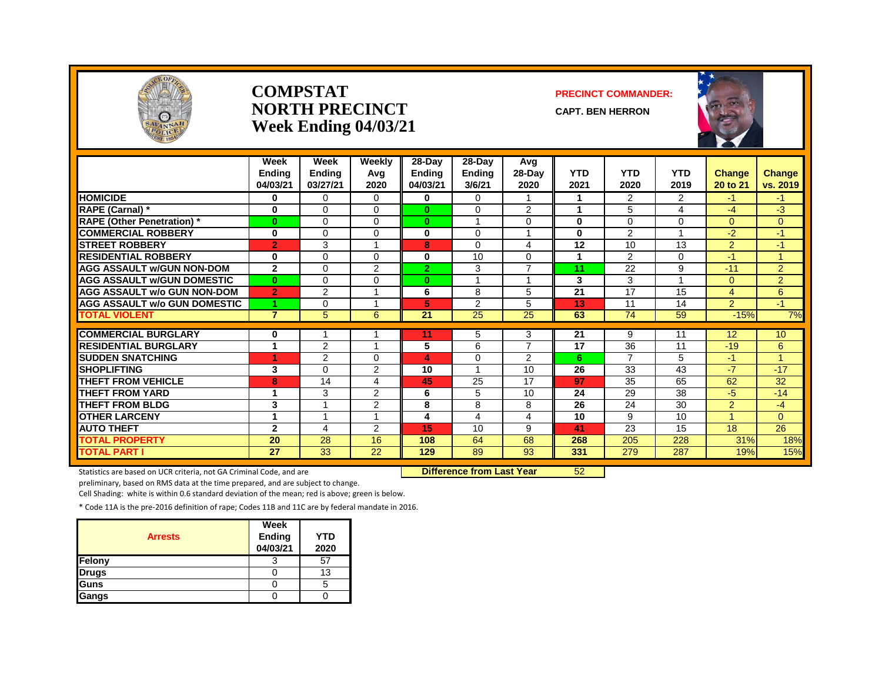

#### **COMPSTAT PRECINCT COMMANDER: NORTH PRECINCT** CAPT. BEN HERRON **Week Ending 04/03/21**





|                                     | Week<br><b>Ending</b><br>04/03/21 | Week<br><b>Ending</b><br>03/27/21 | Weekly<br>Avg<br>2020 | $28-Dav$<br><b>Ending</b><br>04/03/21 | 28-Day<br><b>Ending</b><br>3/6/21 | Avg<br>28-Day<br>2020   | <b>YTD</b><br>2021 | <b>YTD</b><br>2020   | <b>YTD</b><br>2019 | <b>Change</b><br>20 to 21 | Change<br>vs. 2019        |
|-------------------------------------|-----------------------------------|-----------------------------------|-----------------------|---------------------------------------|-----------------------------------|-------------------------|--------------------|----------------------|--------------------|---------------------------|---------------------------|
| <b>HOMICIDE</b>                     | 0                                 | $\Omega$                          | $\Omega$              | 0                                     | $\Omega$                          |                         | 1                  | $\overline{2}$       | $\overline{2}$     | $-1$                      | $-1$                      |
| RAPE (Carnal) *                     | $\bf{0}$                          | $\Omega$                          | 0                     | $\bf{0}$                              | 0                                 | 2                       | 1                  | 5                    | 4                  | -4                        | -3                        |
| <b>RAPE (Other Penetration)</b> *   | $\bf{0}$                          | 0                                 | 0                     | $\bf{0}$                              |                                   | 0                       | $\bf{0}$           | 0                    | 0                  | $\overline{0}$            | $\overline{0}$            |
| <b>COMMERCIAL ROBBERY</b>           | $\bf{0}$                          | $\Omega$                          | $\Omega$              | 0                                     | 0                                 |                         | $\bf{0}$           | $\overline{2}$       |                    | $-2$                      | $-1$                      |
| <b>STREET ROBBERY</b>               | $\overline{2}$                    | 3                                 |                       | 8                                     | 0                                 | $\overline{4}$          | 12                 | 10                   | 13                 | $\overline{2}$            | $-1$                      |
| <b>RESIDENTIAL ROBBERY</b>          | $\bf{0}$                          | $\Omega$                          | 0                     | 0                                     | 10                                | $\Omega$                | 1                  | $\overline{2}$       | $\Omega$           | $-1$                      | $\blacktriangleleft$      |
| <b>AGG ASSAULT w/GUN NON-DOM</b>    | $\mathbf{2}$                      | $\Omega$                          | 2                     | 2 <sup>1</sup>                        | 3                                 | $\overline{7}$          | 11                 | 22                   | 9                  | $-11$                     | $\overline{2}$            |
| <b>AGG ASSAULT w/GUN DOMESTIC</b>   | $\bf{0}$                          | $\Omega$                          | 0                     | $\bf{0}$                              | 1                                 | $\overline{\mathbf{A}}$ | 3                  | 3                    |                    | $\mathbf{0}$              | $\overline{2}$            |
| <b>AGG ASSAULT w/o GUN NON-DOM</b>  | $\overline{2}$                    | $\overline{2}$                    |                       | 6                                     | 8                                 | 5                       | 21                 | 17                   | 15                 | 4                         | 6                         |
| <b>AGG ASSAULT w/o GUN DOMESTIC</b> |                                   | 0                                 |                       | 5                                     | 2                                 | 5                       | 13                 | 11                   | 14                 | 2                         | $-1$                      |
| <b>TOTAL VIOLENT</b>                | $\overline{7}$                    | 5                                 | 6                     | 21                                    | 25                                | 25                      | 63                 | 74                   | 59                 | $-15%$                    | 7%                        |
| <b>COMMERCIAL BURGLARY</b>          |                                   |                                   |                       |                                       |                                   | 3                       | 21                 |                      | 11                 | 12                        | 10 <sup>°</sup>           |
| <b>RESIDENTIAL BURGLARY</b>         | 0<br>1                            |                                   |                       | 11                                    | 5                                 | $\overline{7}$          |                    | 9                    |                    |                           |                           |
|                                     |                                   | 2                                 |                       | 5                                     | 6                                 |                         | 17                 | 36<br>$\overline{ }$ | 11                 | $-19$                     | 6<br>$\blacktriangleleft$ |
| <b>SUDDEN SNATCHING</b>             | 4                                 | $\overline{2}$                    | 0                     | 4                                     | 0<br>1                            | 2                       | 6                  |                      | 5                  | $-1$                      |                           |
| <b>SHOPLIFTING</b>                  | 3                                 | $\Omega$                          | 2                     | 10                                    |                                   | 10                      | 26                 | 33                   | 43                 | $-7$                      | $-17$                     |
| <b>THEFT FROM VEHICLE</b>           | 8                                 | 14                                | 4                     | 45                                    | 25                                | 17                      | 97                 | 35                   | 65                 | 62                        | 32                        |
| <b>THEFT FROM YARD</b>              | 1                                 | 3<br>и                            | 2                     | 6                                     | 5                                 | 10                      | 24                 | 29                   | 38                 | $-5$                      | $-14$                     |
| <b>THEFT FROM BLDG</b>              | 3                                 |                                   | 2                     | 8                                     | 8                                 | 8                       | 26                 | 24                   | 30                 | $\overline{2}$            | $-4$                      |
| <b>OTHER LARCENY</b>                | 1                                 |                                   |                       | 4                                     | 4                                 | 4                       | 10                 | 9                    | 10                 | $\overline{A}$            | $\Omega$                  |
| <b>AUTO THEFT</b>                   | $\mathbf{2}$                      | 4                                 | 2                     | 15                                    | 10                                | 9                       | 41                 | 23                   | 15                 | 18                        | 26                        |
| <b>TOTAL PROPERTY</b>               | 20                                | 28                                | 16                    | 108                                   | 64                                | 68                      | 268                | 205                  | 228                | 31%                       | 18%                       |
| <b>TOTAL PART I</b>                 | 27                                | 33                                | 22                    | 129                                   | 89                                | 93                      | 331                | 279                  | 287                | 19%                       | 15%                       |

Statistics are based on UCR criteria, not GA Criminal Code, and are **Difference from Last Year** 52

preliminary, based on RMS data at the time prepared, and are subject to change.

Cell Shading: white is within 0.6 standard deviation of the mean; red is above; green is below.

| <b>Arrests</b> | Week<br>Ending<br>04/03/21 | YTD<br>2020 |
|----------------|----------------------------|-------------|
| Felony         |                            | 57          |
| <b>Drugs</b>   |                            | 13          |
| Guns           |                            |             |
| Gangs          |                            |             |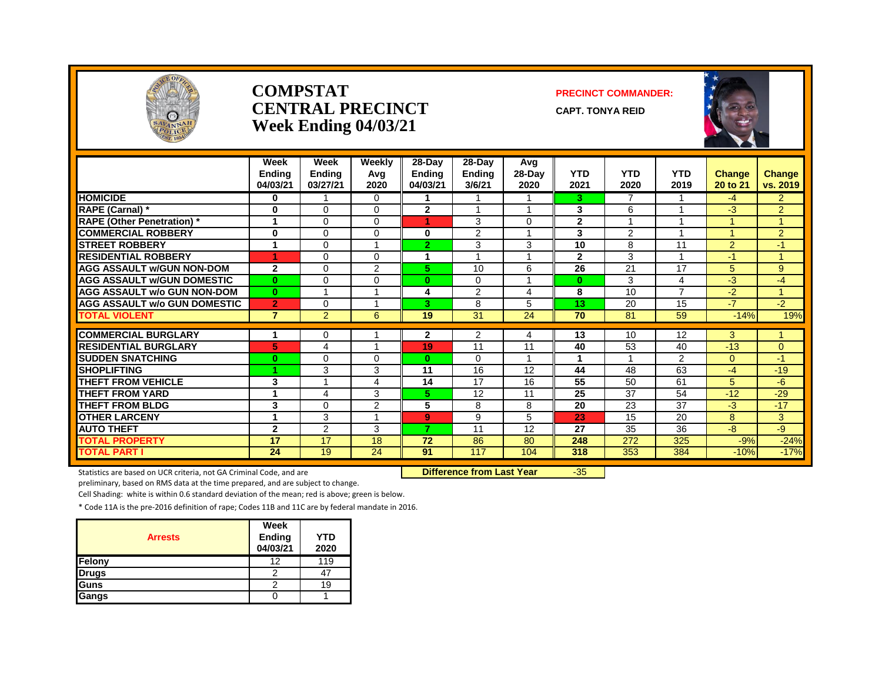

#### **COMPSTAT PRECINCT COMMANDER: CENTRAL PRECINCT** CAPT. TONYA REID **Week Ending 04/03/21**



|                                                           | Week<br><b>Endina</b><br>04/03/21 | Week<br>Endina<br>03/27/21 | Weekly<br>Avg<br>2020 | $28-Day$<br><b>Ending</b><br>04/03/21 | 28-Day<br><b>Ending</b><br>3/6/21 | Avg<br>$28-Dav$<br>2020 | <b>YTD</b><br>2021 | <b>YTD</b><br>2020 | <b>YTD</b><br>2019 | Change<br>20 to 21 | <b>Change</b><br>vs. 2019 |
|-----------------------------------------------------------|-----------------------------------|----------------------------|-----------------------|---------------------------------------|-----------------------------------|-------------------------|--------------------|--------------------|--------------------|--------------------|---------------------------|
| <b>HOMICIDE</b>                                           | 0                                 |                            | 0                     |                                       |                                   |                         | 3.                 | 7                  |                    | $-4$               | $\overline{2}$            |
| RAPE (Carnal) *                                           | 0                                 | $\Omega$                   | 0                     | $\mathbf{2}$                          |                                   |                         | 3                  | 6                  |                    | -3                 | $\overline{2}$            |
| <b>RAPE (Other Penetration)</b> *                         |                                   | $\Omega$                   | 0                     |                                       | 3                                 | 0                       | $\mathbf{2}$       |                    |                    |                    |                           |
| <b>COMMERCIAL ROBBERY</b>                                 | 0                                 | $\Omega$                   | 0                     | 0                                     | 2                                 |                         | $\overline{3}$     | 2                  |                    |                    | $\overline{2}$            |
| <b>STREET ROBBERY</b>                                     | 1                                 | $\Omega$                   |                       | $\overline{2}$                        | 3                                 | 3                       | 10                 | 8                  | 11                 | 2                  | $-1$                      |
| <b>RESIDENTIAL ROBBERY</b>                                | 1                                 | $\Omega$                   | 0                     | 1                                     | 1                                 | 1                       | $\overline{2}$     | 3                  | $\overline{ }$     | $-1$               | $\overline{1}$            |
| <b>AGG ASSAULT W/GUN NON-DOM</b>                          | $\mathbf{2}$                      | $\Omega$                   | 2                     | 5.                                    | 10                                | 6                       | 26                 | 21                 | 17                 | 5                  | 9                         |
| <b>AGG ASSAULT w/GUN DOMESTIC</b>                         | $\bf{0}$                          | $\Omega$                   | 0                     | $\bf{0}$                              | $\Omega$                          | 1                       | $\bf{0}$           | 3                  | 4                  | -3                 | -4                        |
| <b>AGG ASSAULT w/o GUN NON-DOM</b>                        | $\mathbf{0}$                      |                            |                       | 4                                     | 2                                 | 4                       | 8                  | 10                 | 7                  | $-2$               |                           |
| <b>AGG ASSAULT w/o GUN DOMESTIC</b>                       | $\overline{2}$                    | $\Omega$                   |                       | 3                                     | 8                                 | 5                       | 13                 | 20                 | 15                 | $-7$               | $-2$                      |
| <b>TOTAL VIOLENT</b>                                      | $\overline{7}$                    | $\overline{2}$             | 6                     | 19                                    | 31                                | 24                      | 70                 | 81                 | 59                 | $-14%$             | 19%                       |
|                                                           |                                   |                            |                       |                                       |                                   |                         |                    |                    |                    |                    |                           |
| <b>COMMERCIAL BURGLARY</b><br><b>RESIDENTIAL BURGLARY</b> |                                   | $\Omega$                   |                       | $\mathbf{2}$                          | 2                                 | 4                       | 13                 | 10                 | 12                 | 3<br>$-13$         |                           |
|                                                           | 5                                 | 4                          |                       | 19                                    | 11                                | 11                      | 40                 | 53                 | 40                 |                    | $\Omega$                  |
| <b>SUDDEN SNATCHING</b>                                   | $\bf{0}$                          | $\Omega$                   | 0                     | $\bf{0}$                              | $\Omega$                          |                         |                    |                    | $\overline{2}$     | $\Omega$           | $-1$                      |
| <b>SHOPLIFTING</b>                                        |                                   | 3                          | 3                     | 11                                    | 16                                | 12                      | 44                 | 48                 | 63                 | $-4$               | $-19$                     |
| <b>THEFT FROM VEHICLE</b>                                 | 3<br>1                            |                            | 4                     | 14                                    | 17                                | 16                      | 55                 | 50                 | 61                 | 5                  | -6                        |
| <b>THEFT FROM YARD</b>                                    |                                   | 4                          | 3                     | 5.                                    | 12                                | 11                      | 25                 | 37                 | 54                 | $-12$              | $-29$                     |
| <b>THEFT FROM BLDG</b>                                    | 3                                 | $\Omega$                   | 2                     | 5                                     | 8                                 | 8                       | 20                 | 23                 | 37                 | $-3$               | $-17$                     |
| <b>OTHER LARCENY</b>                                      | 1                                 | 3                          |                       | 9                                     | 9                                 | 5                       | 23                 | 15                 | 20                 | 8                  | 3                         |
| <b>AUTO THEFT</b>                                         | $\mathbf{2}$                      | 2                          | 3                     | 7                                     | 11                                | 12                      | 27                 | 35                 | 36                 | -8                 | $-9$                      |
| <b>TOTAL PROPERTY</b>                                     | 17                                | 17                         | 18                    | 72                                    | 86                                | 80                      | 248                | 272                | 325                | $-9%$              | $-24%$                    |
| <b>TOTAL PART I</b>                                       | 24                                | 19                         | 24                    | 91                                    | 117                               | 104                     | 318                | 353                | 384                | $-10%$             | $-17%$                    |

Statistics are based on UCR criteria, not GA Criminal Code, and are **Difference from Last Year** -35

preliminary, based on RMS data at the time prepared, and are subject to change.

Cell Shading: white is within 0.6 standard deviation of the mean; red is above; green is below.

| <b>Arrests</b> | Week<br><b>Ending</b><br>04/03/21 | <b>YTD</b><br>2020 |
|----------------|-----------------------------------|--------------------|
| Felony         | 12                                | 119                |
| <b>Drugs</b>   | 2                                 |                    |
| Guns           |                                   | 19                 |
| Gangs          |                                   |                    |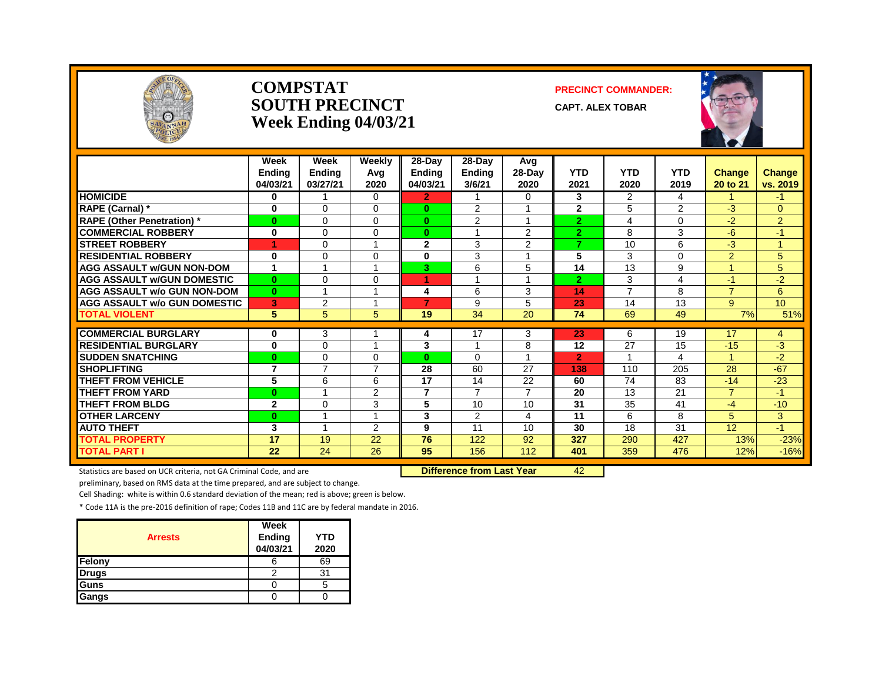

#### **COMPSTAT PRECINCT COMMANDER: SOUTH PRECINCT CAPT. ALEX TOBAR Week Ending 04/03/21**



|                                     | Week<br><b>Ending</b><br>04/03/21 | Week<br><b>Ending</b><br>03/27/21 | Weekly<br>Avg<br>2020                | 28-Day<br><b>Ending</b><br>04/03/21 | 28-Day<br><b>Ending</b><br>3/6/21 | Avg<br>28-Day<br>2020 | <b>YTD</b><br>2021 | <b>YTD</b><br>2020 | <b>YTD</b><br>2019 | <b>Change</b><br>20 to 21 | Change<br>vs. 2019 |
|-------------------------------------|-----------------------------------|-----------------------------------|--------------------------------------|-------------------------------------|-----------------------------------|-----------------------|--------------------|--------------------|--------------------|---------------------------|--------------------|
| <b>HOMICIDE</b>                     | 0                                 |                                   | $\Omega$                             | $\mathbf{2}$                        |                                   | $\Omega$              | 3                  | 2                  | 4                  |                           | -1                 |
| <b>RAPE (Carnal) *</b>              | $\bf{0}$                          | $\Omega$                          | $\Omega$                             | $\bf{0}$                            | 2                                 |                       | $\overline{2}$     | 5                  | 2                  | $-3$                      | $\overline{0}$     |
| <b>RAPE (Other Penetration)</b> *   | 0                                 | $\Omega$                          | $\Omega$                             | $\bf{0}$                            | 2                                 |                       | $\overline{2}$     | 4                  | $\Omega$           | $-2$                      | 2 <sup>1</sup>     |
| <b>COMMERCIAL ROBBERY</b>           | 0                                 | $\Omega$                          | $\Omega$                             | $\bf{0}$                            |                                   | 2                     | $\overline{2}$     | 8                  | 3                  | $-6$                      | $-1$               |
| <b>STREET ROBBERY</b>               |                                   | $\Omega$                          |                                      | $\mathbf{2}$                        | 3                                 | 2                     | 7                  | 10                 | 6                  | $-3$                      |                    |
| <b>RESIDENTIAL ROBBERY</b>          | 0                                 | $\Omega$                          | $\Omega$                             | 0                                   | 3                                 |                       | 5                  | 3                  | 0                  | $\overline{2}$            | 5                  |
| <b>AGG ASSAULT w/GUN NON-DOM</b>    | 1                                 |                                   |                                      | 3                                   | 6                                 | 5                     | 14                 | 13                 | 9                  |                           | 5                  |
| <b>AGG ASSAULT W/GUN DOMESTIC</b>   | $\bf{0}$                          | $\Omega$                          | $\Omega$                             | 4.                                  | $\overline{A}$                    | $\overline{A}$        | $\overline{2}$     | 3                  | 4                  | $-1$                      | $-2$               |
| <b>AGG ASSAULT w/o GUN NON-DOM</b>  | $\bf{0}$                          |                                   |                                      | 4                                   | 6                                 | 3                     | 14                 | $\overline{7}$     | 8                  | $\overline{7}$            | 6                  |
| <b>AGG ASSAULT w/o GUN DOMESTIC</b> | 3                                 | 2                                 |                                      | 7                                   | 9                                 | 5                     | 23                 | 14                 | 13                 | 9                         | 10 <sup>°</sup>    |
| <b>TOTAL VIOLENT</b>                | 5                                 | 5                                 | 5                                    | 19                                  | 34                                | $\overline{20}$       | 74                 | 69                 | 49                 | 7%                        | 51%                |
|                                     |                                   |                                   |                                      |                                     |                                   |                       |                    |                    |                    |                           |                    |
| <b>COMMERCIAL BURGLARY</b>          | 0                                 | 3                                 |                                      | 4                                   | 17                                | 3                     | 23                 | 6                  | 19                 | 17                        | 4                  |
| <b>RESIDENTIAL BURGLARY</b>         | 0                                 | $\Omega$                          |                                      | 3                                   |                                   | 8                     | 12                 | 27                 | 15                 | $-15$                     | $-3$               |
| <b>SUDDEN SNATCHING</b>             | 0                                 | $\Omega$                          | $\Omega$<br>$\overline{\phantom{a}}$ | $\mathbf{0}$                        | $\Omega$                          |                       | $\overline{2}$     |                    | 4                  |                           | $-2$               |
| <b>SHOPLIFTING</b>                  | 7                                 | $\overline{7}$                    |                                      | 28                                  | 60                                | 27                    | 138                | 110                | 205                | 28                        | $-67$              |
| <b>THEFT FROM VEHICLE</b>           | 5                                 | 6                                 | 6                                    | 17                                  | 14                                | 22                    | 60                 | 74                 | 83                 | $-14$                     | $-23$              |
| <b>THEFT FROM YARD</b>              | $\bf{0}$                          |                                   | 2                                    | $\overline{7}$                      | $\overline{7}$                    | $\overline{7}$        | 20                 | 13                 | 21                 | $\overline{7}$            | $-1$               |
| <b>THEFT FROM BLDG</b>              | $\mathbf{2}$                      | $\Omega$                          | 3                                    | 5                                   | 10                                | 10                    | 31                 | 35                 | 41                 | $-4$                      | $-10$              |
| <b>OTHER LARCENY</b>                | 0                                 |                                   |                                      | 3                                   | 2                                 | 4                     | 11                 | 6                  | 8                  | 5                         | 3                  |
| <b>AUTO THEFT</b>                   | 3                                 |                                   | $\overline{2}$                       | 9                                   | 11                                | 10                    | 30                 | 18                 | 31                 | 12                        | $-1$               |
| <b>TOTAL PROPERTY</b>               | 17                                | 19                                | 22                                   | 76                                  | 122                               | 92                    | 327                | 290                | 427                | 13%                       | $-23%$             |
| <b>TOTAL PART I</b>                 | 22                                | 24                                | 26                                   | 95                                  | 156                               | 112                   | 401                | 359                | 476                | 12%                       | $-16%$             |

Statistics are based on UCR criteria, not GA Criminal Code, and are **Difference from Last Year** 42

preliminary, based on RMS data at the time prepared, and are subject to change.

Cell Shading: white is within 0.6 standard deviation of the mean; red is above; green is below.

| <b>Arrests</b> | Week<br>Ending<br>04/03/21 | <b>YTD</b><br>2020 |
|----------------|----------------------------|--------------------|
| Felony         | n                          | 69                 |
| <b>Drugs</b>   |                            | 31                 |
| Guns           |                            |                    |
| Gangs          |                            |                    |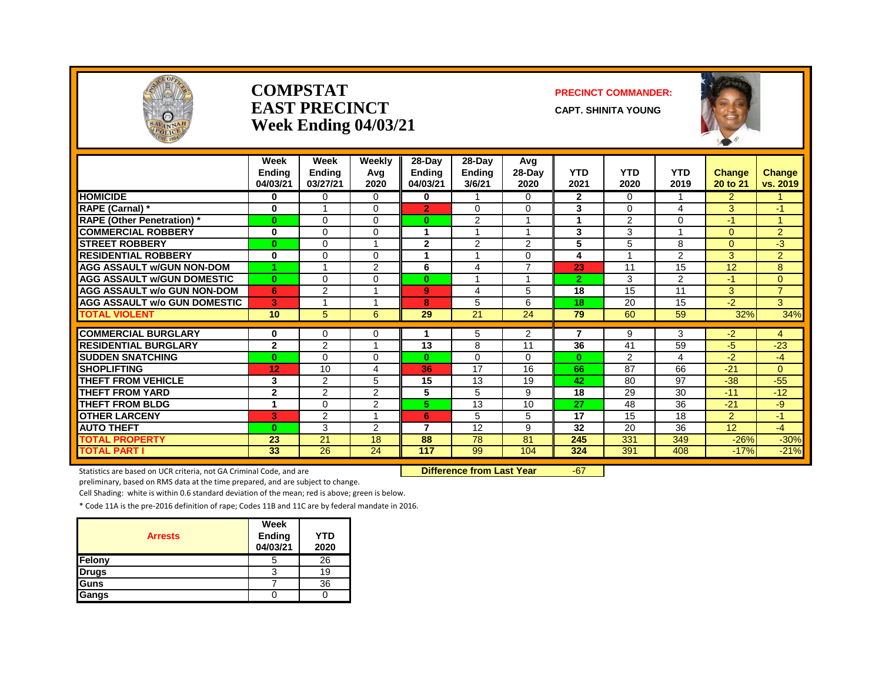

#### **COMPSTAT PRECINCT COMMANDER: EAST PRECINCT CAPT.** SHINITA YOUNG **Week Ending 04/03/21**



|                                     | Week<br><b>Ending</b><br>04/03/21 | Week<br><b>Ending</b><br>03/27/21 | Weekly<br>Avg<br>2020 | 28-Day<br><b>Ending</b><br>04/03/21 | 28-Day<br><b>Ending</b><br>3/6/21 | Avg<br>$28-Day$<br>2020 | <b>YTD</b><br>2021 | <b>YTD</b><br>2020 | <b>YTD</b><br>2019 | Change<br>20 to 21 | Change<br>vs. 2019 |
|-------------------------------------|-----------------------------------|-----------------------------------|-----------------------|-------------------------------------|-----------------------------------|-------------------------|--------------------|--------------------|--------------------|--------------------|--------------------|
| <b>HOMICIDE</b>                     | 0                                 | $\Omega$                          | 0                     | 0                                   |                                   | 0                       | $\mathbf{2}$       | $\Omega$           | 1                  | $\overline{2}$     |                    |
| RAPE (Carnal) *                     | $\bf{0}$                          |                                   | $\Omega$              | $\overline{2}$                      | $\Omega$                          | $\Omega$                | 3                  | $\Omega$           | 4                  | 3                  | $-1$               |
| <b>RAPE (Other Penetration) *</b>   | $\bf{0}$                          | $\Omega$                          | 0                     | $\bf{0}$                            | 2                                 | -1                      | 1                  | 2                  | $\Omega$           | $-1$               | 4                  |
| <b>COMMERCIAL ROBBERY</b>           | $\bf{0}$                          | $\Omega$                          | $\Omega$              |                                     |                                   |                         | 3                  | 3                  |                    | $\Omega$           | $\overline{2}$     |
| <b>STREET ROBBERY</b>               | $\bf{0}$                          | $\Omega$                          |                       | $\mathbf{2}$                        | 2                                 | $\overline{2}$          | 5                  | 5                  | 8                  | $\Omega$           | $-3$               |
| <b>RESIDENTIAL ROBBERY</b>          | $\bf{0}$                          | $\Omega$                          | $\Omega$              |                                     |                                   | 0                       | 4                  |                    | $\overline{2}$     | 3                  | $\overline{2}$     |
| <b>AGG ASSAULT w/GUN NON-DOM</b>    | 1                                 | $\overline{A}$                    | 2                     | 6                                   | 4                                 | $\overline{7}$          | 23                 | 11                 | 15                 | 12                 | 8                  |
| <b>AGG ASSAULT w/GUN DOMESTIC</b>   | $\bf{0}$                          | $\Omega$                          | $\Omega$              | $\bf{0}$                            |                                   | $\overline{A}$          | $\overline{2}$     | 3                  | $\overline{2}$     | $-1$               | 0                  |
| <b>AGG ASSAULT w/o GUN NON-DOM</b>  | 6                                 | $\overline{2}$                    |                       | 9                                   | 4                                 | 5                       | 18                 | 15                 | 11                 | 3                  | $\overline{7}$     |
| <b>AGG ASSAULT w/o GUN DOMESTIC</b> | 3                                 |                                   |                       | 8                                   | 5                                 | 6                       | 18                 | 20                 | 15                 | $-2$               | 3                  |
| <b>TOTAL VIOLENT</b>                | 10 <sup>°</sup>                   | 5                                 | 6                     | 29                                  | 21                                | 24                      | 79                 | 60                 | 59                 | 32%                | 34%                |
|                                     |                                   |                                   |                       |                                     |                                   |                         | 7                  |                    |                    |                    |                    |
| <b>COMMERCIAL BURGLARY</b>          | 0                                 | $\Omega$                          | 0                     |                                     | 5                                 | $\overline{2}$          |                    | 9                  | 3                  | $-2$               | 4                  |
| <b>RESIDENTIAL BURGLARY</b>         | $\mathbf{2}$                      | 2                                 |                       | 13                                  | 8                                 | 11                      | 36                 | 41                 | 59                 | $-5$               | $-23$              |
| <b>SUDDEN SNATCHING</b>             | $\bf{0}$                          | $\Omega$                          | $\Omega$              | $\bf{0}$                            | $\Omega$                          | $\Omega$                | $\mathbf{0}$       | 2                  | 4                  | $-2$               | $-4$               |
| <b>SHOPLIFTING</b>                  | 12                                | 10                                | 4                     | 36                                  | $\overline{17}$                   | 16                      | 66                 | 87                 | 66                 | $-21$              | $\Omega$           |
| <b>THEFT FROM VEHICLE</b>           | 3                                 | 2                                 | 5                     | 15                                  | 13                                | 19                      | 42                 | 80                 | 97                 | $-38$              | $-55$              |
| <b>THEFT FROM YARD</b>              | $\mathbf{2}$                      | 2                                 | $\overline{2}$        | 5                                   | 5                                 | 9                       | 18                 | 29                 | 30                 | $-11$              | $-12$              |
| <b>THEFT FROM BLDG</b>              | 1                                 | $\Omega$                          | 2                     | 5.                                  | 13                                | 10                      | 27                 | 48                 | 36                 | $-21$              | $-9$               |
| <b>OTHER LARCENY</b>                | 3                                 | $\overline{2}$                    |                       | 6                                   | 5                                 | 5                       | 17                 | 15                 | 18                 | $\overline{2}$     | $\bullet$          |
| <b>AUTO THEFT</b>                   | $\bf{0}$                          | 3                                 | 2                     | 7                                   | 12                                | 9                       | 32                 | 20                 | 36                 | 12                 | $-4$               |
| <b>TOTAL PROPERTY</b>               | 23                                | 21                                | 18                    | 88                                  | 78                                | 81                      | 245                | 331                | 349                | $-26%$             | $-30%$             |
| <b>TOTAL PART I</b>                 | 33                                | 26                                | 24                    | 117                                 | 99                                | 104                     | 324                | 391                | 408                | $-17%$             | $-21%$             |

Statistics are based on UCR criteria, not GA Criminal Code, and are **Difference from Last Year** -67

preliminary, based on RMS data at the time prepared, and are subject to change.

Cell Shading: white is within 0.6 standard deviation of the mean; red is above; green is below.

| <b>Arrests</b> | Week<br>Ending<br>04/03/21 | YTD<br>2020 |
|----------------|----------------------------|-------------|
| Felony         | 5                          | 26          |
| <b>Drugs</b>   |                            | 19          |
| Guns           |                            | 36          |
| Gangs          |                            |             |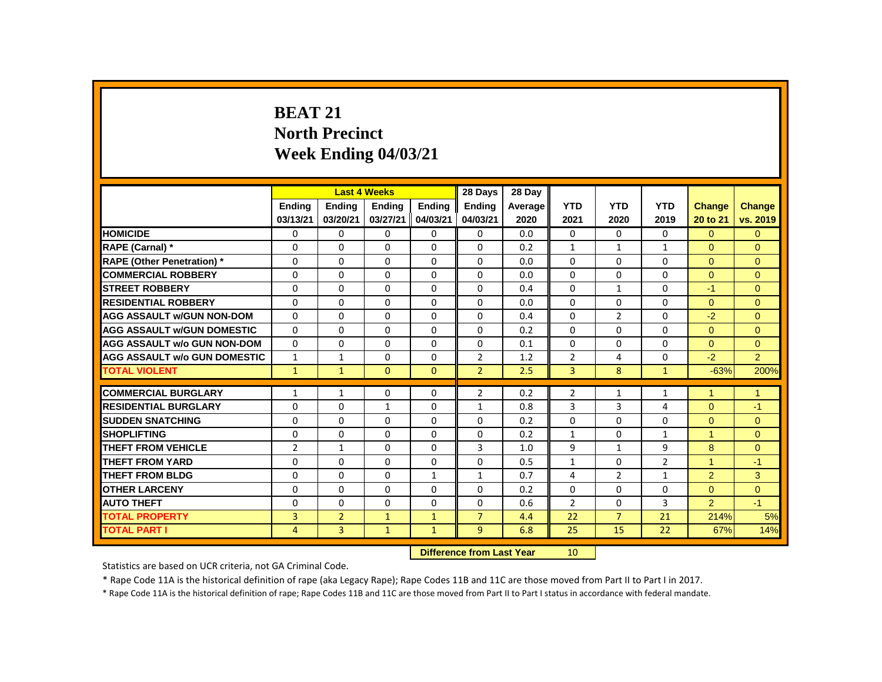# **BEAT 21 North Precinct Week Ending 04/03/21**

|                                     |                |                | <b>Last 4 Weeks</b>       |              | 28 Days         | 28 Day  |                |                |                |                      |                |
|-------------------------------------|----------------|----------------|---------------------------|--------------|-----------------|---------|----------------|----------------|----------------|----------------------|----------------|
|                                     | Ending         | <b>Ending</b>  | <b>Ending</b>             | Ending       | Ending          | Average | <b>YTD</b>     | <b>YTD</b>     | <b>YTD</b>     | Change               | <b>Change</b>  |
|                                     | 03/13/21       | 03/20/21       | 03/27/21                  | 04/03/21     | 04/03/21        | 2020    | 2021           | 2020           | 2019           | 20 to 21             | vs. 2019       |
| <b>HOMICIDE</b>                     | 0              | 0              | 0                         | 0            | 0               | 0.0     | 0              | 0              | 0              | $\Omega$             | $\overline{0}$ |
| RAPE (Carnal) *                     | 0              | $\Omega$       | $\Omega$                  | 0            | 0               | 0.2     | $\mathbf{1}$   | $\mathbf{1}$   | $\mathbf{1}$   | $\Omega$             | $\Omega$       |
| <b>RAPE (Other Penetration) *</b>   | $\Omega$       | $\Omega$       | $\Omega$                  | $\Omega$     | $\Omega$        | 0.0     | $\Omega$       | $\Omega$       | $\Omega$       | $\Omega$             | $\Omega$       |
| <b>COMMERCIAL ROBBERY</b>           | $\Omega$       | $\Omega$       | $\Omega$                  | $\Omega$     | $\Omega$        | 0.0     | $\Omega$       | $\Omega$       | $\Omega$       | $\Omega$             | $\Omega$       |
| <b>STREET ROBBERY</b>               | 0              | $\Omega$       | $\Omega$                  | $\Omega$     | $\Omega$        | 0.4     | $\Omega$       | $\mathbf{1}$   | $\Omega$       | $-1$                 | $\Omega$       |
| <b>RESIDENTIAL ROBBERY</b>          | $\Omega$       | $\Omega$       | $\Omega$                  | $\Omega$     | $\Omega$        | 0.0     | $\Omega$       | $\Omega$       | $\Omega$       | $\Omega$             | $\Omega$       |
| <b>AGG ASSAULT W/GUN NON-DOM</b>    | $\Omega$       | $\Omega$       | $\Omega$                  | $\Omega$     | $\Omega$        | 0.4     | $\Omega$       | $\overline{2}$ | $\Omega$       | $-2$                 | $\Omega$       |
| <b>AGG ASSAULT W/GUN DOMESTIC</b>   | $\Omega$       | 0              | $\Omega$                  | $\Omega$     | 0               | 0.2     | 0              | $\Omega$       | $\Omega$       | $\overline{0}$       | $\overline{0}$ |
| <b>AGG ASSAULT w/o GUN NON-DOM</b>  | $\Omega$       | 0              | 0                         | 0            | 0               | 0.1     | 0              | 0              | 0              | $\Omega$             | $\mathbf{0}$   |
| <b>AGG ASSAULT W/o GUN DOMESTIC</b> | $\mathbf{1}$   | $\mathbf{1}$   | $\Omega$                  | $\Omega$     | $\overline{2}$  | 1.2     | $\overline{2}$ | 4              | $\Omega$       | $-2$                 | $\overline{2}$ |
| <b>TOTAL VIOLENT</b>                | $\mathbf{1}$   | $\mathbf{1}$   | $\mathbf{0}$              | $\mathbf{0}$ | $\overline{2}$  | 2.5     | $\overline{3}$ | 8              | $\mathbf{1}$   | $-63%$               | 200%           |
| <b>COMMERCIAL BURGLARY</b>          | $\mathbf{1}$   | $\mathbf{1}$   | 0                         | 0            | $\overline{2}$  | 0.2     | $\overline{2}$ | $\mathbf{1}$   | $\mathbf{1}$   | 1                    | $\mathbf{1}$   |
| <b>RESIDENTIAL BURGLARY</b>         | 0              | 0              | 1                         | 0            | $\mathbf{1}$    | 0.8     | 3              | 3              | 4              | $\Omega$             | $-1$           |
| <b>SUDDEN SNATCHING</b>             | $\Omega$       | $\Omega$       | $\Omega$                  | $\Omega$     | $\Omega$        | 0.2     | $\Omega$       | $\Omega$       | $\Omega$       | $\Omega$             | $\Omega$       |
| <b>SHOPLIFTING</b>                  | $\Omega$       | $\Omega$       | $\Omega$                  | $\Omega$     | $\Omega$        | 0.2     | $\mathbf{1}$   | $\Omega$       | $\mathbf{1}$   | $\blacktriangleleft$ | $\Omega$       |
| <b>THEFT FROM VEHICLE</b>           | $\overline{2}$ | $\mathbf{1}$   | $\Omega$                  | $\Omega$     | 3               | 1.0     | 9              | $\mathbf{1}$   | 9              | 8                    | $\Omega$       |
| <b>THEFT FROM YARD</b>              | $\Omega$       | $\Omega$       | $\Omega$                  | $\Omega$     | $\Omega$        | 0.5     | $\mathbf{1}$   | $\Omega$       | $\overline{2}$ | 1                    | $-1$           |
| <b>THEFT FROM BLDG</b>              | 0              | $\Omega$       | $\Omega$                  | $\mathbf{1}$ | $\mathbf{1}$    | 0.7     | $\overline{4}$ | $\overline{2}$ | $\mathbf{1}$   | 2                    | 3              |
| <b>OTHER LARCENY</b>                | $\Omega$       | $\Omega$       | $\Omega$                  | $\Omega$     | $\Omega$        | 0.2     | $\Omega$       | $\Omega$       | $\Omega$       | $\overline{0}$       | $\overline{0}$ |
| <b>AUTO THEFT</b>                   | 0              | $\Omega$       | $\Omega$                  | $\Omega$     | $\Omega$        | 0.6     | $\overline{2}$ | $\Omega$       | 3              | $\overline{2}$       | $-1$           |
| <b>TOTAL PROPERTY</b>               | 3              | $\overline{2}$ | 1                         | $\mathbf{1}$ | $\overline{7}$  | 4.4     | 22             | $\overline{7}$ | 21             | 214%                 | 5%             |
| <b>TOTAL PART I</b>                 | 4              | 3              | $\mathbf{1}$              | $\mathbf{1}$ | 9               | 6.8     | 25             | 15             | 22             | 67%                  | 14%            |
|                                     |                |                | Difference from Last Vear |              | 10 <sup>1</sup> |         |                |                |                |                      |                |

**Difference from Last Year** 

Statistics are based on UCR criteria, not GA Criminal Code.

\* Rape Code 11A is the historical definition of rape (aka Legacy Rape); Rape Codes 11B and 11C are those moved from Part II to Part I in 2017.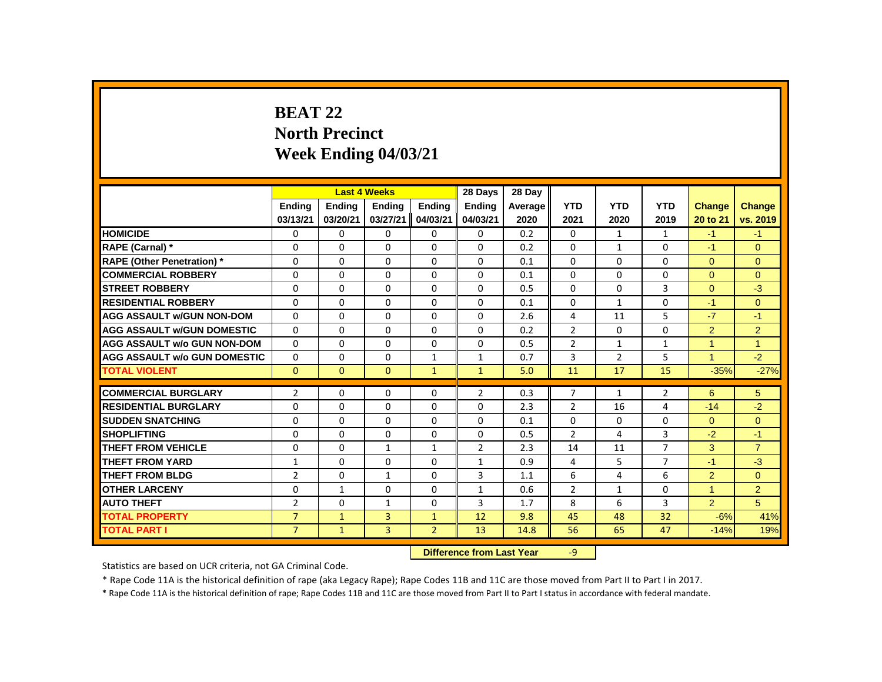# **BEAT 22 North Precinct Week Ending 04/03/21**

|                                     |                |                           | <b>Last 4 Weeks</b> |                | 28 Days        | 28 Day  |                |                |                |                      |                |
|-------------------------------------|----------------|---------------------------|---------------------|----------------|----------------|---------|----------------|----------------|----------------|----------------------|----------------|
|                                     | Ending         | Ending                    | Ending              | Ending         | Ending         | Average | <b>YTD</b>     | <b>YTD</b>     | <b>YTD</b>     | <b>Change</b>        | Change         |
|                                     | 03/13/21       | 03/20/21                  | 03/27/21            | 04/03/21       | 04/03/21       | 2020    | 2021           | 2020           | 2019           | 20 to 21             | vs. 2019       |
| <b>HOMICIDE</b>                     | 0              | 0                         | $\mathbf{0}$        | $\mathbf{0}$   | 0              | 0.2     | $\mathbf{0}$   | $\mathbf{1}$   | $\mathbf{1}$   | $-1$                 | $-1$           |
| RAPE (Carnal) *                     | 0              | $\Omega$                  | $\Omega$            | $\Omega$       | $\Omega$       | 0.2     | 0              | $\mathbf{1}$   | $\Omega$       | $-1$                 | $\Omega$       |
| <b>RAPE (Other Penetration) *</b>   | 0              | 0                         | 0                   | $\mathbf 0$    | $\Omega$       | 0.1     | $\Omega$       | $\Omega$       | $\Omega$       | $\mathbf{0}$         | $\mathbf{0}$   |
| <b>COMMERCIAL ROBBERY</b>           | $\Omega$       | $\Omega$                  | $\Omega$            | $\Omega$       | $\Omega$       | 0.1     | $\Omega$       | $\Omega$       | $\Omega$       | $\Omega$             | $\Omega$       |
| <b>STREET ROBBERY</b>               | 0              | $\Omega$                  | $\Omega$            | $\Omega$       | $\Omega$       | 0.5     | 0              | $\Omega$       | 3              | $\overline{0}$       | $-3$           |
| <b>RESIDENTIAL ROBBERY</b>          | $\Omega$       | $\Omega$                  | $\Omega$            | $\Omega$       | $\Omega$       | 0.1     | 0              | $\mathbf{1}$   | $\Omega$       | $-1$                 | $\Omega$       |
| <b>AGG ASSAULT W/GUN NON-DOM</b>    | $\Omega$       | $\Omega$                  | $\Omega$            | $\Omega$       | $\Omega$       | 2.6     | 4              | 11             | 5              | $-7$                 | $-1$           |
| <b>AGG ASSAULT w/GUN DOMESTIC</b>   | $\Omega$       | $\Omega$                  | $\Omega$            | $\Omega$       | $\Omega$       | 0.2     | $\overline{2}$ | $\Omega$       | $\Omega$       | $\overline{2}$       | $\overline{2}$ |
| <b>AGG ASSAULT w/o GUN NON-DOM</b>  | 0              | 0                         | 0                   | 0              | 0              | 0.5     | $\overline{2}$ | $\mathbf{1}$   | $\mathbf{1}$   | $\mathbf{1}$         | $\mathbf{1}$   |
| <b>AGG ASSAULT W/o GUN DOMESTIC</b> | $\Omega$       | $\Omega$                  | $\Omega$            | $\mathbf{1}$   | $\mathbf{1}$   | 0.7     | 3              | $\overline{2}$ | 5              | $\blacktriangleleft$ | $-2$           |
| <b>TOTAL VIOLENT</b>                | $\Omega$       | $\Omega$                  | $\Omega$            | $\mathbf{1}$   | $\mathbf{1}$   | 5.0     | 11             | 17             | 15             | $-35%$               | $-27%$         |
| <b>COMMERCIAL BURGLARY</b>          | $\overline{2}$ | 0                         | 0                   | $\mathbf 0$    | $\overline{2}$ | 0.3     | $\overline{7}$ | $\mathbf{1}$   | $\overline{2}$ | 6                    | 5              |
| <b>RESIDENTIAL BURGLARY</b>         | $\Omega$       | $\Omega$                  | $\Omega$            | $\Omega$       | $\Omega$       | 2.3     | $\overline{2}$ | 16             | $\overline{4}$ | $-14$                | $-2$           |
| <b>SUDDEN SNATCHING</b>             | 0              | $\Omega$                  | $\Omega$            | $\Omega$       | $\Omega$       | 0.1     | $\Omega$       | $\mathbf 0$    | $\Omega$       | $\overline{0}$       | $\overline{0}$ |
| <b>SHOPLIFTING</b>                  | $\Omega$       | $\Omega$                  | $\Omega$            | $\Omega$       | $\Omega$       | 0.5     | $\overline{2}$ | 4              | $\overline{3}$ | $-2$                 | $-1$           |
| <b>THEFT FROM VEHICLE</b>           | 0              | 0                         | $\mathbf{1}$        | $\mathbf{1}$   | $\overline{2}$ | 2.3     | 14             | 11             | $\overline{7}$ | 3                    | $\overline{7}$ |
| <b>THEFT FROM YARD</b>              | $\mathbf{1}$   | $\Omega$                  | $\Omega$            | $\Omega$       | $\mathbf{1}$   | 0.9     | 4              | 5              | $\overline{7}$ | $-1$                 | $-3$           |
| <b>THEFT FROM BLDG</b>              | $\overline{2}$ | $\Omega$                  | $\mathbf{1}$        | $\Omega$       | 3              | 1.1     | 6              | 4              | 6              | 2                    | $\mathbf{0}$   |
| <b>OTHER LARCENY</b>                | 0              | $\mathbf{1}$              | $\Omega$            | $\Omega$       | $\mathbf{1}$   | 0.6     | $\overline{2}$ | $\mathbf{1}$   | $\Omega$       | $\mathbf{1}$         | $\overline{2}$ |
| <b>AUTO THEFT</b>                   | $\overline{2}$ | 0                         | $\mathbf{1}$        | 0              | 3              | 1.7     | 8              | 6              | 3              | $\overline{2}$       | 5              |
| <b>TOTAL PROPERTY</b>               | $\overline{7}$ | $\mathbf{1}$              | 3                   | $\mathbf{1}$   | 12             | 9.8     | 45             | 48             | 32             | $-6%$                | 41%            |
| <b>TOTAL PART I</b>                 | $\overline{7}$ | $\mathbf{1}$              | 3                   | $\overline{2}$ | 13             | 14.8    | 56             | 65             | 47             | $-14%$               | 19%            |
|                                     |                | Difference from Last Year |                     | $Q_{-}$        |                |         |                |                |                |                      |                |

 **Difference from Last Year** -9

Statistics are based on UCR criteria, not GA Criminal Code.

\* Rape Code 11A is the historical definition of rape (aka Legacy Rape); Rape Codes 11B and 11C are those moved from Part II to Part I in 2017.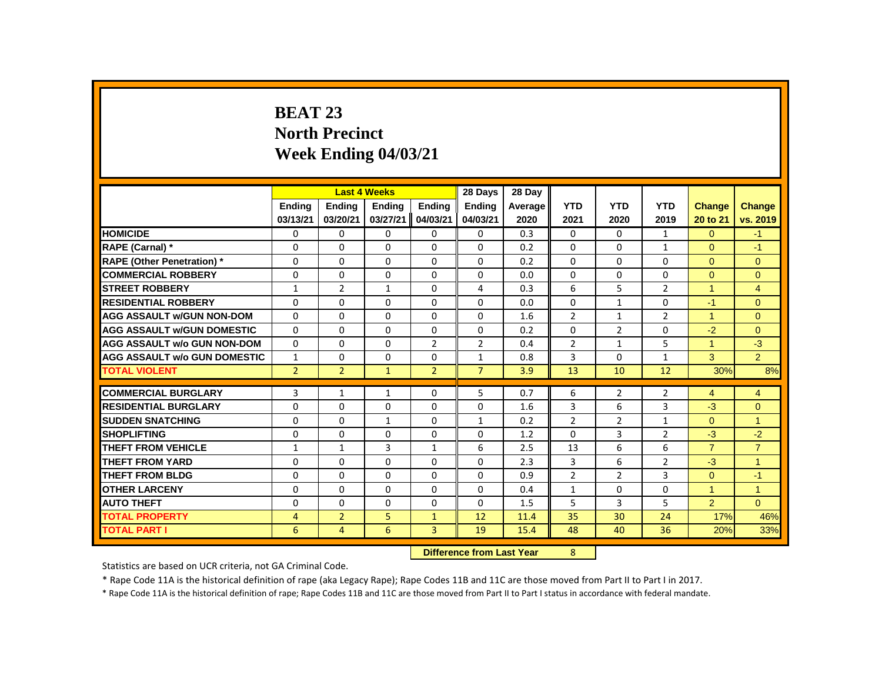# **BEAT 23 North Precinct Week Ending 04/03/21**

|                                     |                |                | <b>Last 4 Weeks</b> |                                       | 28 Days        | 28 Day  |                |                |                |                      |                |
|-------------------------------------|----------------|----------------|---------------------|---------------------------------------|----------------|---------|----------------|----------------|----------------|----------------------|----------------|
|                                     | <b>Ending</b>  | <b>Ending</b>  | <b>Ending</b>       | <b>Ending</b>                         | <b>Ending</b>  | Average | <b>YTD</b>     | <b>YTD</b>     | <b>YTD</b>     | <b>Change</b>        | Change         |
|                                     | 03/13/21       | 03/20/21       | 03/27/21            | 04/03/21                              | 04/03/21       | 2020    | 2021           | 2020           | 2019           | 20 to 21             | vs. 2019       |
| <b>HOMICIDE</b>                     | 0              | 0              | 0                   | 0                                     | 0              | 0.3     | $\mathbf{0}$   | 0              | $\mathbf{1}$   | $\overline{0}$       | $-1$           |
| RAPE (Carnal) *                     | 0              | 0              | 0                   | $\mathbf{0}$                          | 0              | 0.2     | $\Omega$       | $\mathbf{0}$   | $\mathbf{1}$   | $\Omega$             | $-1$           |
| <b>RAPE (Other Penetration)</b> *   | $\Omega$       | $\Omega$       | $\Omega$            | $\Omega$                              | $\Omega$       | 0.2     | $\Omega$       | $\Omega$       | $\Omega$       | $\Omega$             | $\Omega$       |
| <b>COMMERCIAL ROBBERY</b>           | 0              | 0              | 0                   | $\mathbf{0}$                          | 0              | 0.0     | $\mathbf{0}$   | $\mathbf{0}$   | 0              | $\Omega$             | $\Omega$       |
| <b>STREET ROBBERY</b>               | $\mathbf{1}$   | 2              | $\mathbf{1}$        | $\mathbf{0}$                          | 4              | 0.3     | 6              | 5              | $\overline{2}$ | $\overline{1}$       | $\overline{4}$ |
| <b>RESIDENTIAL ROBBERY</b>          | $\Omega$       | $\Omega$       | $\Omega$            | $\Omega$                              | $\Omega$       | 0.0     | $\Omega$       | $\mathbf{1}$   | $\Omega$       | $-1$                 | $\Omega$       |
| <b>AGG ASSAULT W/GUN NON-DOM</b>    | $\Omega$       | $\Omega$       | $\Omega$            | $\Omega$                              | $\Omega$       | 1.6     | $\overline{2}$ | $\mathbf{1}$   | $\overline{2}$ | $\blacktriangleleft$ | $\Omega$       |
| <b>AGG ASSAULT W/GUN DOMESTIC</b>   | $\Omega$       | $\Omega$       | $\Omega$            | $\Omega$                              | $\Omega$       | 0.2     | 0              | $\overline{2}$ | 0              | $-2$                 | $\Omega$       |
| <b>AGG ASSAULT w/o GUN NON-DOM</b>  | $\Omega$       | 0              | $\Omega$            | $\overline{2}$                        | $\overline{2}$ | 0.4     | $\overline{2}$ | $\mathbf{1}$   | 5              | $\overline{1}$       | $-3$           |
| <b>AGG ASSAULT W/o GUN DOMESTIC</b> | $\mathbf{1}$   | 0              | $\Omega$            | $\Omega$                              | $\mathbf{1}$   | 0.8     | 3              | $\Omega$       | $\mathbf{1}$   | 3                    | $\overline{2}$ |
| <b>TOTAL VIOLENT</b>                | $\overline{2}$ | $\overline{2}$ | $\mathbf{1}$        | $\overline{2}$                        | $\overline{7}$ | 3.9     | 13             | 10             | 12             | 30%                  | 8%             |
| <b>COMMERCIAL BURGLARY</b>          | 3              | $\mathbf{1}$   | $\mathbf{1}$        | $\mathbf{0}$                          | 5              | 0.7     | 6              | $\overline{2}$ | $\overline{2}$ | $\overline{4}$       | $\overline{4}$ |
| <b>RESIDENTIAL BURGLARY</b>         | 0              | $\Omega$       | $\Omega$            | $\Omega$                              | $\Omega$       | 1.6     | 3              | 6              | $\overline{3}$ | $-3$                 | $\mathbf{0}$   |
| <b>SUDDEN SNATCHING</b>             | $\Omega$       | $\Omega$       | $\mathbf{1}$        | $\Omega$                              | $\mathbf{1}$   | 0.2     | $\overline{2}$ | $\overline{2}$ | $\mathbf{1}$   | $\Omega$             | $\overline{1}$ |
| <b>SHOPLIFTING</b>                  | 0              | 0              | $\mathbf{0}$        | 0                                     | 0              | 1.2     | $\mathbf{0}$   | 3              | $\overline{2}$ | $-3$                 | $-2$           |
| <b>THEFT FROM VEHICLE</b>           | $\mathbf{1}$   | $\mathbf{1}$   | 3                   | $\mathbf{1}$                          | 6              | 2.5     | 13             | 6              | 6              | $\overline{7}$       | $\overline{7}$ |
| <b>THEFT FROM YARD</b>              | 0              | $\Omega$       | $\Omega$            | $\Omega$                              | $\Omega$       | 2.3     | 3              | 6              | $\overline{2}$ | $-3$                 | $\mathbf{1}$   |
| <b>THEFT FROM BLDG</b>              | 0              | $\Omega$       | $\Omega$            | $\Omega$                              | $\Omega$       | 0.9     | $\overline{2}$ | $\overline{2}$ | 3              | $\Omega$             | $-1$           |
| <b>OTHER LARCENY</b>                | 0              | $\Omega$       | $\Omega$            | $\Omega$                              | $\Omega$       | 0.4     | $\mathbf{1}$   | $\mathbf{0}$   | 0              | $\blacktriangleleft$ | $\overline{1}$ |
| <b>AUTO THEFT</b>                   | 0              | $\Omega$       | $\Omega$            | $\Omega$                              | $\Omega$       | 1.5     | 5              | 3              | 5              | $\overline{2}$       | $\Omega$       |
| <b>TOTAL PROPERTY</b>               | $\overline{4}$ | $\overline{2}$ | 5                   | $\mathbf{1}$                          | 12             | 11.4    | 35             | 30             | 24             | 17%                  | 46%            |
| <b>TOTAL PART I</b>                 | 6              | $\overline{4}$ | 6                   | 3                                     | 19             | 15.4    | 48             | 40             | 36             | 20%                  | 33%            |
|                                     |                |                |                     | 8<br><b>Difference from Last Year</b> |                |         |                |                |                |                      |                |

Statistics are based on UCR criteria, not GA Criminal Code.

\* Rape Code 11A is the historical definition of rape (aka Legacy Rape); Rape Codes 11B and 11C are those moved from Part II to Part I in 2017.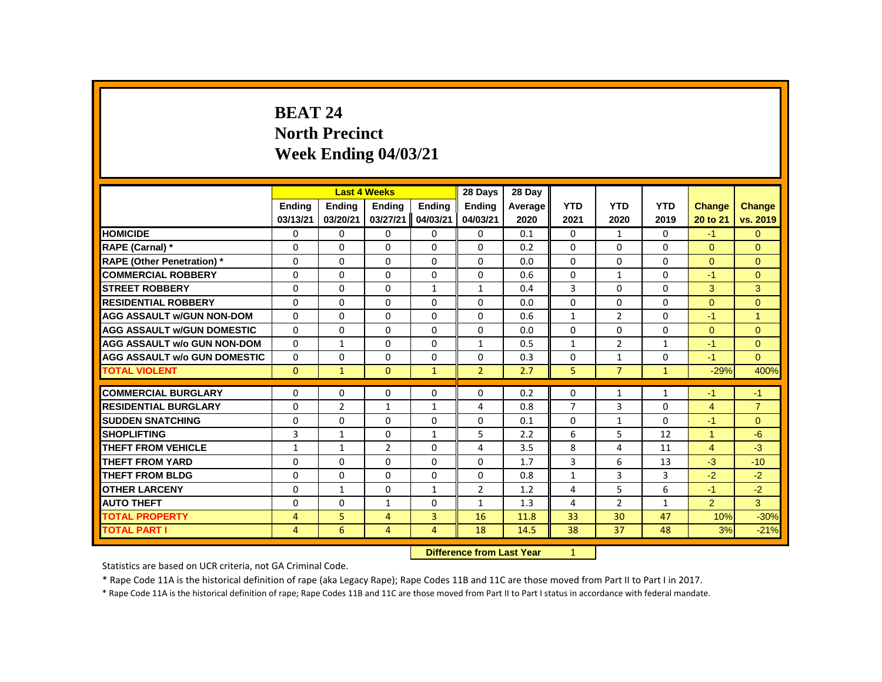# **BEAT 24 North Precinct Week Ending 04/03/21**

|                                     |                |                | <b>Last 4 Weeks</b> |                | 28 Days                   | 28 Day  |                |                |              |                |                |
|-------------------------------------|----------------|----------------|---------------------|----------------|---------------------------|---------|----------------|----------------|--------------|----------------|----------------|
|                                     | Ending         | <b>Ending</b>  | <b>Ending</b>       | Ending         | <b>Ending</b>             | Average | <b>YTD</b>     | <b>YTD</b>     | <b>YTD</b>   | <b>Change</b>  | Change         |
|                                     | 03/13/21       | 03/20/21       | 03/27/21            | 04/03/21       | 04/03/21                  | 2020    | 2021           | 2020           | 2019         | 20 to 21       | vs. 2019       |
| <b>HOMICIDE</b>                     | 0              | 0              | 0                   | 0              | 0                         | 0.1     | $\mathbf{0}$   | $\mathbf{1}$   | $\mathbf{0}$ | $-1$           | $\mathbf{0}$   |
| RAPE (Carnal) *                     | $\Omega$       | $\Omega$       | $\Omega$            | $\Omega$       | $\Omega$                  | 0.2     | 0              | $\Omega$       | $\Omega$     | $\Omega$       | $\Omega$       |
| <b>RAPE (Other Penetration) *</b>   | $\Omega$       | $\Omega$       | $\Omega$            | $\Omega$       | $\Omega$                  | 0.0     | $\Omega$       | $\Omega$       | $\Omega$     | $\Omega$       | $\Omega$       |
| <b>COMMERCIAL ROBBERY</b>           | $\Omega$       | $\Omega$       | $\Omega$            | $\Omega$       | $\Omega$                  | 0.6     | $\Omega$       | $\mathbf{1}$   | $\Omega$     | $-1$           | $\mathbf{0}$   |
| <b>STREET ROBBERY</b>               | $\Omega$       | $\Omega$       | $\Omega$            | $\mathbf{1}$   | $\mathbf{1}$              | 0.4     | 3              | $\Omega$       | $\Omega$     | 3              | 3              |
| <b>RESIDENTIAL ROBBERY</b>          | 0              | 0              | $\Omega$            | $\Omega$       | 0                         | 0.0     | $\Omega$       | $\mathbf{0}$   | 0            | $\Omega$       | $\mathbf{0}$   |
| <b>AGG ASSAULT W/GUN NON-DOM</b>    | $\Omega$       | $\Omega$       | $\Omega$            | $\Omega$       | 0                         | 0.6     | $\mathbf{1}$   | $\overline{2}$ | $\Omega$     | $-1$           | $\overline{1}$ |
| <b>AGG ASSAULT W/GUN DOMESTIC</b>   | $\Omega$       | 0              | $\Omega$            | $\Omega$       | 0                         | 0.0     | $\mathbf 0$    | $\Omega$       | $\Omega$     | $\overline{0}$ | $\overline{0}$ |
| <b>AGG ASSAULT w/o GUN NON-DOM</b>  | $\Omega$       | $\mathbf{1}$   | $\Omega$            | $\Omega$       | $\mathbf{1}$              | 0.5     | $\mathbf{1}$   | $\overline{2}$ | $\mathbf{1}$ | $-1$           | $\Omega$       |
| <b>AGG ASSAULT W/o GUN DOMESTIC</b> | $\Omega$       | $\Omega$       | $\Omega$            | $\Omega$       | $\Omega$                  | 0.3     | 0              | $\mathbf{1}$   | $\Omega$     | $-1$           | $\Omega$       |
| <b>TOTAL VIOLENT</b>                | $\Omega$       | $\mathbf{1}$   | $\Omega$            | $\mathbf{1}$   | $\overline{2}$            | 2.7     | 5              | $\overline{7}$ | $\mathbf{1}$ | $-29%$         | 400%           |
| <b>COMMERCIAL BURGLARY</b>          | $\Omega$       | $\Omega$       | $\Omega$            | $\Omega$       | $\Omega$                  | 0.2     | 0              | $\mathbf{1}$   | $\mathbf{1}$ | $-1$           | $-1$           |
| <b>RESIDENTIAL BURGLARY</b>         | 0              | $\overline{2}$ | $\mathbf{1}$        | $\mathbf{1}$   | 4                         | 0.8     | $\overline{7}$ | 3              | 0            | $\overline{4}$ | $\overline{7}$ |
| <b>SUDDEN SNATCHING</b>             | 0              | 0              | $\Omega$            | 0              | 0                         | 0.1     | 0              | $\mathbf{1}$   | $\Omega$     | $-1$           | $\mathbf{0}$   |
| <b>SHOPLIFTING</b>                  | 3              | $\mathbf{1}$   | $\Omega$            | $\mathbf{1}$   | 5                         | 2.2     | 6              | 5              | 12           | $\mathbf{1}$   | $-6$           |
| <b>THEFT FROM VEHICLE</b>           | $\mathbf{1}$   | $\mathbf{1}$   | $\overline{2}$      | $\Omega$       | 4                         | 3.5     | 8              | 4              | 11           | $\overline{4}$ | $-3$           |
| <b>THEFT FROM YARD</b>              | $\Omega$       | $\Omega$       | $\Omega$            | $\Omega$       | $\Omega$                  | 1.7     | 3              | 6              | 13           | $-3$           | $-10$          |
| <b>THEFT FROM BLDG</b>              | $\Omega$       | $\Omega$       | $\Omega$            | $\Omega$       | $\Omega$                  | 0.8     | $\mathbf{1}$   | $\overline{3}$ | 3            | $-2$           | $-2$           |
| <b>OTHER LARCENY</b>                | 0              | $\mathbf{1}$   | 0                   | $\mathbf{1}$   | $\overline{2}$            | 1.2     | 4              | 5              | 6            | $-1$           | $-2$           |
| <b>AUTO THEFT</b>                   | $\Omega$       | $\Omega$       | $\mathbf{1}$        | $\Omega$       | $\mathbf{1}$              | 1.3     | 4              | $\overline{2}$ | $\mathbf{1}$ | $\overline{2}$ | 3 <sup>1</sup> |
| <b>TOTAL PROPERTY</b>               | $\overline{4}$ | 5              | $\overline{4}$      | 3              | 16                        | 11.8    | 33             | 30             | 47           | 10%            | $-30%$         |
| <b>TOTAL PART I</b>                 | $\overline{4}$ | 6              | $\overline{4}$      | $\overline{4}$ | 18                        | 14.5    | 38             | 37             | 48           | 3%             | $-21%$         |
|                                     |                |                |                     |                | Difference from Last Vear |         | $1 -$          |                |              |                |                |

**Difference from Last Year** 

Statistics are based on UCR criteria, not GA Criminal Code.

\* Rape Code 11A is the historical definition of rape (aka Legacy Rape); Rape Codes 11B and 11C are those moved from Part II to Part I in 2017.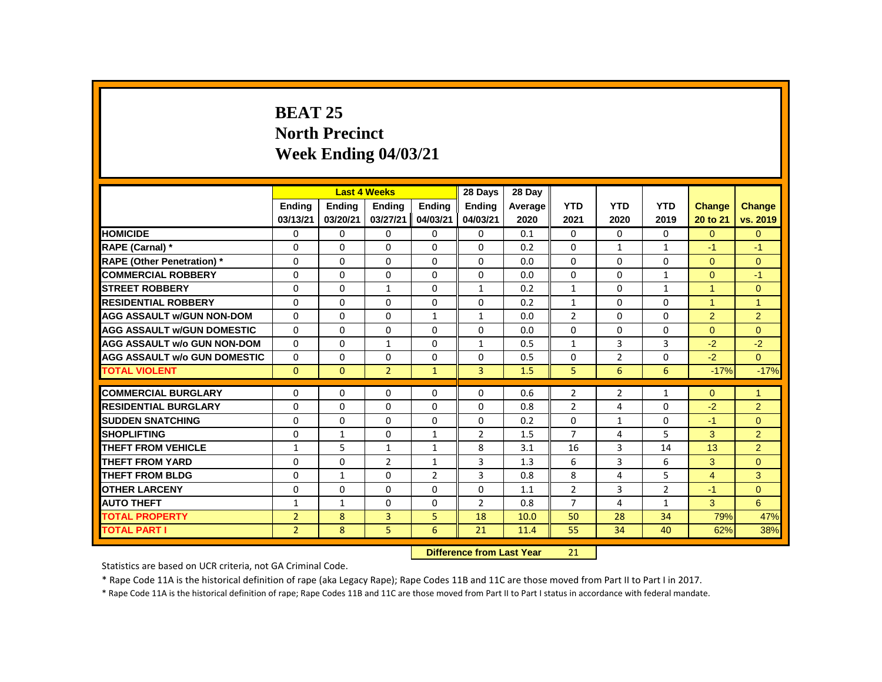# **BEAT 25 North Precinct Week Ending 04/03/21**

|                                     |                |              | <b>Last 4 Weeks</b> |                | 28 Days                          | 28 Dav  |                |                |                |                      |                      |
|-------------------------------------|----------------|--------------|---------------------|----------------|----------------------------------|---------|----------------|----------------|----------------|----------------------|----------------------|
|                                     | Ending         | Ending       | <b>Ending</b>       | <b>Ending</b>  | <b>Ending</b>                    | Average | <b>YTD</b>     | <b>YTD</b>     | <b>YTD</b>     | <b>Change</b>        | <b>Change</b>        |
|                                     | 03/13/21       | 03/20/21     | 03/27/21            | 04/03/21       | 04/03/21                         | 2020    | 2021           | 2020           | 2019           | 20 to 21             | vs. 2019             |
| <b>HOMICIDE</b>                     | 0              | $\mathbf 0$  | 0                   | $\mathbf 0$    | $\mathbf 0$                      | 0.1     | $\mathbf{0}$   | 0              | 0              | $\overline{0}$       | $\mathbf{0}$         |
| <b>RAPE (Carnal) *</b>              | 0              | $\Omega$     | $\Omega$            | $\Omega$       | $\Omega$                         | 0.2     | $\Omega$       | $\mathbf{1}$   | $\mathbf{1}$   | $-1$                 | $-1$                 |
| <b>RAPE (Other Penetration)</b> *   | 0              | $\Omega$     | $\Omega$            | $\Omega$       | $\Omega$                         | 0.0     | $\Omega$       | $\Omega$       | $\Omega$       | $\Omega$             | $\mathbf{0}$         |
| <b>COMMERCIAL ROBBERY</b>           | $\Omega$       | $\Omega$     | $\Omega$            | $\mathbf{0}$   | $\Omega$                         | 0.0     | $\Omega$       | $\Omega$       | $\mathbf{1}$   | $\Omega$             | $-1$                 |
| <b>ISTREET ROBBERY</b>              | 0              | $\mathbf{0}$ | $\mathbf{1}$        | 0              | $\mathbf{1}$                     | 0.2     | 1              | 0              | $\mathbf{1}$   | $\blacktriangleleft$ | $\mathbf{0}$         |
| <b>RESIDENTIAL ROBBERY</b>          | $\Omega$       | $\Omega$     | $\Omega$            | $\Omega$       | $\Omega$                         | 0.2     | 1              | 0              | $\Omega$       | $\blacktriangleleft$ | $\overline{1}$       |
| <b>AGG ASSAULT W/GUN NON-DOM</b>    | $\Omega$       | $\Omega$     | $\Omega$            | $\mathbf{1}$   | $\mathbf{1}$                     | 0.0     | $\overline{2}$ | $\Omega$       | $\Omega$       | 2                    | 2                    |
| <b>AGG ASSAULT W/GUN DOMESTIC</b>   | $\Omega$       | $\Omega$     | $\Omega$            | $\Omega$       | $\Omega$                         | 0.0     | $\Omega$       | $\Omega$       | $\Omega$       | $\Omega$             | $\Omega$             |
| <b>AGG ASSAULT w/o GUN NON-DOM</b>  | $\Omega$       | $\mathbf{0}$ | $\mathbf{1}$        | $\mathbf{0}$   | $\mathbf{1}$                     | 0.5     | $\mathbf{1}$   | $\overline{3}$ | $\overline{3}$ | $-2$                 | $-2$                 |
| <b>AGG ASSAULT w/o GUN DOMESTIC</b> | $\Omega$       | $\Omega$     | $\Omega$            | $\Omega$       | $\Omega$                         | 0.5     | $\Omega$       | $\overline{2}$ | $\Omega$       | $-2$                 | $\Omega$             |
| <b>TOTAL VIOLENT</b>                | $\mathbf{0}$   | $\mathbf{0}$ | $\overline{2}$      | $\mathbf{1}$   | $\overline{3}$                   | 1.5     | 5              | 6              | 6              | $-17%$               | $-17%$               |
| <b>COMMERCIAL BURGLARY</b>          | 0              | 0            | 0                   | 0              | $\Omega$                         | 0.6     | 2              | $\overline{2}$ | 1              | $\Omega$             | $\blacktriangleleft$ |
| <b>RESIDENTIAL BURGLARY</b>         | 0              | $\Omega$     | 0                   | $\Omega$       | $\Omega$                         | 0.8     | $\overline{2}$ | 4              | $\Omega$       | $-2$                 | 2                    |
| <b>SUDDEN SNATCHING</b>             | $\Omega$       | 0            | 0                   | 0              | 0                                | 0.2     | $\Omega$       | $\mathbf{1}$   | $\Omega$       | $-1$                 | $\Omega$             |
| <b>SHOPLIFTING</b>                  | 0              | $\mathbf{1}$ | 0                   | $\mathbf{1}$   | $\overline{2}$                   | 1.5     | $\overline{7}$ | 4              | 5              | 3                    | $\overline{2}$       |
| <b>THEFT FROM VEHICLE</b>           | $\mathbf{1}$   | 5            | $\mathbf{1}$        | $\mathbf{1}$   | 8                                | 3.1     | 16             | $\overline{3}$ | 14             | 13                   | $\overline{2}$       |
| <b>THEFT FROM YARD</b>              | 0              | $\Omega$     | $\overline{2}$      | $\mathbf{1}$   | 3                                | 1.3     | 6              | 3              | 6              | 3                    | $\overline{0}$       |
| <b>THEFT FROM BLDG</b>              | $\Omega$       | $\mathbf{1}$ | 0                   | $\overline{2}$ | 3                                | 0.8     | 8              | 4              | 5              | $\overline{4}$       | 3                    |
| <b>OTHER LARCENY</b>                | 0              | 0            | 0                   | 0              | 0                                | 1.1     | $\overline{2}$ | 3              | $\overline{2}$ | $-1$                 | $\mathbf{0}$         |
| <b>AUTO THEFT</b>                   | $\mathbf{1}$   | $\mathbf{1}$ | 0                   | $\mathbf{0}$   | $\overline{2}$                   | 0.8     | $\overline{7}$ | 4              | $\mathbf{1}$   | 3                    | 6                    |
| <b>TOTAL PROPERTY</b>               | $\overline{2}$ | 8            | 3                   | 5              | 18                               | 10.0    | 50             | 28             | 34             | 79%                  | 47%                  |
| <b>TOTAL PART I</b>                 | $\overline{2}$ | 8            | 5                   | 6              | 21                               | 11.4    | 55             | 34             | 40             | 62%                  | 38%                  |
|                                     |                |              |                     |                | <b>Difference from Last Year</b> |         | 21             |                |                |                      |                      |

Statistics are based on UCR criteria, not GA Criminal Code.

\* Rape Code 11A is the historical definition of rape (aka Legacy Rape); Rape Codes 11B and 11C are those moved from Part II to Part I in 2017.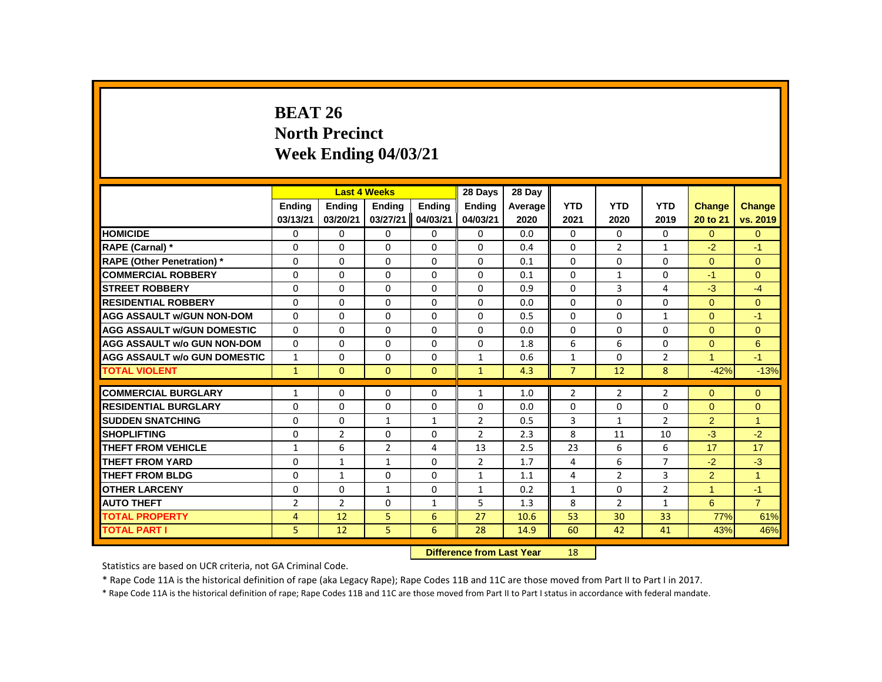# **BEAT 26 North Precinct Week Ending 04/03/21**

|                                     |                |                | <b>Last 4 Weeks</b> |              | 28 Days                   | 28 Day  |                |                |                |                      |                |
|-------------------------------------|----------------|----------------|---------------------|--------------|---------------------------|---------|----------------|----------------|----------------|----------------------|----------------|
|                                     | Ending         | Ending         | Ending              | Ending       | Ending                    | Average | <b>YTD</b>     | <b>YTD</b>     | <b>YTD</b>     | <b>Change</b>        | Change         |
|                                     | 03/13/21       | 03/20/21       | 03/27/21            | 04/03/21     | 04/03/21                  | 2020    | 2021           | 2020           | 2019           | 20 to 21             | vs. 2019       |
| <b>HOMICIDE</b>                     | 0              | 0              | $\mathbf{0}$        | $\mathbf{0}$ | 0                         | 0.0     | $\mathbf{0}$   | $\Omega$       | $\mathbf{0}$   | $\Omega$             | $\overline{0}$ |
| RAPE (Carnal) *                     | 0              | $\Omega$       | $\Omega$            | $\Omega$     | $\Omega$                  | 0.4     | 0              | $\overline{2}$ | $\mathbf{1}$   | $-2$                 | $-1$           |
| <b>RAPE (Other Penetration) *</b>   | 0              | 0              | 0                   | 0            | 0                         | 0.1     | $\Omega$       | 0              | 0              | $\overline{0}$       | $\mathbf{0}$   |
| <b>COMMERCIAL ROBBERY</b>           | $\Omega$       | $\Omega$       | $\Omega$            | $\Omega$     | $\Omega$                  | 0.1     | $\Omega$       | $\mathbf{1}$   | $\Omega$       | $-1$                 | $\Omega$       |
| <b>STREET ROBBERY</b>               | 0              | $\Omega$       | $\Omega$            | $\Omega$     | $\Omega$                  | 0.9     | 0              | 3              | 4              | $-3$                 | $-4$           |
| <b>RESIDENTIAL ROBBERY</b>          | $\Omega$       | $\Omega$       | $\Omega$            | $\Omega$     | $\Omega$                  | 0.0     | 0              | $\Omega$       | $\Omega$       | $\Omega$             | $\Omega$       |
| <b>AGG ASSAULT W/GUN NON-DOM</b>    | $\Omega$       | $\Omega$       | $\Omega$            | $\Omega$     | $\Omega$                  | 0.5     | $\Omega$       | $\Omega$       | $\mathbf{1}$   | $\Omega$             | $-1$           |
| <b>AGG ASSAULT w/GUN DOMESTIC</b>   | $\Omega$       | $\Omega$       | $\Omega$            | $\Omega$     | $\Omega$                  | 0.0     | $\Omega$       | $\Omega$       | $\Omega$       | $\Omega$             | $\mathbf{0}$   |
| <b>AGG ASSAULT w/o GUN NON-DOM</b>  | 0              | 0              | 0                   | $\mathbf{0}$ | 0                         | 1.8     | 6              | 6              | 0              | $\mathbf{0}$         | 6              |
| <b>AGG ASSAULT W/o GUN DOMESTIC</b> | $\mathbf{1}$   | $\Omega$       | $\Omega$            | $\Omega$     | $\mathbf{1}$              | 0.6     | $\mathbf{1}$   | $\Omega$       | $\overline{2}$ | $\blacktriangleleft$ | $-1$           |
| <b>TOTAL VIOLENT</b>                | $\mathbf{1}$   | $\Omega$       | $\Omega$            | $\Omega$     | $\mathbf{1}$              | 4.3     | $\overline{7}$ | 12             | 8              | $-42%$               | $-13%$         |
| <b>COMMERCIAL BURGLARY</b>          | $\mathbf{1}$   | 0              | 0                   | $\mathbf 0$  | $\mathbf{1}$              | 1.0     | $\overline{2}$ | $\overline{2}$ | $\overline{2}$ | $\overline{0}$       | $\mathbf{0}$   |
| <b>RESIDENTIAL BURGLARY</b>         | $\Omega$       | $\Omega$       | $\Omega$            | $\Omega$     | $\Omega$                  | 0.0     | 0              | $\Omega$       | $\Omega$       | $\Omega$             | $\Omega$       |
| <b>SUDDEN SNATCHING</b>             | 0              | $\Omega$       | $\mathbf{1}$        | $\mathbf{1}$ | $\overline{2}$            | 0.5     | 3              | $\mathbf{1}$   | $\overline{2}$ | $\overline{2}$       | $\overline{1}$ |
| <b>SHOPLIFTING</b>                  | $\Omega$       | $\overline{2}$ | $\Omega$            | $\Omega$     | $\overline{2}$            | 2.3     | 8              | 11             | 10             | $-3$                 | $-2$           |
| <b>THEFT FROM VEHICLE</b>           | $\mathbf{1}$   | 6              | $\overline{2}$      | 4            | 13                        | 2.5     | 23             | 6              | 6              | 17                   | 17             |
| <b>THEFT FROM YARD</b>              | $\Omega$       | $\mathbf{1}$   | $\mathbf{1}$        | $\Omega$     | $\overline{2}$            | 1.7     | 4              | 6              | $\overline{7}$ | $-2$                 | $-3$           |
| <b>THEFT FROM BLDG</b>              | 0              | $\mathbf{1}$   | $\Omega$            | $\Omega$     | $\mathbf{1}$              | 1.1     | 4              | $\overline{2}$ | 3              | $\overline{2}$       | $\mathbf{1}$   |
| <b>OTHER LARCENY</b>                | $\Omega$       | $\Omega$       | $\mathbf{1}$        | $\Omega$     | $\mathbf{1}$              | 0.2     | $\mathbf{1}$   | $\Omega$       | $\overline{2}$ | $\mathbf{1}$         | $-1$           |
| <b>AUTO THEFT</b>                   | $\overline{2}$ | $\overline{2}$ | $\Omega$            | $\mathbf{1}$ | 5                         | 1.3     | 8              | $\overline{2}$ | $\mathbf{1}$   | 6                    | $\overline{7}$ |
| <b>TOTAL PROPERTY</b>               | $\overline{4}$ | 12             | 5                   | 6            | 27                        | 10.6    | 53             | 30             | 33             | 77%                  | 61%            |
| <b>TOTAL PART I</b>                 | 5              | 12             | 5                   | 6            | 28                        | 14.9    | 60             | 42             | 41             | 43%                  | 46%            |
|                                     |                |                |                     |              | Difference from Last Year |         | 18             |                |                |                      |                |

 **Difference from Last Year** 18

Statistics are based on UCR criteria, not GA Criminal Code.

\* Rape Code 11A is the historical definition of rape (aka Legacy Rape); Rape Codes 11B and 11C are those moved from Part II to Part I in 2017.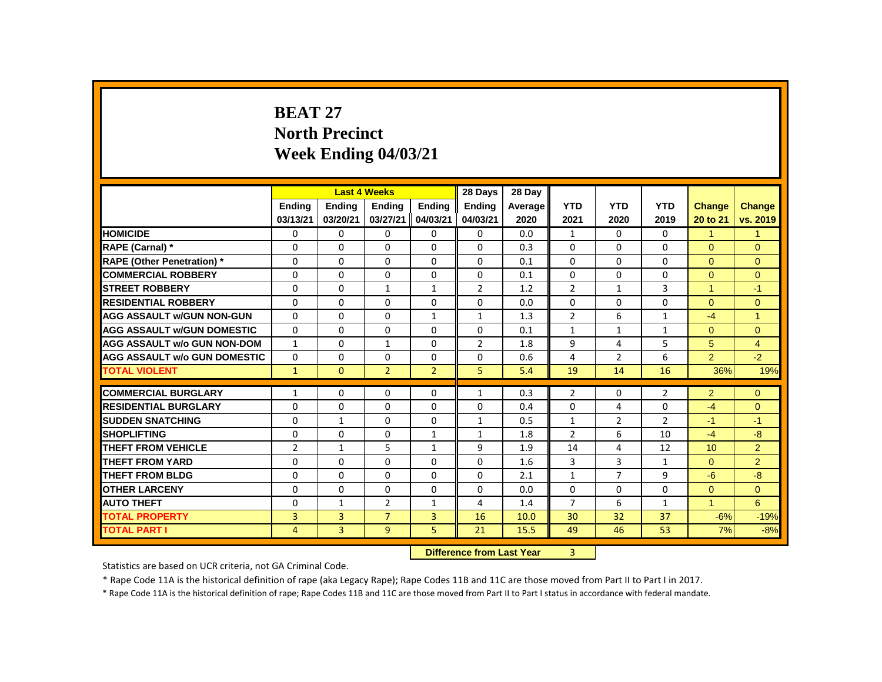# **BEAT 27 North Precinct Week Ending 04/03/21**

|                                     |                |               | <b>Last 4 Weeks</b> |                | 28 Days                   | 28 Day  |                |                |                |                  |                |
|-------------------------------------|----------------|---------------|---------------------|----------------|---------------------------|---------|----------------|----------------|----------------|------------------|----------------|
|                                     | Ending         | <b>Ending</b> | <b>Ending</b>       | <b>Ending</b>  | Ending                    | Average | <b>YTD</b>     | <b>YTD</b>     | <b>YTD</b>     | <b>Change</b>    | <b>Change</b>  |
|                                     | 03/13/21       | 03/20/21      | 03/27/21            | 04/03/21       | 04/03/21                  | 2020    | 2021           | 2020           | 2019           | 20 to 21         | vs. 2019       |
| <b>HOMICIDE</b>                     | 0              | 0             | 0                   | 0              | 0                         | 0.0     | $\mathbf{1}$   | $\Omega$       | 0              | $\mathbf{1}$     | $\mathbf{1}$   |
| RAPE (Carnal) *                     | 0              | 0             | $\Omega$            | $\Omega$       | $\Omega$                  | 0.3     | $\Omega$       | 0              | 0              | $\Omega$         | $\Omega$       |
| <b>RAPE (Other Penetration)</b> *   | 0              | 0             | 0                   | 0              | 0                         | 0.1     | $\Omega$       | 0              | 0              | $\mathbf{0}$     | $\overline{0}$ |
| <b>COMMERCIAL ROBBERY</b>           | $\mathbf{0}$   | $\mathbf{0}$  | $\Omega$            | $\Omega$       | $\Omega$                  | 0.1     | $\Omega$       | $\Omega$       | $\Omega$       | $\Omega$         | $\Omega$       |
| <b>STREET ROBBERY</b>               | $\Omega$       | $\Omega$      | $\mathbf{1}$        | $\mathbf{1}$   | $\overline{2}$            | 1.2     | $\mathfrak{p}$ | $\mathbf{1}$   | 3              | $\mathbf{1}$     | $-1$           |
| <b>RESIDENTIAL ROBBERY</b>          | $\mathbf{0}$   | $\Omega$      | $\Omega$            | $\Omega$       | 0                         | 0.0     | $\Omega$       | $\Omega$       | 0              | $\Omega$         | $\Omega$       |
| <b>AGG ASSAULT W/GUN NON-GUN</b>    | $\mathbf{0}$   | $\Omega$      | $\Omega$            | $\mathbf{1}$   | $\mathbf{1}$              | 1.3     | $\overline{2}$ | 6              | $\mathbf{1}$   | $-4$             | 1              |
| <b>AGG ASSAULT W/GUN DOMESTIC</b>   | 0              | 0             | 0                   | 0              | 0                         | 0.1     | $\mathbf{1}$   | $\mathbf{1}$   | $\mathbf{1}$   | $\overline{0}$   | $\overline{0}$ |
| <b>AGG ASSAULT w/o GUN NON-DOM</b>  | $\mathbf{1}$   | $\Omega$      | $\mathbf{1}$        | $\Omega$       | $\overline{2}$            | 1.8     | 9              | 4              | 5              | 5                | $\overline{4}$ |
| <b>AGG ASSAULT w/o GUN DOMESTIC</b> | 0              | 0             | 0                   | 0              | 0                         | 0.6     | 4              | $\overline{2}$ | 6              | $\overline{2}$   | $-2$           |
| <b>TOTAL VIOLENT</b>                | $\mathbf{1}$   | $\mathbf{0}$  | $\overline{2}$      | $\overline{2}$ | 5                         | 5.4     | 19             | 14             | 16             | 36%              | 19%            |
| <b>COMMERCIAL BURGLARY</b>          | 1              | 0             | $\Omega$            | $\Omega$       | $\mathbf{1}$              | 0.3     | $\overline{2}$ | 0              | $\overline{2}$ | $\overline{2}$   | $\overline{0}$ |
| <b>RESIDENTIAL BURGLARY</b>         | 0              | 0             | $\Omega$            | $\Omega$       | 0                         | 0.4     | $\Omega$       | 4              | 0              | $-4$             | $\overline{0}$ |
| <b>SUDDEN SNATCHING</b>             | 0              | $\mathbf{1}$  | 0                   | 0              | $\mathbf{1}$              | 0.5     | $\mathbf{1}$   | $\overline{2}$ | $\overline{2}$ | $-1$             | $-1$           |
| <b>SHOPLIFTING</b>                  | 0              | $\Omega$      | $\Omega$            | $\mathbf{1}$   | $\mathbf{1}$              | 1.8     | $\overline{2}$ | 6              | 10             | $-4$             | $-8$           |
| <b>THEFT FROM VEHICLE</b>           | $\overline{2}$ | $\mathbf{1}$  | 5                   | $\mathbf{1}$   | 9                         | 1.9     | 14             | 4              | 12             | 10 <sup>10</sup> | $\overline{2}$ |
| <b>THEFT FROM YARD</b>              | $\Omega$       | $\mathbf{0}$  | 0                   | 0              | 0                         | 1.6     | 3              | 3              | $\mathbf{1}$   | $\Omega$         | $\overline{2}$ |
| <b>THEFT FROM BLDG</b>              | 0              | 0             | 0                   | 0              | 0                         | 2.1     | $\mathbf{1}$   | $\overline{7}$ | 9              | $-6$             | $-8$           |
| <b>OTHER LARCENY</b>                | $\Omega$       | $\Omega$      | $\Omega$            | $\Omega$       | $\Omega$                  | 0.0     | $\Omega$       | $\Omega$       | $\Omega$       | $\Omega$         | $\Omega$       |
| <b>AUTO THEFT</b>                   | $\mathbf 0$    | $\mathbf{1}$  | $\overline{2}$      | $\mathbf{1}$   | 4                         | 1.4     | $\overline{7}$ | 6              | $\mathbf{1}$   | $\mathbf{1}$     | 6              |
| <b>TOTAL PROPERTY</b>               | 3              | 3             | $\overline{7}$      | 3              | 16                        | 10.0    | 30             | 32             | 37             | $-6%$            | $-19%$         |
| <b>TOTAL PART I</b>                 | 4              | 3             | $\overline{9}$      | 5.             | 21                        | 15.5    | 49             | 46             | 53             | 7%               | $-8%$          |
|                                     |                |               |                     |                | Difference from Lost Vesr |         | $\mathbf{P}$   |                |                |                  |                |

**Difference from Last Year** 

Statistics are based on UCR criteria, not GA Criminal Code.

\* Rape Code 11A is the historical definition of rape (aka Legacy Rape); Rape Codes 11B and 11C are those moved from Part II to Part I in 2017.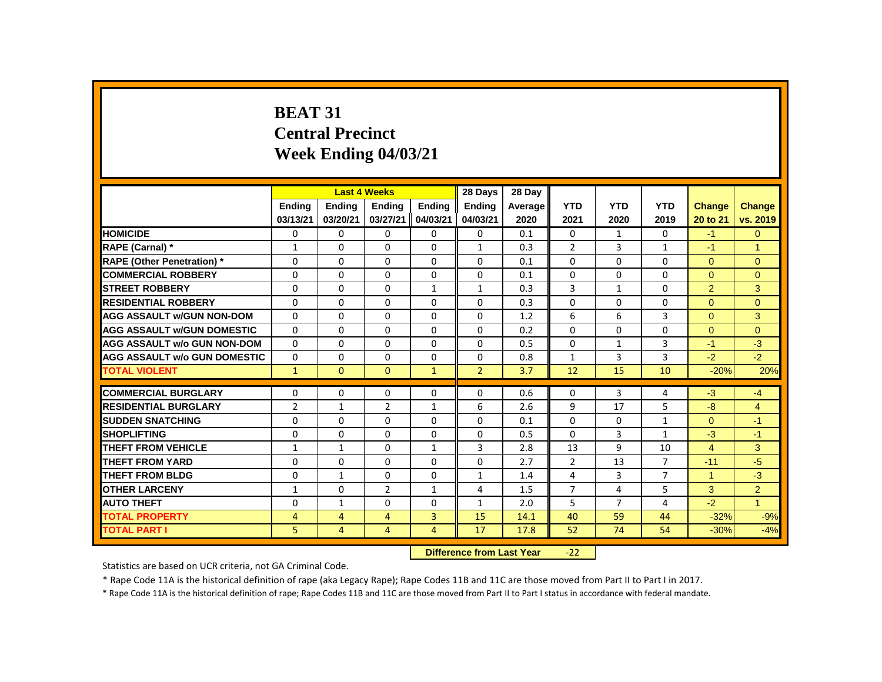# **BEAT 31 Central Precinct Week Ending 04/03/21**

|                                     |                |               | <b>Last 4 Weeks</b> |                | 28 Days                   | 28 Day  |                |                |                |                |                |
|-------------------------------------|----------------|---------------|---------------------|----------------|---------------------------|---------|----------------|----------------|----------------|----------------|----------------|
|                                     | Ending         | <b>Ending</b> | <b>Ending</b>       | Ending         | Ending                    | Average | <b>YTD</b>     | <b>YTD</b>     | <b>YTD</b>     | <b>Change</b>  | <b>Change</b>  |
|                                     | 03/13/21       | 03/20/21      | 03/27/21            | 04/03/21       | 04/03/21                  | 2020    | 2021           | 2020           | 2019           | 20 to 21       | vs. 2019       |
| <b>HOMICIDE</b>                     | 0              | 0             | 0                   | 0              | 0                         | 0.1     | 0              | $\mathbf{1}$   | 0              | $-1$           | $\mathbf{0}$   |
| RAPE (Carnal) *                     | $\mathbf{1}$   | $\Omega$      | $\Omega$            | $\Omega$       | $\mathbf{1}$              | 0.3     | $\overline{2}$ | 3              | $\mathbf{1}$   | $-1$           | $\mathbf{1}$   |
| <b>RAPE (Other Penetration) *</b>   | $\Omega$       | $\Omega$      | $\Omega$            | $\Omega$       | 0                         | 0.1     | $\Omega$       | $\Omega$       | $\Omega$       | $\Omega$       | $\Omega$       |
| <b>COMMERCIAL ROBBERY</b>           | $\Omega$       | $\Omega$      | $\Omega$            | $\Omega$       | $\Omega$                  | 0.1     | $\Omega$       | $\Omega$       | $\Omega$       | $\Omega$       | $\overline{0}$ |
| <b>STREET ROBBERY</b>               | $\Omega$       | $\Omega$      | $\Omega$            | $\mathbf{1}$   | $\mathbf{1}$              | 0.3     | 3              | $\mathbf{1}$   | $\Omega$       | 2              | 3              |
| <b>RESIDENTIAL ROBBERY</b>          | 0              | 0             | 0                   | 0              | 0                         | 0.3     | 0              | 0              | 0              | $\Omega$       | $\Omega$       |
| <b>AGG ASSAULT W/GUN NON-DOM</b>    | $\Omega$       | $\Omega$      | $\Omega$            | $\Omega$       | $\Omega$                  | 1.2     | 6              | 6              | 3              | $\mathbf{0}$   | 3              |
| <b>AGG ASSAULT W/GUN DOMESTIC</b>   | $\Omega$       | $\Omega$      | $\Omega$            | $\Omega$       | $\Omega$                  | 0.2     | $\Omega$       | $\Omega$       | $\Omega$       | $\Omega$       | $\overline{0}$ |
| <b>AGG ASSAULT w/o GUN NON-DOM</b>  | $\Omega$       | $\Omega$      | $\Omega$            | $\Omega$       | $\Omega$                  | 0.5     | $\Omega$       | $\mathbf{1}$   | 3              | $-1$           | $-3$           |
| <b>AGG ASSAULT W/o GUN DOMESTIC</b> | $\Omega$       | $\Omega$      | 0                   | $\Omega$       | $\Omega$                  | 0.8     | $\mathbf{1}$   | 3              | 3              | $-2$           | $-2$           |
| <b>TOTAL VIOLENT</b>                | $\mathbf{1}$   | $\mathbf{0}$  | $\Omega$            | $\mathbf{1}$   | $\overline{2}$            | 3.7     | 12             | 15             | 10             | $-20%$         | 20%            |
| <b>COMMERCIAL BURGLARY</b>          | $\Omega$       | $\Omega$      | $\Omega$            | $\Omega$       | $\Omega$                  | 0.6     | $\Omega$       | 3              | 4              | $-3$           | $-4$           |
| <b>RESIDENTIAL BURGLARY</b>         | $\overline{2}$ | $\mathbf{1}$  | $\overline{2}$      | $\mathbf{1}$   | 6                         | 2.6     | 9              | 17             | 5              | $-8$           | $\overline{4}$ |
| <b>SUDDEN SNATCHING</b>             | 0              | 0             | $\Omega$            | 0              | $\Omega$                  | 0.1     | $\Omega$       | 0              | $\mathbf{1}$   | $\Omega$       | $-1$           |
| <b>SHOPLIFTING</b>                  | $\Omega$       | $\Omega$      | $\Omega$            | $\Omega$       | $\Omega$                  | 0.5     | $\Omega$       | 3              | $\mathbf{1}$   | $-3$           | $-1$           |
| <b>THEFT FROM VEHICLE</b>           | $\mathbf{1}$   | $\mathbf{1}$  | $\Omega$            | $\mathbf{1}$   | 3                         | 2.8     | 13             | 9              | 10             | $\overline{4}$ | 3              |
| <b>THEFT FROM YARD</b>              | 0              | 0             | 0                   | 0              | $\Omega$                  | 2.7     | 2              | 13             | $\overline{7}$ | $-11$          | $-5$           |
| <b>THEFT FROM BLDG</b>              | 0              | $\mathbf{1}$  | $\Omega$            | $\Omega$       | $\mathbf{1}$              | 1.4     | 4              | 3              | $\overline{7}$ | 1              | $-3$           |
| <b>OTHER LARCENY</b>                | $\mathbf{1}$   | 0             | 2                   | $\mathbf{1}$   | 4                         | 1.5     | $\overline{7}$ | 4              | 5              | 3              | $\overline{2}$ |
| <b>AUTO THEFT</b>                   | $\Omega$       | $\mathbf{1}$  | $\Omega$            | $\Omega$       | $\mathbf{1}$              | 2.0     | 5              | $\overline{7}$ | 4              | $-2$           | $\overline{1}$ |
| <b>TOTAL PROPERTY</b>               | $\overline{4}$ | 4             | 4                   | 3              | 15                        | 14.1    | 40             | 59             | 44             | $-32%$         | $-9%$          |
| <b>TOTAL PART I</b>                 | 5              | 4             | $\overline{4}$      | $\overline{4}$ | 17                        | 17.8    | 52             | 74             | 54             | $-30%$         | $-4%$          |
|                                     |                |               |                     |                | Difference from Last Vear |         | _າາ            |                |                |                |                |

**Difference from Last Year** -22

Statistics are based on UCR criteria, not GA Criminal Code.

\* Rape Code 11A is the historical definition of rape (aka Legacy Rape); Rape Codes 11B and 11C are those moved from Part II to Part I in 2017.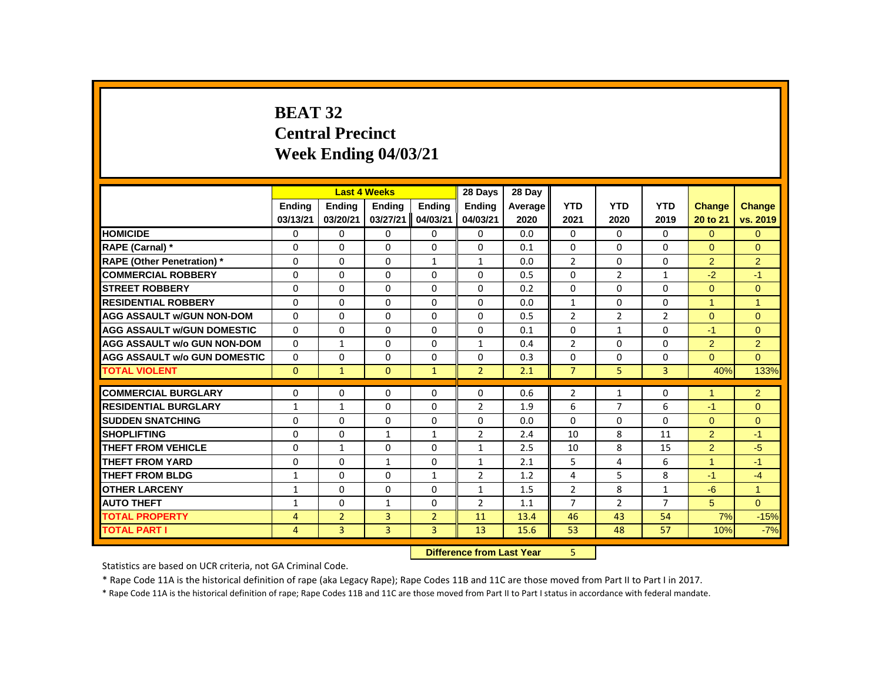# **BEAT 32 Central Precinct Week Ending 04/03/21**

|                                     |               |                | <b>Last 4 Weeks</b> |                | 28 Days        | 28 Day  |                |                |                |                      |                |
|-------------------------------------|---------------|----------------|---------------------|----------------|----------------|---------|----------------|----------------|----------------|----------------------|----------------|
|                                     | <b>Ending</b> | <b>Ending</b>  | <b>Ending</b>       | <b>Ending</b>  | <b>Ending</b>  | Average | <b>YTD</b>     | <b>YTD</b>     | <b>YTD</b>     | <b>Change</b>        | Change         |
|                                     | 03/13/21      | 03/20/21       | 03/27/21            | 04/03/21       | 04/03/21       | 2020    | 2021           | 2020           | 2019           | 20 to 21             | vs. 2019       |
| <b>HOMICIDE</b>                     | 0             | 0              | 0                   | 0              | $\mathbf{0}$   | 0.0     | 0              | 0              | 0              | $\Omega$             | $\Omega$       |
| RAPE (Carnal) *                     | 0             | $\Omega$       | $\Omega$            | $\Omega$       | 0              | 0.1     | 0              | $\Omega$       | $\Omega$       | $\Omega$             | $\Omega$       |
| <b>RAPE (Other Penetration)</b> *   | $\Omega$      | $\Omega$       | $\Omega$            | $\mathbf{1}$   | $\mathbf{1}$   | 0.0     | $\overline{2}$ | $\Omega$       | $\Omega$       | $\overline{2}$       | $\overline{2}$ |
| <b>COMMERCIAL ROBBERY</b>           | $\Omega$      | $\Omega$       | $\Omega$            | $\Omega$       | 0              | 0.5     | $\Omega$       | $\overline{2}$ | $\mathbf{1}$   | $-2$                 | $-1$           |
| <b>STREET ROBBERY</b>               | 0             | 0              | 0                   | 0              | 0              | 0.2     | 0              | 0              | 0              | $\overline{0}$       | $\mathbf{0}$   |
| <b>RESIDENTIAL ROBBERY</b>          | $\Omega$      | $\Omega$       | $\Omega$            | $\Omega$       | 0              | 0.0     | $\mathbf{1}$   | $\Omega$       | $\Omega$       | $\blacktriangleleft$ | $\overline{1}$ |
| <b>AGG ASSAULT w/GUN NON-DOM</b>    | $\Omega$      | $\Omega$       | $\Omega$            | $\Omega$       | $\Omega$       | 0.5     | $\overline{2}$ | $\overline{2}$ | $\overline{2}$ | $\Omega$             | $\Omega$       |
| <b>AGG ASSAULT w/GUN DOMESTIC</b>   | $\Omega$      | $\Omega$       | $\Omega$            | $\Omega$       | $\Omega$       | 0.1     | $\Omega$       | $\mathbf{1}$   | $\Omega$       | $-1$                 | $\Omega$       |
| <b>AGG ASSAULT w/o GUN NON-DOM</b>  | $\Omega$      | $\mathbf{1}$   | $\Omega$            | $\Omega$       | $\mathbf{1}$   | 0.4     | $\overline{2}$ | $\Omega$       | $\Omega$       | 2                    | $\overline{2}$ |
| <b>AGG ASSAULT w/o GUN DOMESTIC</b> | 0             | 0              | 0                   | 0              | 0              | 0.3     | $\Omega$       | 0              | 0              | $\Omega$             | $\Omega$       |
| <b>TOTAL VIOLENT</b>                | $\mathbf{0}$  | $\mathbf{1}$   | $\mathbf{0}$        | $\mathbf{1}$   | $\overline{2}$ | 2.1     | $\overline{7}$ | 5              | $\overline{3}$ | 40%                  | 133%           |
| <b>COMMERCIAL BURGLARY</b>          | 0             | 0              | 0                   | 0              | 0              | 0.6     | $\overline{2}$ | $\mathbf{1}$   | 0              | $\blacktriangleleft$ | $\overline{2}$ |
| <b>RESIDENTIAL BURGLARY</b>         | $\mathbf{1}$  | $\mathbf{1}$   | $\Omega$            | $\Omega$       | $\overline{2}$ | 1.9     | 6              | $\overline{7}$ | 6              | $-1$                 | $\Omega$       |
| <b>SUDDEN SNATCHING</b>             | $\Omega$      | 0              | $\Omega$            | $\Omega$       | $\Omega$       | 0.0     | $\Omega$       | $\mathbf{0}$   | $\Omega$       | $\Omega$             | $\mathbf{0}$   |
| <b>SHOPLIFTING</b>                  | $\Omega$      | $\Omega$       | $\mathbf{1}$        | $\mathbf{1}$   | $\overline{2}$ | 2.4     | 10             | 8              | 11             | $\overline{2}$       | $-1$           |
| <b>THEFT FROM VEHICLE</b>           | $\Omega$      | $\mathbf{1}$   | $\Omega$            | $\Omega$       | $\mathbf{1}$   | 2.5     | 10             | 8              | 15             | $\overline{2}$       | $-5$           |
| <b>THEFT FROM YARD</b>              | 0             | 0              | $\mathbf{1}$        | 0              | $\mathbf{1}$   | 2.1     | 5              | 4              | 6              | $\blacktriangleleft$ | $-1$           |
| <b>THEFT FROM BLDG</b>              | $\mathbf{1}$  | $\Omega$       | $\Omega$            | $\mathbf{1}$   | $\overline{2}$ | 1.2     | 4              | 5              | 8              | $-1$                 | $-4$           |
| <b>OTHER LARCENY</b>                | $\mathbf{1}$  | $\Omega$       | $\Omega$            | $\Omega$       | 1              | 1.5     | $\overline{2}$ | 8              | $\mathbf 1$    | $-6$                 | $\overline{1}$ |
| <b>AUTO THEFT</b>                   | $\mathbf{1}$  | $\Omega$       | $\mathbf{1}$        | $\Omega$       | $\overline{2}$ | 1.1     | $\overline{7}$ | $\overline{2}$ | $\overline{7}$ | 5                    | $\Omega$       |
| <b>TOTAL PROPERTY</b>               | 4             | $\overline{2}$ | 3                   | $\overline{2}$ | 11             | 13.4    | 46             | 43             | 54             | 7%                   | $-15%$         |
| <b>TOTAL PART I</b>                 | 4             | $\overline{3}$ | $\overline{3}$      | 3              | 13             | 15.6    | 53             | 48             | 57             | 10%                  | $-7%$          |
|                                     |               |                |                     |                |                |         | 5.             |                |                |                      |                |

 **Difference from Last Year** 5

Statistics are based on UCR criteria, not GA Criminal Code.

\* Rape Code 11A is the historical definition of rape (aka Legacy Rape); Rape Codes 11B and 11C are those moved from Part II to Part I in 2017.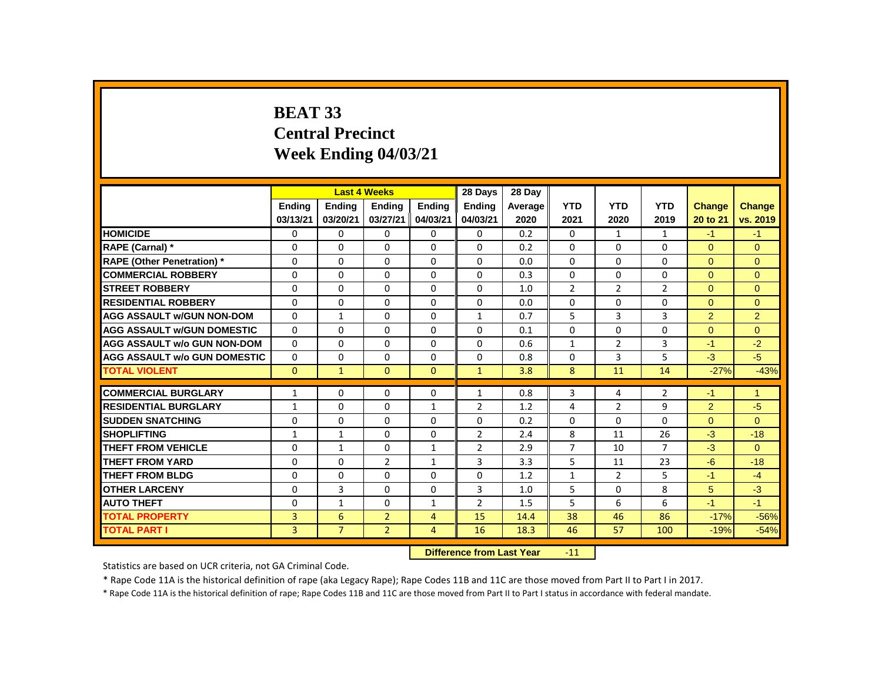# **BEAT 33 Central Precinct Week Ending 04/03/21**

|                                     |                |                           | <b>Last 4 Weeks</b> |                | 28 Days        | 28 Dav  |                |                |                |                |                |
|-------------------------------------|----------------|---------------------------|---------------------|----------------|----------------|---------|----------------|----------------|----------------|----------------|----------------|
|                                     | <b>Ending</b>  | <b>Ending</b>             | <b>Ending</b>       | <b>Ending</b>  | <b>Ending</b>  | Average | <b>YTD</b>     | <b>YTD</b>     | <b>YTD</b>     | <b>Change</b>  | <b>Change</b>  |
|                                     | 03/13/21       | 03/20/21                  | 03/27/21            | 04/03/21       | 04/03/21       | 2020    | 2021           | 2020           | 2019           | 20 to 21       | vs. 2019       |
| <b>HOMICIDE</b>                     | 0              | 0                         | $\mathbf{0}$        | $\mathbf{0}$   | 0              | 0.2     | $\mathbf{0}$   | $\mathbf{1}$   | $\mathbf{1}$   | $-1$           | $-1$           |
| RAPE (Carnal) *                     | $\Omega$       | $\Omega$                  | $\Omega$            | $\Omega$       | $\Omega$       | 0.2     | $\Omega$       | $\Omega$       | $\Omega$       | $\Omega$       | $\Omega$       |
| <b>RAPE (Other Penetration) *</b>   | $\Omega$       | $\Omega$                  | $\Omega$            | $\Omega$       | $\Omega$       | 0.0     | $\Omega$       | $\Omega$       | $\Omega$       | $\Omega$       | $\Omega$       |
| <b>COMMERCIAL ROBBERY</b>           | $\Omega$       | $\Omega$                  | $\Omega$            | $\Omega$       | $\Omega$       | 0.3     | $\Omega$       | $\Omega$       | $\Omega$       | $\Omega$       | $\Omega$       |
| <b>STREET ROBBERY</b>               | $\Omega$       | $\Omega$                  | $\Omega$            | $\Omega$       | $\Omega$       | 1.0     | $\overline{2}$ | $\overline{2}$ | $\overline{2}$ | $\Omega$       | $\Omega$       |
| <b>RESIDENTIAL ROBBERY</b>          | $\Omega$       | $\Omega$                  | $\Omega$            | $\Omega$       | $\Omega$       | 0.0     | $\Omega$       | $\Omega$       | 0              | $\Omega$       | $\Omega$       |
| <b>AGG ASSAULT w/GUN NON-DOM</b>    | $\Omega$       | $\mathbf{1}$              | $\Omega$            | $\Omega$       | $\mathbf{1}$   | 0.7     | 5              | 3              | $\overline{3}$ | $\overline{2}$ | $\overline{2}$ |
| <b>AGG ASSAULT W/GUN DOMESTIC</b>   | $\Omega$       | 0                         | 0                   | $\mathbf 0$    | 0              | 0.1     | 0              | $\mathbf 0$    | 0              | $\overline{0}$ | $\mathbf{0}$   |
| <b>AGG ASSAULT w/o GUN NON-DOM</b>  | $\Omega$       | $\Omega$                  | $\Omega$            | $\Omega$       | $\Omega$       | 0.6     | $\mathbf{1}$   | $\overline{2}$ | 3              | $-1$           | $-2$           |
| <b>AGG ASSAULT w/o GUN DOMESTIC</b> | $\Omega$       | 0                         | 0                   | $\Omega$       | 0              | 0.8     | $\Omega$       | 3              | 5              | $-3$           | $-5$           |
| <b>TOTAL VIOLENT</b>                | $\Omega$       | $\mathbf{1}$              | $\Omega$            | $\Omega$       | $\mathbf{1}$   | 3.8     | 8              | 11             | 14             | $-27%$         | $-43%$         |
| <b>COMMERCIAL BURGLARY</b>          | $\mathbf{1}$   | $\Omega$                  | $\Omega$            | 0              | $\mathbf{1}$   | 0.8     | 3              | 4              | $\overline{2}$ | $-1$           | $\mathbf{1}$   |
| <b>RESIDENTIAL BURGLARY</b>         | $\mathbf{1}$   | $\Omega$                  | $\Omega$            | $\mathbf{1}$   | $\overline{2}$ | 1.2     | 4              | $\overline{2}$ | 9              | $\overline{2}$ | $-5$           |
| <b>SUDDEN SNATCHING</b>             | $\Omega$       | $\Omega$                  | $\Omega$            | $\Omega$       | $\Omega$       | 0.2     | $\Omega$       | $\Omega$       | $\Omega$       | $\Omega$       | $\Omega$       |
| <b>SHOPLIFTING</b>                  | $\mathbf{1}$   | $\mathbf{1}$              | $\Omega$            | $\mathbf 0$    | $\overline{2}$ | 2.4     | 8              | 11             | 26             | $-3$           | $-18$          |
| <b>THEFT FROM VEHICLE</b>           | $\Omega$       | $\mathbf{1}$              | $\Omega$            | $\mathbf{1}$   | $\overline{2}$ | 2.9     | $\overline{7}$ | 10             | $\overline{7}$ | $-3$           | $\Omega$       |
| <b>THEFT FROM YARD</b>              | 0              | $\Omega$                  | $\overline{2}$      | $\mathbf{1}$   | 3              | 3.3     | 5              | 11             | 23             | $-6$           | $-18$          |
| <b>THEFT FROM BLDG</b>              | 0              | $\Omega$                  | $\Omega$            | $\Omega$       | $\Omega$       | 1.2     | $\mathbf{1}$   | $\overline{2}$ | 5              | $-1$           | $-4$           |
| <b>OTHER LARCENY</b>                | $\Omega$       | 3                         | $\Omega$            | $\Omega$       | 3              | 1.0     | 5              | $\Omega$       | 8              | 5              | $-3$           |
| <b>AUTO THEFT</b>                   | $\Omega$       | $\mathbf{1}$              | $\Omega$            | $\mathbf{1}$   | $\overline{2}$ | 1.5     | 5              | 6              | 6              | $-1$           | $-1$           |
| <b>TOTAL PROPERTY</b>               | 3              | 6                         | $\overline{2}$      | $\overline{4}$ | 15             | 14.4    | 38             | 46             | 86             | $-17%$         | $-56%$         |
| <b>TOTAL PART I</b>                 | $\overline{3}$ | $\overline{7}$            | $\overline{2}$      | $\overline{4}$ | 16             | 18.3    | 46             | 57             | 100            | $-19%$         | $-54%$         |
|                                     |                | Difference from Last Year |                     | $-11$          |                |         |                |                |                |                |                |

 **Difference from Last Year** -11

Statistics are based on UCR criteria, not GA Criminal Code.

\* Rape Code 11A is the historical definition of rape (aka Legacy Rape); Rape Codes 11B and 11C are those moved from Part II to Part I in 2017.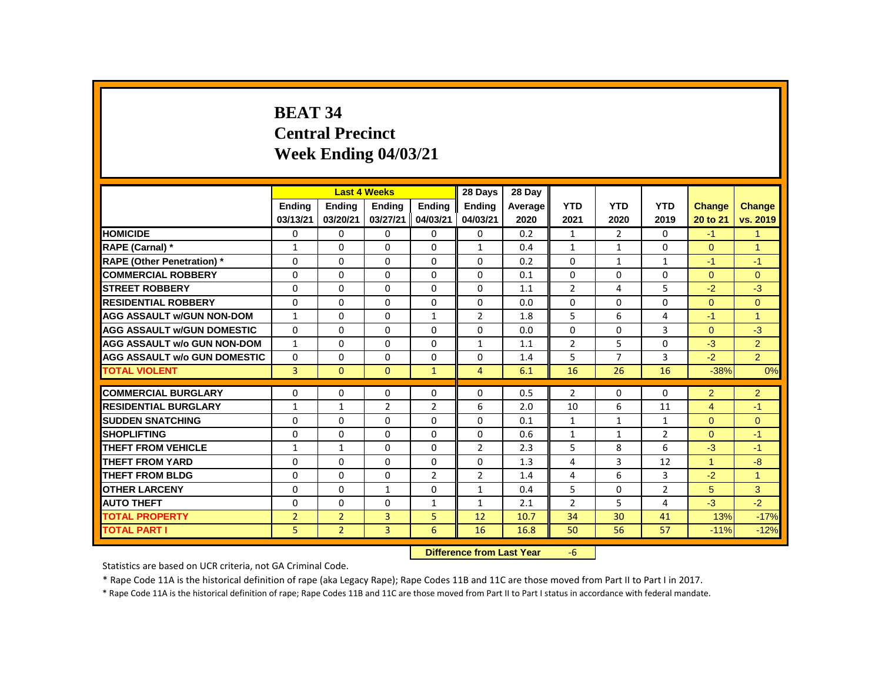# **BEAT 34 Central Precinct Week Ending 04/03/21**

|                                     |                |                | <b>Last 4 Weeks</b> |                | 28 Days                   | 28 Day  |                |                |                |                |                |
|-------------------------------------|----------------|----------------|---------------------|----------------|---------------------------|---------|----------------|----------------|----------------|----------------|----------------|
|                                     | Ending         | Ending         | <b>Ending</b>       | Ending         | Ending                    | Average | <b>YTD</b>     | <b>YTD</b>     | <b>YTD</b>     | <b>Change</b>  | <b>Change</b>  |
|                                     | 03/13/21       | 03/20/21       | 03/27/21            | 04/03/21       | 04/03/21                  | 2020    | 2021           | 2020           | 2019           | 20 to 21       | vs. 2019       |
| <b>HOMICIDE</b>                     | 0              | 0              | $\mathbf{0}$        | 0              | 0                         | 0.2     | $\mathbf{1}$   | $\overline{2}$ | $\mathbf{0}$   | $-1$           | 1              |
| RAPE (Carnal) *                     | $\mathbf{1}$   | 0              | $\Omega$            | $\Omega$       | $\mathbf{1}$              | 0.4     | $\mathbf{1}$   | $\mathbf{1}$   | 0              | $\Omega$       | 1              |
| <b>RAPE (Other Penetration) *</b>   | $\Omega$       | 0              | 0                   | $\mathbf{0}$   | $\Omega$                  | 0.2     | $\Omega$       | $\mathbf{1}$   | $\mathbf{1}$   | $-1$           | $-1$           |
| <b>COMMERCIAL ROBBERY</b>           | $\Omega$       | $\mathbf{0}$   | $\Omega$            | $\mathbf{0}$   | $\Omega$                  | 0.1     | $\Omega$       | $\Omega$       | $\Omega$       | $\Omega$       | $\Omega$       |
| <b>STREET ROBBERY</b>               | $\Omega$       | $\Omega$       | $\Omega$            | $\Omega$       | $\Omega$                  | 1.1     | $\overline{2}$ | 4              | 5              | $-2$           | $-3$           |
| <b>RESIDENTIAL ROBBERY</b>          | 0              | $\Omega$       | 0                   | $\mathbf{0}$   | 0                         | 0.0     | $\Omega$       | $\Omega$       | 0              | $\Omega$       | $\Omega$       |
| <b>AGG ASSAULT W/GUN NON-DOM</b>    | $\mathbf{1}$   | 0              | $\Omega$            | $\mathbf{1}$   | $\overline{2}$            | 1.8     | 5              | 6              | 4              | $-1$           | 1              |
| <b>AGG ASSAULT W/GUN DOMESTIC</b>   | $\Omega$       | 0              | $\Omega$            | $\Omega$       | 0                         | 0.0     | 0              | 0              | 3              | $\overline{0}$ | $-3$           |
| <b>AGG ASSAULT w/o GUN NON-DOM</b>  | $\mathbf{1}$   | $\Omega$       | $\Omega$            | $\Omega$       | $\mathbf{1}$              | 1.1     | $\overline{2}$ | 5              | $\Omega$       | $-3$           | $\overline{2}$ |
| <b>AGG ASSAULT W/o GUN DOMESTIC</b> | $\Omega$       | 0              | $\Omega$            | 0              | 0                         | 1.4     | 5              | $\overline{7}$ | 3              | $-2$           | $\overline{2}$ |
| <b>TOTAL VIOLENT</b>                | $\overline{3}$ | $\mathbf{0}$   | $\mathbf{0}$        | $\mathbf{1}$   | $\overline{4}$            | 6.1     | 16             | 26             | 16             | $-38%$         | 0%             |
| <b>COMMERCIAL BURGLARY</b>          | $\Omega$       | $\Omega$       | $\Omega$            | $\Omega$       | $\Omega$                  | 0.5     | $\overline{2}$ | 0              | $\Omega$       | $\overline{2}$ | $\overline{2}$ |
| <b>RESIDENTIAL BURGLARY</b>         | 1              | $\mathbf{1}$   | $\overline{2}$      | $\overline{2}$ | 6                         | 2.0     | 10             | 6              | 11             | $\overline{4}$ | $-1$           |
| <b>SUDDEN SNATCHING</b>             | 0              | $\mathbf{0}$   | 0                   | $\mathbf{0}$   | 0                         | 0.1     | $\mathbf{1}$   | $\mathbf{1}$   | 1              | $\mathbf{0}$   | $\overline{0}$ |
| <b>SHOPLIFTING</b>                  | $\Omega$       | $\Omega$       | $\Omega$            | $\mathbf{0}$   | $\Omega$                  | 0.6     | $\mathbf{1}$   | $\mathbf{1}$   | $\overline{2}$ | $\Omega$       | $-1$           |
| <b>THEFT FROM VEHICLE</b>           | $\mathbf{1}$   | $\mathbf{1}$   | $\Omega$            | $\Omega$       | $\overline{2}$            | 2.3     | 5              | 8              | 6              | $-3$           | $-1$           |
| <b>THEFT FROM YARD</b>              | 0              | $\mathbf{0}$   | 0                   | $\mathbf{0}$   | 0                         | 1.3     | 4              | 3              | 12             | $\mathbf{1}$   | $-8$           |
| <b>THEFT FROM BLDG</b>              | 0              | $\mathbf{0}$   | 0                   | $\overline{2}$ | $\overline{2}$            | 1.4     | 4              | 6              | 3              | $-2$           | $\mathbf{1}$   |
| <b>OTHER LARCENY</b>                | $\Omega$       | $\Omega$       | $\mathbf{1}$        | $\Omega$       | $\mathbf{1}$              | 0.4     | 5              | $\Omega$       | $\overline{2}$ | 5              | 3              |
| <b>AUTO THEFT</b>                   | $\Omega$       | $\mathbf{0}$   | $\Omega$            | $\mathbf{1}$   | $\mathbf{1}$              | 2.1     | $\overline{2}$ | 5              | 4              | $-3$           | $-2$           |
| <b>TOTAL PROPERTY</b>               | $\overline{2}$ | $\overline{2}$ | 3                   | 5              | 12                        | 10.7    | 34             | 30             | 41             | 13%            | $-17%$         |
| <b>TOTAL PART I</b>                 | 5              | $\overline{2}$ | 3                   | 6              | 16                        | 16.8    | 50             | 56             | 57             | $-11%$         | $-12%$         |
|                                     |                |                |                     |                | Difference from Loot Vear |         | $\epsilon$     |                |                |                |                |

**Difference from Last Year** 

Statistics are based on UCR criteria, not GA Criminal Code.

\* Rape Code 11A is the historical definition of rape (aka Legacy Rape); Rape Codes 11B and 11C are those moved from Part II to Part I in 2017.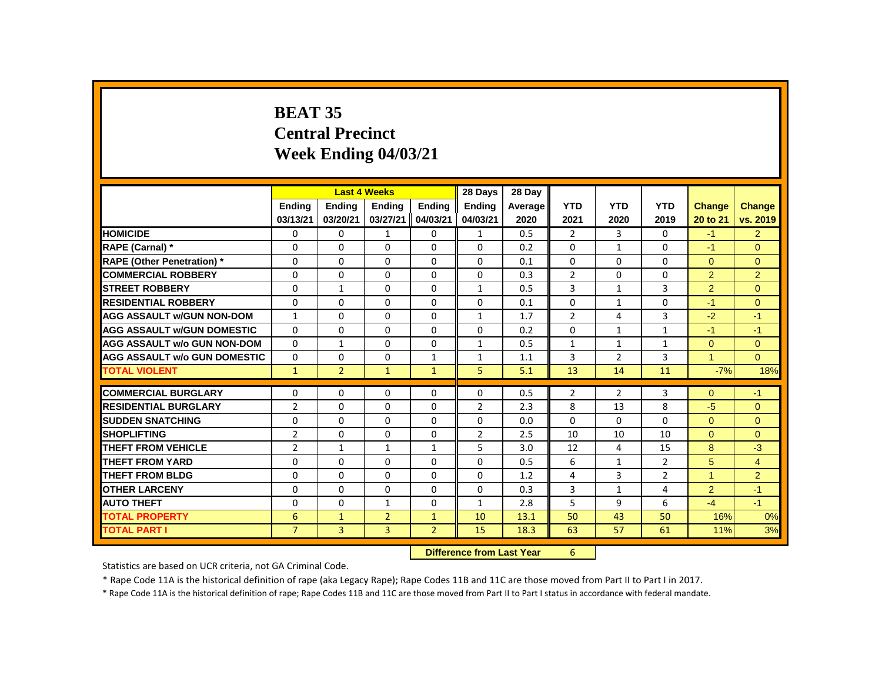# **BEAT 35 Central Precinct Week Ending 04/03/21**

|                                     |                | <b>Last 4 Weeks</b> |                |                | 28 Days                   | 28 Day  |                |                |                |                |                |
|-------------------------------------|----------------|---------------------|----------------|----------------|---------------------------|---------|----------------|----------------|----------------|----------------|----------------|
|                                     | Ending         | Ending              | <b>Ending</b>  | <b>Ending</b>  | Ending                    | Average | <b>YTD</b>     | <b>YTD</b>     | <b>YTD</b>     | <b>Change</b>  | Change         |
|                                     | 03/13/21       | 03/20/21            | 03/27/21       | 04/03/21       | 04/03/21                  | 2020    | 2021           | 2020           | 2019           | 20 to 21       | vs. 2019       |
| <b>HOMICIDE</b>                     | 0              | 0                   | $\mathbf{1}$   | 0              | $\mathbf{1}$              | 0.5     | $\overline{2}$ | 3              | $\mathbf{0}$   | $-1$           | $\overline{2}$ |
| RAPE (Carnal) *                     | $\Omega$       | 0                   | 0              | $\Omega$       | $\Omega$                  | 0.2     | $\Omega$       | $\mathbf{1}$   | $\Omega$       | $-1$           | $\Omega$       |
| <b>RAPE (Other Penetration) *</b>   | 0              | 0                   | $\Omega$       | $\mathbf 0$    | 0                         | 0.1     | 0              | 0              | 0              | $\mathbf{0}$   | $\overline{0}$ |
| <b>COMMERCIAL ROBBERY</b>           | $\Omega$       | $\mathbf{0}$        | $\Omega$       | $\Omega$       | $\Omega$                  | 0.3     | $\overline{2}$ | $\Omega$       | $\Omega$       | $\overline{2}$ | $\overline{2}$ |
| <b>STREET ROBBERY</b>               | 0              | $\mathbf{1}$        | $\Omega$       | $\Omega$       | $\mathbf{1}$              | 0.5     | 3              | $\mathbf{1}$   | 3              | $\overline{2}$ | $\Omega$       |
| <b>RESIDENTIAL ROBBERY</b>          | $\Omega$       | $\Omega$            | $\Omega$       | $\Omega$       | $\Omega$                  | 0.1     | $\Omega$       | $\mathbf{1}$   | $\Omega$       | $-1$           | $\Omega$       |
| <b>AGG ASSAULT W/GUN NON-DOM</b>    | $\mathbf{1}$   | $\Omega$            | $\Omega$       | $\Omega$       | $\mathbf{1}$              | 1.7     | $\overline{2}$ | 4              | 3              | $-2$           | $-1$           |
| <b>AGG ASSAULT W/GUN DOMESTIC</b>   | $\mathbf{0}$   | $\mathbf{0}$        | $\Omega$       | $\Omega$       | $\Omega$                  | 0.2     | $\Omega$       | $\mathbf{1}$   | $\mathbf{1}$   | $-1$           | $-1$           |
| <b>AGG ASSAULT w/o GUN NON-DOM</b>  | $\Omega$       | $\mathbf{1}$        | 0              | $\Omega$       | $\mathbf{1}$              | 0.5     | $\mathbf{1}$   | $\mathbf{1}$   | $\mathbf{1}$   | $\Omega$       | $\Omega$       |
| <b>AGG ASSAULT W/o GUN DOMESTIC</b> | $\Omega$       | $\Omega$            | $\Omega$       | $\mathbf{1}$   | $\mathbf{1}$              | 1.1     | 3              | $\overline{2}$ | 3              | $\mathbf{1}$   | $\Omega$       |
| <b>TOTAL VIOLENT</b>                | $\mathbf{1}$   | $\overline{2}$      | $\mathbf{1}$   | $\mathbf{1}$   | 5                         | 5.1     | 13             | 14             | 11             | $-7%$          | 18%            |
| <b>COMMERCIAL BURGLARY</b>          | $\Omega$       | $\Omega$            | $\Omega$       | $\Omega$       | 0                         | 0.5     | $\overline{2}$ | $\overline{2}$ | 3              | $\Omega$       | $-1$           |
| <b>RESIDENTIAL BURGLARY</b>         | $\overline{2}$ | $\mathbf{0}$        | 0              | 0              | $\overline{2}$            | 2.3     | 8              | 13             | 8              | $-5$           | $\Omega$       |
| <b>SUDDEN SNATCHING</b>             | $\Omega$       | $\Omega$            | $\Omega$       | $\Omega$       | $\Omega$                  | 0.0     | $\Omega$       | $\Omega$       | $\Omega$       | $\Omega$       | $\Omega$       |
| <b>SHOPLIFTING</b>                  | $\overline{2}$ | $\mathbf{0}$        | $\Omega$       | $\mathbf 0$    | $\overline{2}$            | 2.5     | 10             | 10             | 10             | $\Omega$       | $\Omega$       |
| <b>THEFT FROM VEHICLE</b>           | $\overline{2}$ | $\mathbf{1}$        | $\mathbf{1}$   | $\mathbf{1}$   | 5                         | 3.0     | 12             | $\overline{4}$ | 15             | 8              | $-3$           |
| <b>THEFT FROM YARD</b>              | 0              | 0                   | 0              | 0              | 0                         | 0.5     | 6              | $\mathbf{1}$   | $\overline{2}$ | 5              | $\overline{4}$ |
| <b>THEFT FROM BLDG</b>              | 0              | 0                   | 0              | 0              | $\Omega$                  | 1.2     | 4              | 3              | $\overline{2}$ | $\mathbf{1}$   | $\overline{2}$ |
| <b>OTHER LARCENY</b>                | 0              | 0                   | 0              | $\mathbf 0$    | 0                         | 0.3     | 3              | $\mathbf{1}$   | 4              | 2              | $-1$           |
| <b>AUTO THEFT</b>                   | $\Omega$       | $\mathbf{0}$        | $\mathbf{1}$   | $\Omega$       | $\mathbf{1}$              | 2.8     | 5              | 9              | 6              | $-4$           | $-1$           |
| <b>TOTAL PROPERTY</b>               | 6              | $\mathbf{1}$        | $\overline{2}$ | $\mathbf{1}$   | 10                        | 13.1    | 50             | 43             | 50             | 16%            | 0%             |
| <b>TOTAL PART I</b>                 | $\overline{7}$ | $\overline{3}$      | $\overline{3}$ | $\overline{2}$ | 15                        | 18.3    | 63             | 57             | 61             | 11%            | 3%             |
|                                     |                |                     |                |                | Difference from Loot Vear |         | $\epsilon$     |                |                |                |                |

**Difference from Last Year** 

Statistics are based on UCR criteria, not GA Criminal Code.

\* Rape Code 11A is the historical definition of rape (aka Legacy Rape); Rape Codes 11B and 11C are those moved from Part II to Part I in 2017.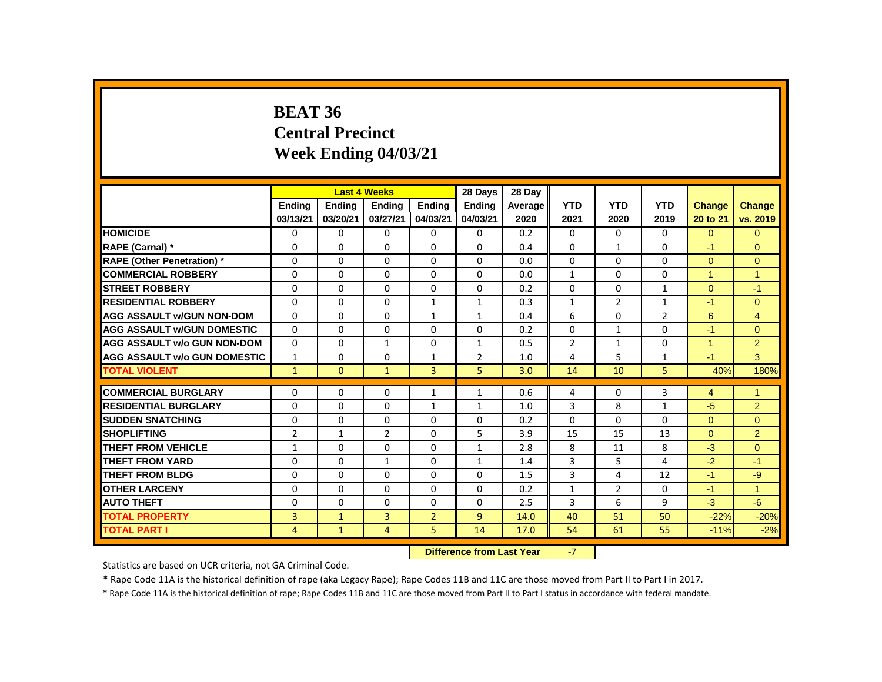# **BEAT 36 Central Precinct Week Ending 04/03/21**

|                                     |                |                                          | <b>Last 4 Weeks</b> |                | 28 Days        | 28 Day  |                |                |                |                |                |
|-------------------------------------|----------------|------------------------------------------|---------------------|----------------|----------------|---------|----------------|----------------|----------------|----------------|----------------|
|                                     | <b>Endina</b>  | <b>Ending</b>                            | <b>Ending</b>       | <b>Ending</b>  | <b>Ending</b>  | Average | <b>YTD</b>     | <b>YTD</b>     | <b>YTD</b>     | <b>Change</b>  | <b>Change</b>  |
|                                     | 03/13/21       | 03/20/21                                 | 03/27/21            | 04/03/21       | 04/03/21       | 2020    | 2021           | 2020           | 2019           | 20 to 21       | vs. 2019       |
| <b>HOMICIDE</b>                     | $\Omega$       | 0                                        | 0                   | 0              | $\mathbf{0}$   | 0.2     | $\Omega$       | $\Omega$       | $\Omega$       | $\Omega$       | $\Omega$       |
| RAPE (Carnal) *                     | 0              | $\Omega$                                 | $\Omega$            | $\Omega$       | 0              | 0.4     | $\Omega$       | $\mathbf{1}$   | $\Omega$       | -1             | $\Omega$       |
| <b>RAPE (Other Penetration) *</b>   | $\Omega$       | $\Omega$                                 | $\Omega$            | $\Omega$       | $\Omega$       | 0.0     | $\Omega$       | $\Omega$       | $\Omega$       | $\Omega$       | $\Omega$       |
| <b>COMMERCIAL ROBBERY</b>           | $\Omega$       | $\Omega$                                 | $\Omega$            | $\Omega$       | $\Omega$       | 0.0     | $\mathbf{1}$   | $\Omega$       | $\Omega$       | $\overline{1}$ | $\overline{1}$ |
| <b>STREET ROBBERY</b>               | $\Omega$       | $\Omega$                                 | $\Omega$            | $\Omega$       | 0              | 0.2     | $\Omega$       | $\Omega$       | $\mathbf{1}$   | $\Omega$       | $-1$           |
| <b>RESIDENTIAL ROBBERY</b>          | $\Omega$       | 0                                        | 0                   | $\mathbf{1}$   | 1              | 0.3     | $\mathbf{1}$   | $\overline{2}$ | 1              | $-1$           | $\overline{0}$ |
| <b>AGG ASSAULT W/GUN NON-DOM</b>    | $\Omega$       | $\Omega$                                 | $\Omega$            | $\mathbf{1}$   | $\mathbf{1}$   | 0.4     | 6              | $\Omega$       | $\overline{2}$ | 6              | $\overline{4}$ |
| <b>AGG ASSAULT W/GUN DOMESTIC</b>   | $\Omega$       | $\Omega$                                 | $\Omega$            | $\Omega$       | 0              | 0.2     | $\Omega$       | $\mathbf{1}$   | $\Omega$       | $-1$           | $\Omega$       |
| <b>AGG ASSAULT w/o GUN NON-DOM</b>  | $\Omega$       | $\Omega$                                 | $\mathbf{1}$        | $\Omega$       | $\mathbf{1}$   | 0.5     | $\overline{2}$ | $\mathbf{1}$   | $\Omega$       | $\overline{1}$ | $\overline{2}$ |
| <b>AGG ASSAULT W/o GUN DOMESTIC</b> | $\mathbf{1}$   | $\Omega$                                 | $\Omega$            | $\mathbf{1}$   | $\overline{2}$ | 1.0     | 4              | 5              | $\mathbf{1}$   | $-1$           | 3              |
| <b>TOTAL VIOLENT</b>                | $\mathbf{1}$   | $\Omega$                                 | $\mathbf{1}$        | 3              | 5              | 3.0     | 14             | 10             | 5              | 40%            | 180%           |
| <b>COMMERCIAL BURGLARY</b>          | 0              | $\Omega$                                 | $\Omega$            | $\mathbf{1}$   | $\mathbf{1}$   | 0.6     | 4              | $\mathbf{0}$   | 3              | $\overline{4}$ | $\overline{1}$ |
| <b>RESIDENTIAL BURGLARY</b>         | 0              | 0                                        | 0                   | $\mathbf{1}$   | $\mathbf{1}$   | 1.0     | 3              | 8              | $\mathbf{1}$   | $-5$           | $\overline{2}$ |
| <b>SUDDEN SNATCHING</b>             | $\Omega$       | 0                                        | $\Omega$            | 0              | 0              | 0.2     | $\Omega$       | 0              | $\Omega$       | $\Omega$       | $\Omega$       |
| <b>SHOPLIFTING</b>                  | $\overline{2}$ | $\mathbf{1}$                             | $\overline{2}$      | $\Omega$       | 5              | 3.9     | 15             | 15             | 13             | $\Omega$       | $\overline{2}$ |
| <b>THEFT FROM VEHICLE</b>           | $\mathbf{1}$   | $\Omega$                                 | $\Omega$            | $\Omega$       | $\mathbf{1}$   | 2.8     | 8              | 11             | 8              | $-3$           | $\overline{0}$ |
| <b>THEFT FROM YARD</b>              | $\Omega$       | $\Omega$                                 | $\mathbf{1}$        | $\Omega$       | $\mathbf{1}$   | 1.4     | 3              | 5              | 4              | $-2$           | $-1$           |
| <b>THEFT FROM BLDG</b>              | 0              | 0                                        | 0                   | 0              | 0              | 1.5     | 3              | 4              | 12             | $-1$           | $-9$           |
| <b>OTHER LARCENY</b>                | $\Omega$       |                                          | $\Omega$            | $\Omega$       | 0              |         |                | $\overline{2}$ | $\Omega$       | $-1$           | $\overline{1}$ |
|                                     |                | 0                                        |                     |                |                | 0.2     | $\mathbf{1}$   |                |                |                |                |
| <b>AUTO THEFT</b>                   | $\Omega$       | $\Omega$                                 | $\Omega$            | $\Omega$       | $\Omega$       | 2.5     | 3              | 6              | 9              | $-3$           | $-6$           |
| <b>TOTAL PROPERTY</b>               | 3              | $\mathbf{1}$                             | $\overline{3}$      | $\overline{2}$ | $\overline{9}$ | 14.0    | 40             | 51             | 50             | $-22%$         | $-20%$         |
| <b>TOTAL PART I</b>                 | $\overline{4}$ | $\mathbf{1}$                             | $\overline{4}$      | 5              | 14             | 17.0    | 54             | 61             | 55             | $-11%$         | $-2%$          |
|                                     |                | <b>International Control Local March</b> |                     | $\overline{ }$ |                |         |                |                |                |                |                |

**Difference from Last Year -7** 

Statistics are based on UCR criteria, not GA Criminal Code.

\* Rape Code 11A is the historical definition of rape (aka Legacy Rape); Rape Codes 11B and 11C are those moved from Part II to Part I in 2017.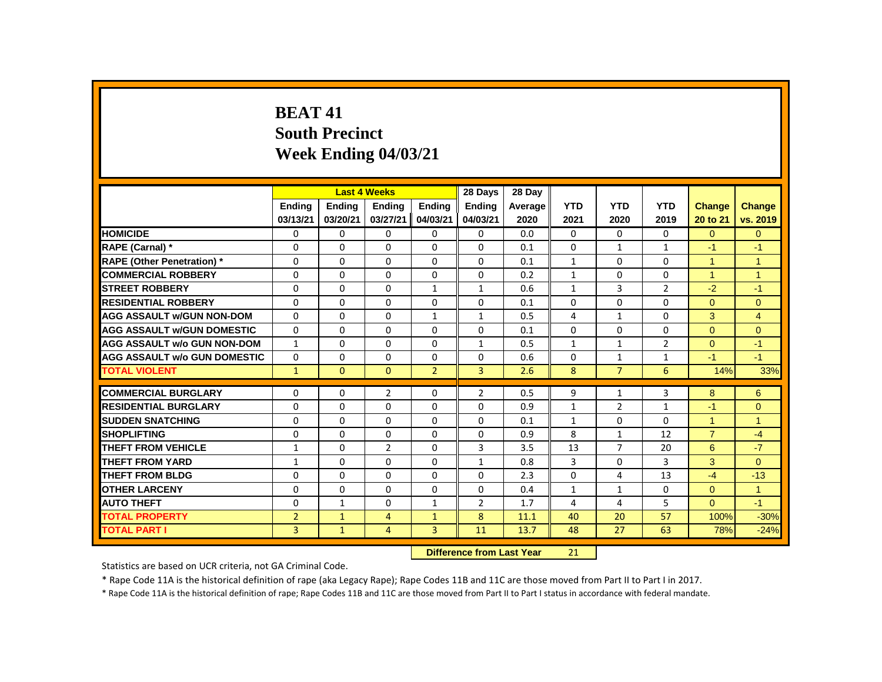# **BEAT 41 South Precinct Week Ending 04/03/21**

|                                     |                |              | <b>Last 4 Weeks</b> |                | 28 Days                          | 28 Dav  |              |                |                |                      |                |
|-------------------------------------|----------------|--------------|---------------------|----------------|----------------------------------|---------|--------------|----------------|----------------|----------------------|----------------|
|                                     | Ending         | Ending       | <b>Ending</b>       | <b>Ending</b>  | <b>Ending</b>                    | Average | <b>YTD</b>   | <b>YTD</b>     | <b>YTD</b>     | <b>Change</b>        | <b>Change</b>  |
|                                     | 03/13/21       | 03/20/21     | 03/27/21            | 04/03/21       | 04/03/21                         | 2020    | 2021         | 2020           | 2019           | 20 to 21             | vs. 2019       |
| <b>HOMICIDE</b>                     | 0              | $\mathbf 0$  | 0                   | $\mathbf 0$    | $\mathbf 0$                      | 0.0     | $\mathbf{0}$ | 0              | 0              | $\overline{0}$       | $\overline{0}$ |
| <b>RAPE (Carnal) *</b>              | 0              | $\Omega$     | $\Omega$            | $\Omega$       | $\Omega$                         | 0.1     | $\Omega$     | $\mathbf{1}$   | $\mathbf{1}$   | $-1$                 | $-1$           |
| <b>RAPE (Other Penetration)</b> *   | 0              | $\Omega$     | $\Omega$            | $\Omega$       | $\Omega$                         | 0.1     | $\mathbf{1}$ | $\Omega$       | $\Omega$       | $\overline{1}$       | $\overline{1}$ |
| <b>COMMERCIAL ROBBERY</b>           | $\Omega$       | $\Omega$     | $\Omega$            | $\mathbf{0}$   | $\Omega$                         | 0.2     | $\mathbf{1}$ | $\Omega$       | $\Omega$       | $\blacktriangleleft$ | $\overline{1}$ |
| <b>ISTREET ROBBERY</b>              | 0              | $\mathbf{0}$ | 0                   | $\mathbf{1}$   | $\mathbf{1}$                     | 0.6     | 1            | 3              | $\overline{2}$ | $-2$                 | $-1$           |
| <b>RESIDENTIAL ROBBERY</b>          | $\Omega$       | $\Omega$     | $\Omega$            | $\Omega$       | $\Omega$                         | 0.1     | $\Omega$     | $\Omega$       | $\Omega$       | $\Omega$             | $\overline{0}$ |
| <b>AGG ASSAULT W/GUN NON-DOM</b>    | $\Omega$       | $\Omega$     | $\Omega$            | $\mathbf{1}$   | $\mathbf{1}$                     | 0.5     | 4            | $\mathbf{1}$   | $\Omega$       | 3                    | $\overline{4}$ |
| <b>AGG ASSAULT W/GUN DOMESTIC</b>   | $\Omega$       | $\Omega$     | $\Omega$            | $\Omega$       | $\Omega$                         | 0.1     | $\Omega$     | $\Omega$       | $\Omega$       | $\Omega$             | $\Omega$       |
| <b>AGG ASSAULT w/o GUN NON-DOM</b>  | $\mathbf{1}$   | $\Omega$     | 0                   | $\mathbf{0}$   | $\mathbf{1}$                     | 0.5     | $\mathbf{1}$ | $\mathbf{1}$   | $\overline{2}$ | $\Omega$             | $-1$           |
| <b>AGG ASSAULT w/o GUN DOMESTIC</b> | $\Omega$       | $\Omega$     | $\Omega$            | $\Omega$       | $\Omega$                         | 0.6     | $\Omega$     | $\mathbf{1}$   | $\mathbf{1}$   | $-1$                 | $-1$           |
| <b>TOTAL VIOLENT</b>                | $\mathbf{1}$   | $\mathbf{0}$ | $\mathbf{0}$        | $\overline{2}$ | $\overline{3}$                   | 2.6     | 8            | $\overline{7}$ | 6              | 14%                  | 33%            |
| <b>COMMERCIAL BURGLARY</b>          | 0              | 0            | $\overline{2}$      | 0              | $\overline{2}$                   | 0.5     | 9            | 1              | 3              | 8                    | 6              |
| <b>RESIDENTIAL BURGLARY</b>         | 0              | $\Omega$     | 0                   | $\Omega$       | $\Omega$                         | 0.9     | $\mathbf{1}$ | $\overline{2}$ | $\mathbf{1}$   | $-1$                 | $\mathbf{0}$   |
| <b>SUDDEN SNATCHING</b>             | $\Omega$       | 0            | 0                   | 0              | 0                                | 0.1     | $\mathbf{1}$ | $\Omega$       | $\Omega$       | $\blacktriangleleft$ | $\overline{1}$ |
| <b>SHOPLIFTING</b>                  | 0              | $\Omega$     | 0                   | $\mathbf{0}$   | $\Omega$                         | 0.9     | 8            | $\mathbf{1}$   | 12             | $\overline{7}$       | $-4$           |
| <b>THEFT FROM VEHICLE</b>           | $\mathbf{1}$   | $\Omega$     | $\overline{2}$      | $\Omega$       | 3                                | 3.5     | 13           | $\overline{7}$ | 20             | 6                    | $-7$           |
| <b>THEFT FROM YARD</b>              | $\mathbf{1}$   | $\Omega$     | $\Omega$            | $\Omega$       | $\mathbf{1}$                     | 0.8     | 3            | $\Omega$       | 3              | 3                    | $\overline{0}$ |
| <b>THEFT FROM BLDG</b>              | $\Omega$       | $\mathbf{0}$ | 0                   | $\mathbf{0}$   | $\Omega$                         | 2.3     | $\Omega$     | 4              | 13             | $-4$                 | $-13$          |
| <b>OTHER LARCENY</b>                | 0              | 0            | 0                   | 0              | 0                                | 0.4     | $\mathbf{1}$ | $\mathbf{1}$   | 0              | $\overline{0}$       | $\overline{1}$ |
| <b>AUTO THEFT</b>                   | 0              | $\mathbf{1}$ | 0                   | $\mathbf{1}$   | $\overline{2}$                   | 1.7     | 4            | 4              | 5              | $\Omega$             | $-1$           |
| <b>TOTAL PROPERTY</b>               | $\overline{2}$ | $\mathbf{1}$ | $\overline{4}$      | $\mathbf{1}$   | 8                                | 11.1    | 40           | 20             | 57             | 100%                 | $-30%$         |
| <b>TOTAL PART I</b>                 | 3              | $\mathbf{1}$ | 4                   | 3              | 11                               | 13.7    | 48           | 27             | 63             | 78%                  | $-24%$         |
|                                     |                |              |                     |                | <b>Difference from Last Year</b> |         | 21           |                |                |                      |                |

Statistics are based on UCR criteria, not GA Criminal Code.

\* Rape Code 11A is the historical definition of rape (aka Legacy Rape); Rape Codes 11B and 11C are those moved from Part II to Part I in 2017.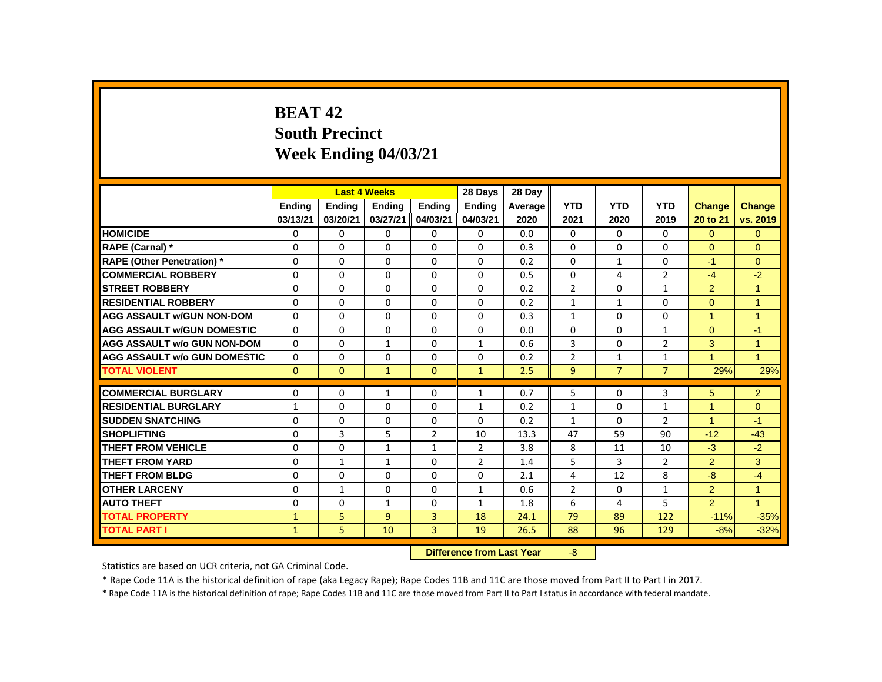# **BEAT 42 South Precinct Week Ending 04/03/21**

|                                     |              |              | <b>Last 4 Weeks</b> |                | 28 Days                   | 28 Day  |                |                |                |                      |                |
|-------------------------------------|--------------|--------------|---------------------|----------------|---------------------------|---------|----------------|----------------|----------------|----------------------|----------------|
|                                     | Ending       | Ending       | <b>Ending</b>       | Ending         | <b>Ending</b>             | Average | <b>YTD</b>     | <b>YTD</b>     | <b>YTD</b>     | <b>Change</b>        | Change         |
|                                     | 03/13/21     | 03/20/21     | 03/27/21            | 04/03/21       | 04/03/21                  | 2020    | 2021           | 2020           | 2019           | 20 to 21             | vs. 2019       |
| <b>HOMICIDE</b>                     | 0            | 0            | 0                   | 0              | 0                         | 0.0     | $\mathbf{0}$   | $\mathbf{0}$   | $\mathbf{0}$   | $\overline{0}$       | $\overline{0}$ |
| RAPE (Carnal) *                     | $\Omega$     | $\Omega$     | $\Omega$            | $\Omega$       | $\Omega$                  | 0.3     | 0              | $\Omega$       | $\Omega$       | $\Omega$             | $\Omega$       |
| <b>RAPE (Other Penetration) *</b>   | $\Omega$     | $\Omega$     | $\Omega$            | $\Omega$       | $\Omega$                  | 0.2     | $\Omega$       | $\mathbf{1}$   | $\Omega$       | $-1$                 | $\Omega$       |
| <b>COMMERCIAL ROBBERY</b>           | $\Omega$     | $\Omega$     | $\Omega$            | $\Omega$       | $\Omega$                  | 0.5     | $\Omega$       | 4              | $\overline{2}$ | $-4$                 | $-2$           |
| <b>STREET ROBBERY</b>               | $\Omega$     | $\Omega$     | $\Omega$            | $\Omega$       | $\Omega$                  | 0.2     | $\overline{2}$ | $\Omega$       | $\mathbf{1}$   | $\overline{2}$       | $\mathbf{1}$   |
| <b>RESIDENTIAL ROBBERY</b>          | 0            | 0            | $\Omega$            | $\mathbf{0}$   | 0                         | 0.2     | $\mathbf{1}$   | $\mathbf{1}$   | 0              | $\mathbf{0}$         | $\overline{1}$ |
| <b>AGG ASSAULT W/GUN NON-DOM</b>    | $\Omega$     | $\Omega$     | $\Omega$            | $\Omega$       | 0                         | 0.3     | $\mathbf{1}$   | $\Omega$       | $\Omega$       | $\overline{1}$       | $\overline{1}$ |
| <b>AGG ASSAULT w/GUN DOMESTIC</b>   | $\Omega$     | $\Omega$     | $\mathbf 0$         | $\Omega$       | 0                         | 0.0     | $\mathbf 0$    | $\Omega$       | $\mathbf{1}$   | $\Omega$             | $-1$           |
| <b>AGG ASSAULT w/o GUN NON-DOM</b>  | $\Omega$     | $\Omega$     | $\mathbf{1}$        | $\Omega$       | $\mathbf{1}$              | 0.6     | 3              | $\Omega$       | $\overline{2}$ | 3                    | $\mathbf{1}$   |
| <b>AGG ASSAULT W/o GUN DOMESTIC</b> | $\Omega$     | $\Omega$     | $\Omega$            | $\Omega$       | $\Omega$                  | 0.2     | $\overline{2}$ | $\mathbf{1}$   | $\mathbf{1}$   | $\blacktriangleleft$ | $\overline{1}$ |
| <b>TOTAL VIOLENT</b>                | $\Omega$     | $\mathbf{0}$ | $\mathbf{1}$        | $\Omega$       | $\mathbf{1}$              | 2.5     | 9              | $\overline{7}$ | $\overline{7}$ | 29%                  | 29%            |
| <b>COMMERCIAL BURGLARY</b>          | $\Omega$     | $\Omega$     | $\mathbf{1}$        | $\Omega$       | $\mathbf{1}$              | 0.7     | 5              | $\Omega$       | 3              | 5                    | $\overline{2}$ |
| <b>RESIDENTIAL BURGLARY</b>         | $\mathbf{1}$ | 0            | $\Omega$            | $\mathbf{0}$   | $\mathbf{1}$              | 0.2     | $\mathbf{1}$   | $\mathbf{0}$   | $\mathbf{1}$   | $\overline{1}$       | $\Omega$       |
| <b>SUDDEN SNATCHING</b>             | 0            | 0            | 0                   | 0              | $\Omega$                  | 0.2     | $\mathbf{1}$   | $\Omega$       | $\overline{2}$ | $\mathbf{1}$         | $-1$           |
| <b>SHOPLIFTING</b>                  | $\Omega$     | 3            | 5                   | $\overline{2}$ | 10                        | 13.3    | 47             | 59             | 90             | $-12$                | $-43$          |
| <b>THEFT FROM VEHICLE</b>           | $\Omega$     | $\Omega$     | $\mathbf{1}$        | $\mathbf{1}$   | $\overline{2}$            | 3.8     | 8              | 11             | 10             | $-3$                 | $-2$           |
| <b>THEFT FROM YARD</b>              | $\Omega$     | $\mathbf{1}$ | $\mathbf{1}$        | $\Omega$       | $\overline{2}$            | 1.4     | 5              | 3              | $\overline{2}$ | $\overline{2}$       | 3              |
| <b>THEFT FROM BLDG</b>              | $\Omega$     | $\Omega$     | $\Omega$            | $\Omega$       | $\Omega$                  | 2.1     | 4              | 12             | 8              | $-8-$                | $-4$           |
| <b>OTHER LARCENY</b>                | 0            | $\mathbf{1}$ | 0                   | 0              | $\mathbf{1}$              | 0.6     | $\overline{2}$ | 0              | $\mathbf{1}$   | $\overline{2}$       | $\mathbf{1}$   |
| <b>AUTO THEFT</b>                   | $\Omega$     | $\Omega$     | $\mathbf{1}$        | $\Omega$       | $\mathbf{1}$              | 1.8     | 6              | 4              | 5              | $\overline{2}$       | $\mathbf{1}$   |
| <b>TOTAL PROPERTY</b>               | $\mathbf{1}$ | 5            | $\overline{9}$      | 3              | 18                        | 24.1    | 79             | 89             | 122            | $-11%$               | $-35%$         |
| <b>TOTAL PART I</b>                 | $\mathbf{1}$ | 5            | 10                  | $\overline{3}$ | 19                        | 26.5    | 88             | 96             | 129            | $-8%$                | $-32%$         |
|                                     |              |              |                     |                | Difference from Last Vear |         | $\Omega$       |                |                |                      |                |

**Difference from Last Year** 

Statistics are based on UCR criteria, not GA Criminal Code.

\* Rape Code 11A is the historical definition of rape (aka Legacy Rape); Rape Codes 11B and 11C are those moved from Part II to Part I in 2017.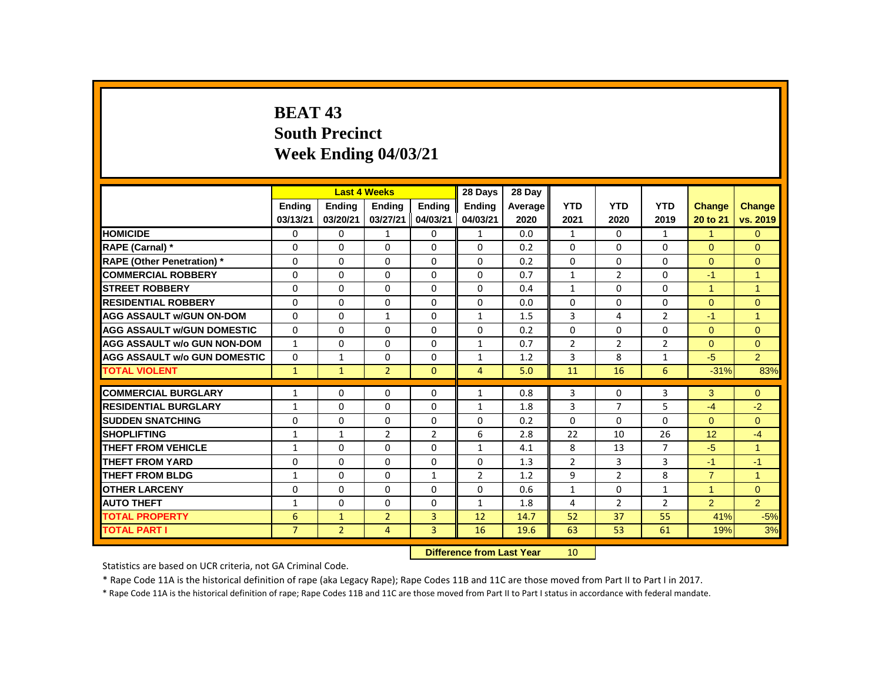# **BEAT 43 South Precinct Week Ending 04/03/21**

|                                     |                |                | <b>Last 4 Weeks</b> |                | 28 Days                   | 28 Day  |                 |                |                |                |                      |
|-------------------------------------|----------------|----------------|---------------------|----------------|---------------------------|---------|-----------------|----------------|----------------|----------------|----------------------|
|                                     | Ending         | Ending         | <b>Ending</b>       | Ending         | Ending                    | Average | <b>YTD</b>      | <b>YTD</b>     | <b>YTD</b>     | Change         | <b>Change</b>        |
|                                     | 03/13/21       | 03/20/21       | 03/27/21            | 04/03/21       | 04/03/21                  | 2020    | 2021            | 2020           | 2019           | 20 to 21       | vs. 2019             |
| <b>HOMICIDE</b>                     | 0              | 0              | $\mathbf{1}$        | 0              | $\mathbf{1}$              | 0.0     | $\mathbf{1}$    | 0              | $\mathbf{1}$   | $\mathbf{1}$   | $\overline{0}$       |
| <b>RAPE (Carnal)</b> *              | 0              | $\Omega$       | $\Omega$            | 0              | $\Omega$                  | 0.2     | $\Omega$        | 0              | $\Omega$       | $\Omega$       | $\Omega$             |
| <b>RAPE (Other Penetration) *</b>   | $\Omega$       | $\Omega$       | $\Omega$            | $\Omega$       | $\Omega$                  | 0.2     | $\Omega$        | $\Omega$       | $\Omega$       | $\Omega$       | $\overline{0}$       |
| <b>COMMERCIAL ROBBERY</b>           | $\Omega$       | $\Omega$       | $\Omega$            | $\Omega$       | $\Omega$                  | 0.7     | $\mathbf{1}$    | $\overline{2}$ | $\Omega$       | $-1$           | $\overline{1}$       |
| <b>ISTREET ROBBERY</b>              | 0              | $\Omega$       | $\Omega$            | $\Omega$       | $\Omega$                  | 0.4     | $\mathbf{1}$    | $\Omega$       | $\Omega$       | $\mathbf{1}$   | $\mathbf{1}$         |
| <b>RESIDENTIAL ROBBERY</b>          | $\Omega$       | $\Omega$       | $\Omega$            | $\Omega$       | $\Omega$                  | 0.0     | $\Omega$        | $\Omega$       | $\Omega$       | $\Omega$       | $\Omega$             |
| <b>AGG ASSAULT W/GUN ON-DOM</b>     | $\Omega$       | $\Omega$       | $\mathbf{1}$        | $\Omega$       | $\mathbf{1}$              | 1.5     | 3               | 4              | $\overline{2}$ | $-1$           | $\mathbf{1}$         |
| <b>AGG ASSAULT W/GUN DOMESTIC</b>   | $\Omega$       | 0              | $\Omega$            | 0              | 0                         | 0.2     | 0               | 0              | 0              | $\overline{0}$ | $\overline{0}$       |
| <b>AGG ASSAULT w/o GUN NON-DOM</b>  | $\mathbf{1}$   | 0              | $\Omega$            | 0              | $\mathbf{1}$              | 0.7     | $\overline{2}$  | $\overline{2}$ | $\overline{2}$ | $\Omega$       | $\mathbf{0}$         |
| <b>AGG ASSAULT W/o GUN DOMESTIC</b> | $\Omega$       | $\mathbf{1}$   | $\Omega$            | $\Omega$       | $\mathbf{1}$              | 1.2     | 3               | 8              | $\mathbf{1}$   | $-5$           | $\overline{2}$       |
| <b>TOTAL VIOLENT</b>                | $\mathbf{1}$   | $\mathbf{1}$   | $\overline{2}$      | $\mathbf{0}$   | 4                         | 5.0     | 11              | 16             | 6              | $-31%$         | 83%                  |
| <b>COMMERCIAL BURGLARY</b>          | $\mathbf{1}$   | 0              | 0                   | 0              | $\mathbf{1}$              | 0.8     | 3               | 0              | 3              | 3              | $\mathbf{0}$         |
| <b>RESIDENTIAL BURGLARY</b>         | $\mathbf{1}$   | 0              | 0                   | 0              | $\mathbf{1}$              | 1.8     | 3               | 7              | 5              | $-4$           | $-2$                 |
| <b>SUDDEN SNATCHING</b>             | $\Omega$       | $\Omega$       | $\Omega$            | $\Omega$       | $\Omega$                  | 0.2     | $\Omega$        | $\Omega$       | $\Omega$       | $\Omega$       | $\Omega$             |
| <b>SHOPLIFTING</b>                  | $\mathbf{1}$   | $\mathbf{1}$   | 2                   | $\overline{2}$ | 6                         | 2.8     | 22              | 10             | 26             | 12             | $-4$                 |
| <b>THEFT FROM VEHICLE</b>           | $\mathbf{1}$   | $\Omega$       | $\Omega$            | $\Omega$       | $\mathbf{1}$              | 4.1     | 8               | 13             | $\overline{7}$ | $-5$           | $\blacktriangleleft$ |
| <b>THEFT FROM YARD</b>              | $\Omega$       | $\Omega$       | $\Omega$            | $\Omega$       | $\Omega$                  | 1.3     | $\overline{2}$  | 3              | 3              | $-1$           | $-1$                 |
| <b>THEFT FROM BLDG</b>              | $\mathbf{1}$   | $\Omega$       | $\Omega$            | $\mathbf{1}$   | $\overline{2}$            | 1.2     | 9               | $\overline{2}$ | 8              | $\overline{7}$ | $\mathbf{1}$         |
| <b>OTHER LARCENY</b>                | 0              | $\Omega$       | $\Omega$            | $\Omega$       | 0                         | 0.6     | $\mathbf{1}$    | 0              | $\mathbf{1}$   | $\mathbf{1}$   | $\overline{0}$       |
| <b>AUTO THEFT</b>                   | $\mathbf{1}$   | $\Omega$       | $\Omega$            | $\Omega$       | $\mathbf{1}$              | 1.8     | 4               | $\overline{2}$ | $\overline{2}$ | $\overline{2}$ | $\overline{2}$       |
| <b>TOTAL PROPERTY</b>               | 6              | $\mathbf{1}$   | $\overline{2}$      | 3              | 12                        | 14.7    | 52              | 37             | 55             | 41%            | $-5%$                |
| <b>TOTAL PART I</b>                 | $\overline{7}$ | $\overline{2}$ | 4                   | $\overline{3}$ | 16                        | 19.6    | 63              | 53             | 61             | 19%            | 3%                   |
|                                     |                |                |                     |                | Difference from Last Year |         | 10 <sub>1</sub> |                |                |                |                      |

 **Difference from Last Year** 10

Statistics are based on UCR criteria, not GA Criminal Code.

\* Rape Code 11A is the historical definition of rape (aka Legacy Rape); Rape Codes 11B and 11C are those moved from Part II to Part I in 2017.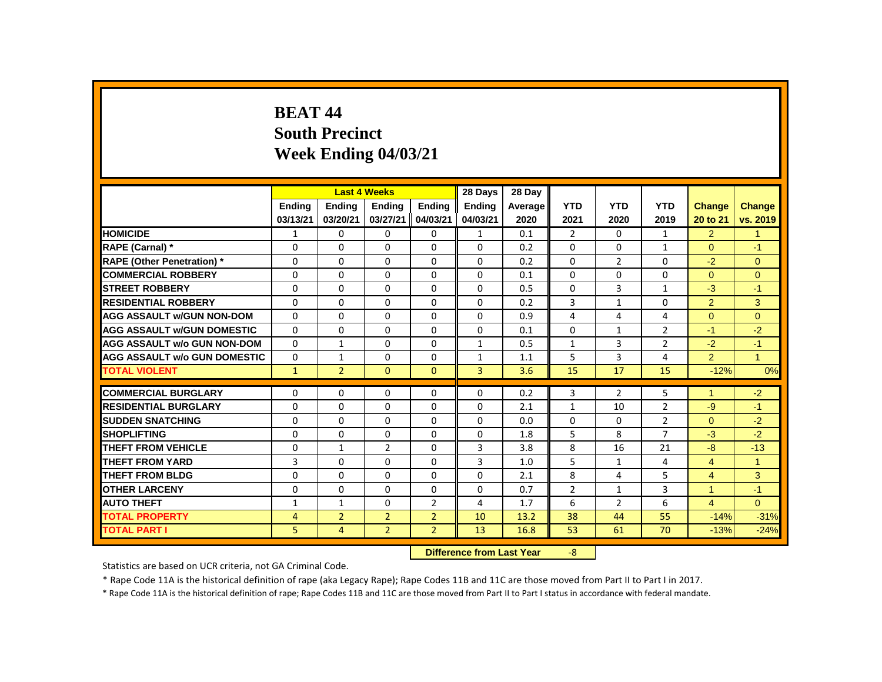# **BEAT 44 South Precinct Week Ending 04/03/21**

|                                     |               |                | <b>Last 4 Weeks</b> |                | 28 Days                   | 28 Day  |                         |                |                |                |                |
|-------------------------------------|---------------|----------------|---------------------|----------------|---------------------------|---------|-------------------------|----------------|----------------|----------------|----------------|
|                                     | <b>Ending</b> | <b>Ending</b>  | <b>Ending</b>       | <b>Ending</b>  | <b>Ending</b>             | Average | <b>YTD</b>              | <b>YTD</b>     | <b>YTD</b>     | Change         | Change         |
|                                     | 03/13/21      | 03/20/21       | 03/27/21            | 04/03/21       | 04/03/21                  | 2020    | 2021                    | 2020           | 2019           | 20 to 21       | vs. 2019       |
| <b>HOMICIDE</b>                     | 1             | 0              | 0                   | 0              | $\mathbf{1}$              | 0.1     | 2                       | 0              | $\mathbf{1}$   | $\overline{2}$ | $\mathbf{1}$   |
| <b>RAPE (Carnal)*</b>               | 0             | 0              | 0                   | 0              | 0                         | 0.2     | $\Omega$                | 0              | $\mathbf{1}$   | $\Omega$       | $-1$           |
| <b>RAPE (Other Penetration) *</b>   | $\Omega$      | $\Omega$       | $\Omega$            | $\Omega$       | $\Omega$                  | 0.2     | $\Omega$                | $\overline{2}$ | $\Omega$       | $-2$           | $\overline{0}$ |
| <b>COMMERCIAL ROBBERY</b>           | $\Omega$      | $\Omega$       | $\Omega$            | $\Omega$       | $\Omega$                  | 0.1     | $\Omega$                | $\Omega$       | $\Omega$       | $\Omega$       | $\Omega$       |
| <b>STREET ROBBERY</b>               | 0             | 0              | 0                   | 0              | 0                         | 0.5     | 0                       | 3              | $\mathbf{1}$   | $-3$           | $-1$           |
| <b>RESIDENTIAL ROBBERY</b>          | $\Omega$      | $\Omega$       | $\Omega$            | $\Omega$       | $\Omega$                  | 0.2     | 3                       | $\mathbf{1}$   | $\Omega$       | $\overline{2}$ | 3              |
| <b>AGG ASSAULT W/GUN NON-DOM</b>    | 0             | $\Omega$       | $\Omega$            | 0              | 0                         | 0.9     | 4                       | 4              | 4              | $\Omega$       | $\Omega$       |
| <b>AGG ASSAULT W/GUN DOMESTIC</b>   | $\Omega$      | $\Omega$       | $\Omega$            | $\Omega$       | $\Omega$                  | 0.1     | $\Omega$                | $\mathbf{1}$   | $\overline{2}$ | $-1$           | $-2$           |
| <b>AGG ASSAULT w/o GUN NON-DOM</b>  | $\Omega$      | $\mathbf{1}$   | $\Omega$            | $\Omega$       | $\mathbf{1}$              | 0.5     | $\mathbf{1}$            | 3              | $\overline{2}$ | $-2$           | $-1$           |
| <b>AGG ASSAULT W/o GUN DOMESTIC</b> | 0             | $\mathbf{1}$   | 0                   | 0              | $\mathbf{1}$              | 1.1     | 5                       | 3              | 4              | $\overline{2}$ | $\mathbf{1}$   |
| <b>TOTAL VIOLENT</b>                | $\mathbf{1}$  | $\overline{2}$ | $\mathbf{0}$        | $\mathbf{0}$   | $\overline{3}$            | 3.6     | 15                      | 17             | 15             | $-12%$         | 0%             |
| <b>COMMERCIAL BURGLARY</b>          | 0             | 0              | 0                   | 0              | 0                         | 0.2     | 3                       | $\overline{2}$ | 5              | $\overline{1}$ | $-2$           |
| <b>RESIDENTIAL BURGLARY</b>         | $\Omega$      | $\Omega$       | $\Omega$            | $\Omega$       | $\Omega$                  | 2.1     | $\mathbf{1}$            | 10             | $\overline{2}$ | $-9$           | $-1$           |
| <b>SUDDEN SNATCHING</b>             | $\Omega$      | $\Omega$       | $\Omega$            | $\Omega$       | $\Omega$                  | 0.0     | $\Omega$                | $\mathbf{0}$   | 2              | $\Omega$       | $-2$           |
| <b>SHOPLIFTING</b>                  | $\Omega$      | $\Omega$       | $\Omega$            | $\Omega$       | $\Omega$                  | 1.8     | 5                       | 8              | $\overline{7}$ | $-3$           | $-2$           |
| <b>THEFT FROM VEHICLE</b>           | $\Omega$      | $\mathbf{1}$   | $\overline{2}$      | $\Omega$       | 3                         | 3.8     | 8                       | 16             | 21             | $-8$           | $-13$          |
| <b>THEFT FROM YARD</b>              | 3             | 0              | 0                   | 0              | 3                         | 1.0     | 5                       | $\mathbf{1}$   | 4              | $\overline{4}$ | $\overline{1}$ |
| <b>THEFT FROM BLDG</b>              | $\Omega$      | $\Omega$       | $\Omega$            | $\Omega$       | $\Omega$                  | 2.1     | 8                       | 4              | 5              | $\overline{4}$ | 3              |
| <b>OTHER LARCENY</b>                | $\Omega$      | $\Omega$       | $\Omega$            | $\Omega$       | $\Omega$                  | 0.7     | $\overline{2}$          | $\mathbf{1}$   | 3              | $\overline{1}$ | $-1$           |
| <b>AUTO THEFT</b>                   | $\mathbf{1}$  | $\mathbf{1}$   | $\Omega$            | $\overline{2}$ | 4                         | 1.7     | 6                       | $\overline{2}$ | 6              | $\overline{4}$ | $\Omega$       |
| <b>TOTAL PROPERTY</b>               | 4             | $\overline{2}$ | $\overline{2}$      | $\overline{2}$ | 10                        | 13.2    | 38                      | 44             | 55             | $-14%$         | $-31%$         |
| <b>TOTAL PART I</b>                 | 5             | 4              | $\overline{2}$      | $\overline{2}$ | 13                        | 16.8    | 53                      | 61             | 70             | $-13%$         | $-24%$         |
|                                     |               |                |                     |                | Difference from Last Year |         | $\overline{\mathbf{R}}$ |                |                |                |                |

 **Difference from Last Year** -8

Statistics are based on UCR criteria, not GA Criminal Code.

\* Rape Code 11A is the historical definition of rape (aka Legacy Rape); Rape Codes 11B and 11C are those moved from Part II to Part I in 2017.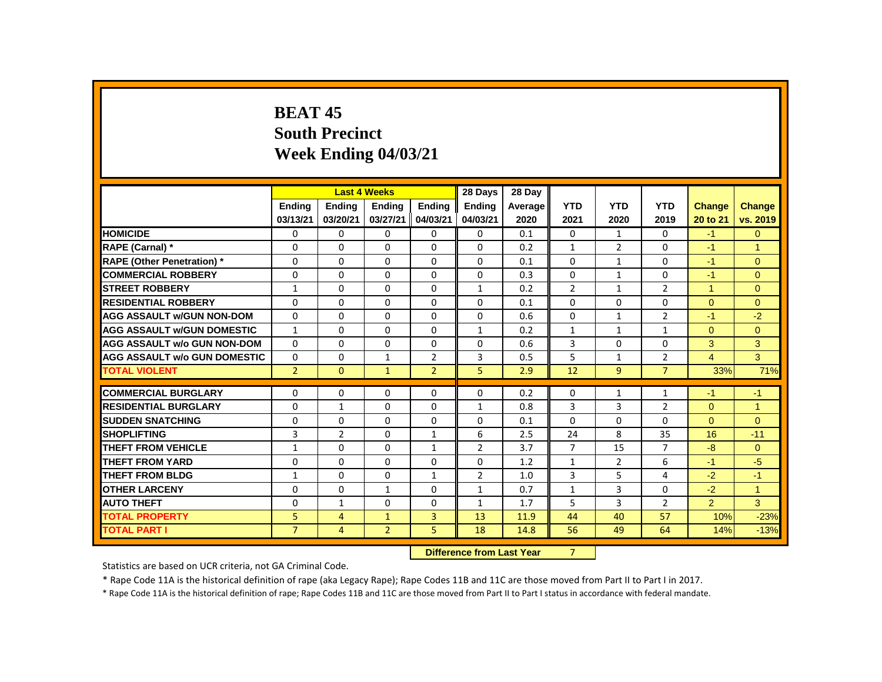# **BEAT 45 South Precinct Week Ending 04/03/21**

|                                     |                |                | <b>Last 4 Weeks</b> |                | 28 Days                   | 28 Day  |                |                |                |                |                      |
|-------------------------------------|----------------|----------------|---------------------|----------------|---------------------------|---------|----------------|----------------|----------------|----------------|----------------------|
|                                     | Ending         | <b>Ending</b>  | <b>Ending</b>       | <b>Ending</b>  | <b>Ending</b>             | Average | <b>YTD</b>     | <b>YTD</b>     | <b>YTD</b>     | Change         | <b>Change</b>        |
|                                     | 03/13/21       | 03/20/21       | 03/27/21            | 04/03/21       | 04/03/21                  | 2020    | 2021           | 2020           | 2019           | 20 to 21       | vs. 2019             |
| <b>HOMICIDE</b>                     | 0              | 0              | 0                   | 0              | 0                         | 0.1     | 0              | $\mathbf{1}$   | 0              | $-1$           | $\mathbf{0}$         |
| RAPE (Carnal) *                     | 0              | 0              | $\Omega$            | $\Omega$       | $\Omega$                  | 0.2     | $\mathbf{1}$   | $\overline{2}$ | 0              | $-1$           | 1                    |
| <b>RAPE (Other Penetration)</b> *   | 0              | 0              | $\Omega$            | $\mathbf 0$    | 0                         | 0.1     | $\Omega$       | $\mathbf{1}$   | 0              | $-1$           | $\mathbf{0}$         |
| <b>COMMERCIAL ROBBERY</b>           | $\mathbf{0}$   | $\mathbf{0}$   | $\Omega$            | $\Omega$       | $\Omega$                  | 0.3     | $\Omega$       | $\mathbf{1}$   | $\Omega$       | $-1$           | $\Omega$             |
| <b>STREET ROBBERY</b>               | $\mathbf{1}$   | 0              | $\Omega$            | $\Omega$       | $\mathbf{1}$              | 0.2     | $\overline{2}$ | $\mathbf{1}$   | $\overline{2}$ | $\mathbf{1}$   | $\Omega$             |
| <b>RESIDENTIAL ROBBERY</b>          | $\mathbf{0}$   | $\Omega$       | $\Omega$            | $\Omega$       | $\Omega$                  | 0.1     | $\Omega$       | $\Omega$       | 0              | $\Omega$       | $\Omega$             |
| <b>AGG ASSAULT w/GUN NON-DOM</b>    | $\mathbf{0}$   | $\Omega$       | $\Omega$            | $\Omega$       | 0                         | 0.6     | $\Omega$       | $\mathbf{1}$   | $\overline{2}$ | $-1$           | $-2$                 |
| <b>AGG ASSAULT W/GUN DOMESTIC</b>   | $\mathbf{1}$   | $\Omega$       | $\Omega$            | $\mathbf 0$    | $\mathbf{1}$              | 0.2     | $\mathbf{1}$   | $\mathbf{1}$   | $\mathbf{1}$   | $\Omega$       | $\overline{0}$       |
| <b>AGG ASSAULT w/o GUN NON-DOM</b>  | $\Omega$       | $\Omega$       | $\Omega$            | $\Omega$       | 0                         | 0.6     | 3              | $\Omega$       | 0              | 3              | 3                    |
| <b>AGG ASSAULT w/o GUN DOMESTIC</b> | $\Omega$       | 0              | 1                   | $\overline{2}$ | 3                         | 0.5     | 5              | 1              | $\overline{2}$ | $\overline{4}$ | 3                    |
| <b>TOTAL VIOLENT</b>                | $\overline{2}$ | $\mathbf{0}$   | $\mathbf{1}$        | $\overline{2}$ | 5                         | 2.9     | 12             | 9              | $\overline{7}$ | 33%            | 71%                  |
| <b>COMMERCIAL BURGLARY</b>          | 0              | 0              | $\Omega$            | 0              | 0                         | 0.2     | $\Omega$       | 1              | 1              | $-1$           | $-1$                 |
| <b>RESIDENTIAL BURGLARY</b>         | 0              | 1              | 0                   | 0              | $\mathbf{1}$              | 0.8     | 3              | 3              | $\overline{2}$ | $\mathbf{0}$   | $\blacktriangleleft$ |
| <b>SUDDEN SNATCHING</b>             | $\mathbf{0}$   | $\Omega$       | $\Omega$            | $\Omega$       | $\Omega$                  | 0.1     | $\Omega$       | $\Omega$       | $\Omega$       | $\Omega$       | $\Omega$             |
| <b>SHOPLIFTING</b>                  | 3              | $\overline{2}$ | $\Omega$            | $\mathbf{1}$   | 6                         | 2.5     | 24             | 8              | 35             | 16             | $-11$                |
| <b>THEFT FROM VEHICLE</b>           | 1              | $\Omega$       | $\Omega$            | $\mathbf{1}$   | $\mathfrak{p}$            | 3.7     | $\overline{7}$ | 15             | $\overline{7}$ | $-8$           | $\Omega$             |
| <b>THEFT FROM YARD</b>              | 0              | 0              | 0                   | 0              | 0                         | 1.2     | $\mathbf{1}$   | $\overline{2}$ | 6              | $-1$           | $-5$                 |
| <b>THEFT FROM BLDG</b>              | $\mathbf{1}$   | 0              | $\Omega$            | $\mathbf{1}$   | $\overline{2}$            | 1.0     | 3              | 5              | 4              | $-2$           | $-1$                 |
| <b>OTHER LARCENY</b>                | 0              | $\mathbf 0$    | 1                   | $\mathbf 0$    | 1                         | 0.7     | $\mathbf{1}$   | 3              | 0              | $-2$           | $\mathbf{1}$         |
| <b>AUTO THEFT</b>                   | $\Omega$       | $\mathbf{1}$   | $\Omega$            | $\Omega$       | $\mathbf{1}$              | 1.7     | 5              | 3              | $\overline{2}$ | $\overline{2}$ | 3                    |
| <b>TOTAL PROPERTY</b>               | 5              | 4              | $\mathbf{1}$        | 3              | 13                        | 11.9    | 44             | 40             | 57             | 10%            | $-23%$               |
| <b>TOTAL PART I</b>                 | $\overline{7}$ | 4              | $\overline{2}$      | 5              | 18                        | 14.8    | 56             | 49             | 64             | 14%            | $-13%$               |
|                                     |                |                |                     |                | Difference from Loot Vear |         | $\overline{ }$ |                |                |                |                      |

**Difference from Last Year** 

Statistics are based on UCR criteria, not GA Criminal Code.

\* Rape Code 11A is the historical definition of rape (aka Legacy Rape); Rape Codes 11B and 11C are those moved from Part II to Part I in 2017.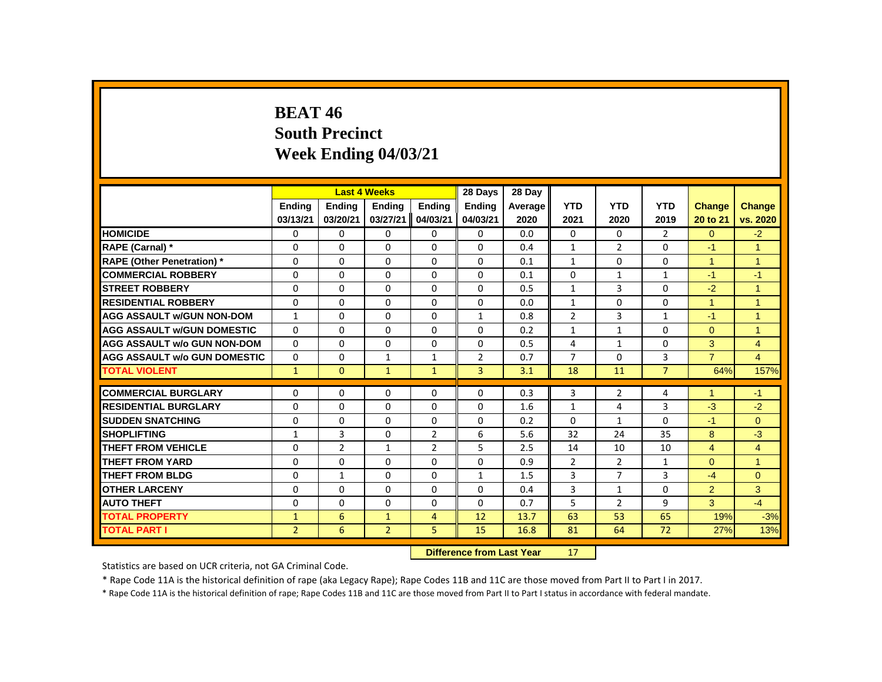# **BEAT 46 South Precinct Week Ending 04/03/21**

|                                     |                |                | <b>Last 4 Weeks</b> |                | 28 Days                   | 28 Day  |                |                |                |                |                |
|-------------------------------------|----------------|----------------|---------------------|----------------|---------------------------|---------|----------------|----------------|----------------|----------------|----------------|
|                                     | <b>Ending</b>  | <b>Ending</b>  | <b>Ending</b>       | Ending         | <b>Ending</b>             | Average | <b>YTD</b>     | <b>YTD</b>     | <b>YTD</b>     | <b>Change</b>  | Change         |
|                                     | 03/13/21       | 03/20/21       | 03/27/21            | 04/03/21       | 04/03/21                  | 2020    | 2021           | 2020           | 2019           | 20 to 21       | vs. 2020       |
| <b>HOMICIDE</b>                     | 0              | 0              | 0                   | 0              | 0                         | 0.0     | 0              | 0              | $\overline{2}$ | $\Omega$       | $-2$           |
| RAPE (Carnal) *                     | 0              | $\Omega$       | $\Omega$            | $\Omega$       | $\Omega$                  | 0.4     | $\mathbf{1}$   | $\overline{2}$ | $\Omega$       | $-1$           | $\overline{1}$ |
| <b>RAPE (Other Penetration)</b> *   | 0              | $\Omega$       | $\Omega$            | $\Omega$       | $\Omega$                  | 0.1     | $\mathbf{1}$   | $\Omega$       | $\Omega$       | $\overline{1}$ | $\overline{1}$ |
| <b>COMMERCIAL ROBBERY</b>           | $\Omega$       | $\Omega$       | $\Omega$            | $\Omega$       | $\Omega$                  | 0.1     | $\Omega$       | $\mathbf{1}$   | $\mathbf{1}$   | $-1$           | $-1$           |
| <b>STREET ROBBERY</b>               | 0              | 0              | 0                   | 0              | 0                         | 0.5     | $\mathbf{1}$   | 3              | 0              | $-2$           | $\overline{1}$ |
| <b>RESIDENTIAL ROBBERY</b>          | $\Omega$       | $\Omega$       | $\Omega$            | $\Omega$       | $\Omega$                  | 0.0     | $\mathbf{1}$   | $\Omega$       | $\Omega$       | $\mathbf{1}$   | $\overline{1}$ |
| <b>AGG ASSAULT W/GUN NON-DOM</b>    | $\mathbf{1}$   | $\Omega$       | $\Omega$            | $\Omega$       | $\mathbf{1}$              | 0.8     | $\overline{2}$ | 3              | $\mathbf{1}$   | $-1$           | $\overline{1}$ |
| <b>AGG ASSAULT w/GUN DOMESTIC</b>   | $\Omega$       | $\Omega$       | $\Omega$            | $\Omega$       | $\Omega$                  | 0.2     | $\mathbf{1}$   | $\mathbf{1}$   | $\Omega$       | $\Omega$       | $\overline{1}$ |
| <b>AGG ASSAULT w/o GUN NON-DOM</b>  | $\Omega$       | $\Omega$       | $\Omega$            | $\Omega$       | $\Omega$                  | 0.5     | 4              | $\mathbf{1}$   | $\Omega$       | 3              | $\overline{4}$ |
| <b>AGG ASSAULT W/o GUN DOMESTIC</b> | $\mathbf{0}$   | 0              | $\mathbf{1}$        | $\mathbf{1}$   | $\overline{2}$            | 0.7     | $\overline{7}$ | 0              | 3              | $\overline{7}$ | $\overline{4}$ |
| <b>TOTAL VIOLENT</b>                | $\mathbf{1}$   | $\mathbf{0}$   | $\mathbf{1}$        | $\mathbf{1}$   | $\overline{3}$            | 3.1     | 18             | 11             | $\overline{7}$ | 64%            | 157%           |
| <b>COMMERCIAL BURGLARY</b>          | 0              | 0              | 0                   | 0              | 0                         | 0.3     | 3              | $\overline{2}$ | 4              | $\overline{1}$ | $-1$           |
| <b>RESIDENTIAL BURGLARY</b>         | $\Omega$       | $\Omega$       | $\Omega$            | $\Omega$       | $\Omega$                  | 1.6     | $\mathbf{1}$   | 4              | $\overline{3}$ | $-3$           | $-2$           |
| <b>SUDDEN SNATCHING</b>             | 0              | $\Omega$       | $\Omega$            | $\Omega$       | 0                         | 0.2     | $\Omega$       | $\mathbf{1}$   | $\Omega$       | $-1$           | $\mathbf{0}$   |
| <b>SHOPLIFTING</b>                  | $\mathbf{1}$   | 3              | $\Omega$            | $\overline{2}$ | 6                         | 5.6     | 32             | 24             | 35             | 8              | $-3$           |
| <b>THEFT FROM VEHICLE</b>           | $\Omega$       | $\overline{2}$ | $\mathbf{1}$        | $\overline{2}$ | 5                         | 2.5     | 14             | 10             | 10             | $\overline{4}$ | $\overline{4}$ |
| <b>THEFT FROM YARD</b>              | 0              | 0              | 0                   | $\mathbf 0$    | 0                         | 0.9     | $\overline{2}$ | $\overline{2}$ | $\mathbf{1}$   | $\Omega$       | $\mathbf{1}$   |
| <b>THEFT FROM BLDG</b>              | $\Omega$       | $\mathbf{1}$   | $\Omega$            | $\Omega$       | $\mathbf{1}$              | 1.5     | 3              | $\overline{7}$ | 3              | $-4$           | $\Omega$       |
| <b>OTHER LARCENY</b>                | $\Omega$       | $\Omega$       | $\Omega$            | $\Omega$       | $\Omega$                  | 0.4     | 3              | $\mathbf{1}$   | $\Omega$       | $\overline{2}$ | 3              |
| <b>AUTO THEFT</b>                   | 0              | $\Omega$       | $\Omega$            | $\Omega$       | $\Omega$                  | 0.7     | 5              | $\overline{2}$ | 9              | 3              | $-4$           |
| <b>TOTAL PROPERTY</b>               | $\mathbf{1}$   | 6              | 1                   | $\overline{4}$ | 12                        | 13.7    | 63             | 53             | 65             | 19%            | $-3%$          |
| <b>TOTAL PART I</b>                 | $\overline{2}$ | 6              | $\overline{2}$      | 5              | 15                        | 16.8    | 81             | 64             | 72             | 27%            | 13%            |
|                                     |                |                |                     |                | Difference from Last Year |         | 17             |                |                |                |                |

 **Difference from Last Year** 17

Statistics are based on UCR criteria, not GA Criminal Code.

\* Rape Code 11A is the historical definition of rape (aka Legacy Rape); Rape Codes 11B and 11C are those moved from Part II to Part I in 2017.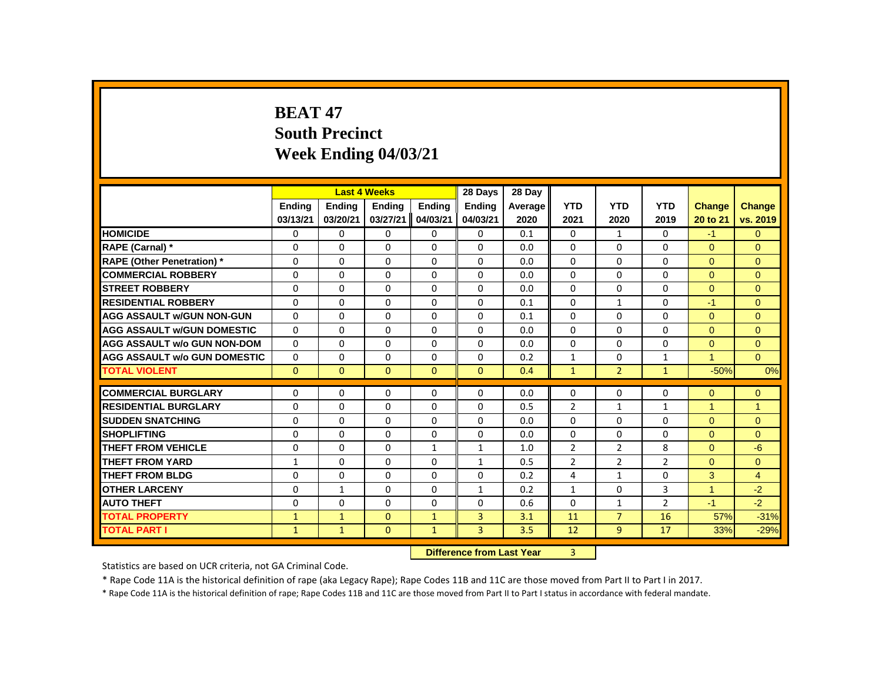# **BEAT 47 South Precinct Week Ending 04/03/21**

|                                     |              |              | <b>Last 4 Weeks</b> |              | 28 Days                   | 28 Day  |                |                |                |                      |                |
|-------------------------------------|--------------|--------------|---------------------|--------------|---------------------------|---------|----------------|----------------|----------------|----------------------|----------------|
|                                     | Ending       | Ending       | <b>Ending</b>       | Ending       | <b>Ending</b>             | Average | <b>YTD</b>     | <b>YTD</b>     | <b>YTD</b>     | <b>Change</b>        | Change         |
|                                     | 03/13/21     | 03/20/21     | 03/27/21            | 04/03/21     | 04/03/21                  | 2020    | 2021           | 2020           | 2019           | 20 to 21             | vs. 2019       |
| <b>HOMICIDE</b>                     | 0            | 0            | 0                   | 0            | 0                         | 0.1     | $\mathbf{0}$   | $\mathbf{1}$   | 0              | $-1$                 | $\mathbf{0}$   |
| RAPE (Carnal) *                     | 0            | $\Omega$     | $\Omega$            | $\Omega$     | $\Omega$                  | 0.0     | 0              | $\Omega$       | $\Omega$       | $\Omega$             | $\Omega$       |
| <b>RAPE (Other Penetration) *</b>   | $\Omega$     | $\Omega$     | $\Omega$            | $\Omega$     | $\Omega$                  | 0.0     | $\Omega$       | $\Omega$       | $\Omega$       | $\Omega$             | $\Omega$       |
| <b>COMMERCIAL ROBBERY</b>           | $\Omega$     | $\Omega$     | $\Omega$            | $\Omega$     | $\Omega$                  | 0.0     | $\Omega$       | $\Omega$       | $\Omega$       | $\Omega$             | $\Omega$       |
| <b>STREET ROBBERY</b>               | $\Omega$     | $\Omega$     | $\Omega$            | $\Omega$     | $\Omega$                  | 0.0     | $\Omega$       | $\Omega$       | $\Omega$       | $\Omega$             | $\Omega$       |
| <b>RESIDENTIAL ROBBERY</b>          | $\Omega$     | $\Omega$     | $\Omega$            | $\Omega$     | $\Omega$                  | 0.1     | $\Omega$       | $\mathbf{1}$   | $\Omega$       | $-1$                 | $\Omega$       |
| <b>AGG ASSAULT W/GUN NON-GUN</b>    | $\Omega$     | $\Omega$     | $\Omega$            | $\Omega$     | $\Omega$                  | 0.1     | 0              | $\Omega$       | $\Omega$       | $\Omega$             | $\Omega$       |
| <b>AGG ASSAULT w/GUN DOMESTIC</b>   | 0            | 0            | $\mathbf 0$         | 0            | 0                         | 0.0     | $\mathbf 0$    | $\Omega$       | 0              | $\overline{0}$       | $\mathbf{0}$   |
| <b>AGG ASSAULT w/o GUN NON-DOM</b>  | $\Omega$     | 0            | $\Omega$            | $\mathbf{0}$ | $\Omega$                  | 0.0     | $\Omega$       | $\mathbf{0}$   | 0              | $\Omega$             | $\mathbf{0}$   |
| <b>AGG ASSAULT W/o GUN DOMESTIC</b> | $\Omega$     | 0            | $\Omega$            | 0            | $\Omega$                  | 0.2     | $\mathbf{1}$   | 0              | $\mathbf{1}$   | $\blacktriangleleft$ | $\Omega$       |
| <b>TOTAL VIOLENT</b>                | $\mathbf{0}$ | $\mathbf{0}$ | $\mathbf{0}$        | $\mathbf{0}$ | $\mathbf{0}$              | 0.4     | $\mathbf{1}$   | $\overline{2}$ | $\mathbf{1}$   | $-50%$               | 0%             |
| <b>COMMERCIAL BURGLARY</b>          | 0            | 0            | 0                   | 0            | 0                         | 0.0     | 0              | 0              | 0              | $\Omega$             | $\mathbf{0}$   |
| <b>RESIDENTIAL BURGLARY</b>         | 0            | 0            | $\Omega$            | $\mathbf{0}$ | 0                         | 0.5     | $\overline{2}$ | $\mathbf{1}$   | $\mathbf{1}$   | $\overline{1}$       | $\overline{1}$ |
| <b>SUDDEN SNATCHING</b>             | $\Omega$     | $\Omega$     | $\Omega$            | $\Omega$     | $\Omega$                  | 0.0     | $\Omega$       | $\Omega$       | $\Omega$       | $\Omega$             | $\Omega$       |
| <b>SHOPLIFTING</b>                  | $\Omega$     | $\Omega$     | $\Omega$            | $\Omega$     | $\Omega$                  | 0.0     | $\Omega$       | $\Omega$       | $\Omega$       | $\Omega$             | $\Omega$       |
| <b>THEFT FROM VEHICLE</b>           | $\Omega$     | $\Omega$     | $\Omega$            | $\mathbf{1}$ | $\mathbf{1}$              | 1.0     | $\overline{2}$ | $\overline{2}$ | 8              | $\Omega$             | $-6$           |
| <b>THEFT FROM YARD</b>              | $\mathbf{1}$ | $\Omega$     | $\Omega$            | $\Omega$     | $\mathbf{1}$              | 0.5     | $\overline{2}$ | $\overline{2}$ | $\overline{2}$ | $\Omega$             | $\Omega$       |
| <b>THEFT FROM BLDG</b>              | $\Omega$     | $\Omega$     | $\Omega$            | $\Omega$     | $\Omega$                  | 0.2     | 4              | $\mathbf{1}$   | $\Omega$       | 3                    | $\overline{4}$ |
| <b>OTHER LARCENY</b>                | 0            | $\mathbf{1}$ | $\Omega$            | $\Omega$     | $\mathbf{1}$              | 0.2     | $\mathbf{1}$   | $\mathbf 0$    | 3              | $\overline{1}$       | $-2$           |
| <b>AUTO THEFT</b>                   | $\Omega$     | $\Omega$     | $\Omega$            | $\Omega$     | $\Omega$                  | 0.6     | $\Omega$       | $\mathbf{1}$   | $\overline{2}$ | $-1$                 | $-2$           |
| <b>TOTAL PROPERTY</b>               | $\mathbf{1}$ | $\mathbf{1}$ | $\mathbf{0}$        | $\mathbf{1}$ | 3                         | 3.1     | 11             | $\overline{7}$ | 16             | 57%                  | $-31%$         |
| <b>TOTAL PART I</b>                 | $\mathbf{1}$ | $\mathbf{1}$ | $\mathbf{0}$        | $\mathbf{1}$ | 3                         | 3.5     | 12             | 9              | 17             | 33%                  | $-29%$         |
|                                     |              |              |                     |              | Difference from Last Year |         | $\overline{a}$ |                |                |                      |                |

 **Difference from Last Year** 3

Statistics are based on UCR criteria, not GA Criminal Code.

\* Rape Code 11A is the historical definition of rape (aka Legacy Rape); Rape Codes 11B and 11C are those moved from Part II to Part I in 2017.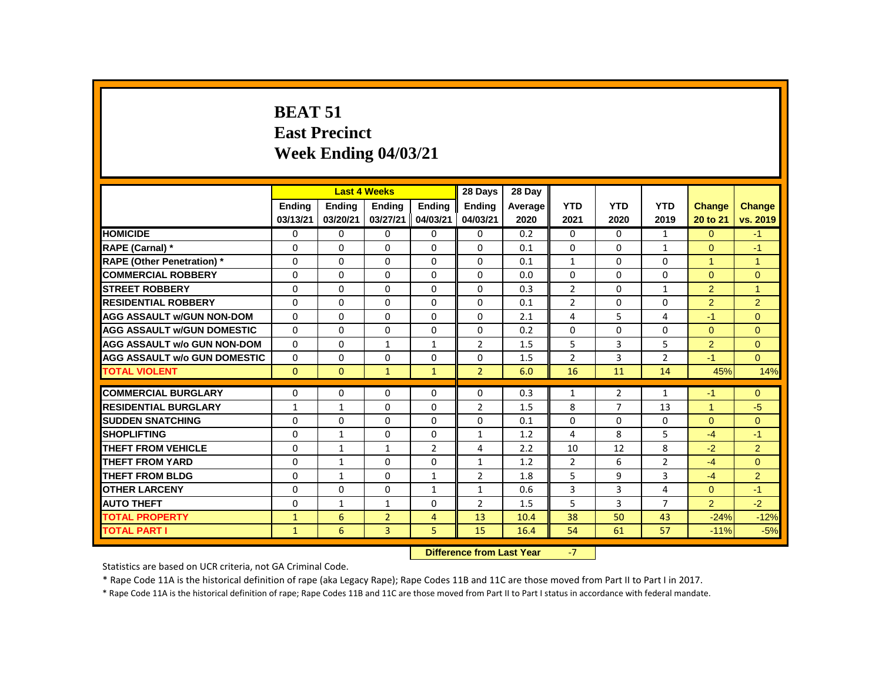# **BEAT 51 East Precinct Week Ending 04/03/21**

|                                     |               | <b>Last 4 Weeks</b> |                |                | 28 Days                                      | 28 Day  |                |                |                |                |                |
|-------------------------------------|---------------|---------------------|----------------|----------------|----------------------------------------------|---------|----------------|----------------|----------------|----------------|----------------|
|                                     | <b>Endina</b> | <b>Ending</b>       | <b>Ending</b>  | <b>Endina</b>  | <b>Ending</b>                                | Average | <b>YTD</b>     | <b>YTD</b>     | <b>YTD</b>     | Change         | <b>Change</b>  |
|                                     | 03/13/21      | 03/20/21            | 03/27/21       | 04/03/21       | 04/03/21                                     | 2020    | 2021           | 2020           | 2019           | 20 to 21       | vs. 2019       |
| <b>HOMICIDE</b>                     | 0             | 0                   | 0              | 0              | $\mathbf{0}$                                 | 0.2     | $\Omega$       | $\Omega$       | $\mathbf{1}$   | $\overline{0}$ | $-1$           |
| RAPE (Carnal) *                     | 0             | $\mathbf{0}$        | 0              | $\mathbf{0}$   | $\Omega$                                     | 0.1     | $\Omega$       | 0              | $\mathbf{1}$   | $\Omega$       | $-1$           |
| <b>RAPE (Other Penetration)</b> *   | 0             | 0                   | 0              | $\mathbf{0}$   | 0                                            | 0.1     | $\mathbf{1}$   | 0              | 0              | 1              | $\mathbf{1}$   |
| <b>COMMERCIAL ROBBERY</b>           | 0             | $\mathbf{0}$        | $\Omega$       | $\Omega$       | 0                                            | 0.0     | $\Omega$       | $\Omega$       | $\Omega$       | $\Omega$       | $\overline{0}$ |
| <b>STREET ROBBERY</b>               | 0             | $\Omega$            | $\Omega$       | $\Omega$       | $\Omega$                                     | 0.3     | $\overline{2}$ | $\Omega$       | $\mathbf{1}$   | 2              | $\overline{1}$ |
| <b>RESIDENTIAL ROBBERY</b>          | 0             | 0                   | $\Omega$       | $\mathbf{0}$   | 0                                            | 0.1     | $\overline{2}$ | 0              | 0              | $\overline{2}$ | 2              |
| <b>AGG ASSAULT w/GUN NON-DOM</b>    | $\Omega$      | $\mathbf{0}$        | $\Omega$       | $\Omega$       | $\Omega$                                     | 2.1     | 4              | 5              | 4              | $-1$           | $\Omega$       |
| <b>AGG ASSAULT W/GUN DOMESTIC</b>   | $\Omega$      | $\Omega$            | $\Omega$       | $\Omega$       | $\Omega$                                     | 0.2     | $\Omega$       | $\Omega$       | $\Omega$       | $\Omega$       | $\Omega$       |
| <b>AGG ASSAULT w/o GUN NON-DOM</b>  | $\Omega$      | $\mathbf{0}$        | $\mathbf{1}$   | $\mathbf{1}$   | $\overline{2}$                               | 1.5     | 5              | 3              | 5              | $\overline{2}$ | $\overline{0}$ |
| <b>AGG ASSAULT w/o GUN DOMESTIC</b> | $\Omega$      | $\Omega$            | $\Omega$       | $\Omega$       | $\Omega$                                     | 1.5     | $\overline{2}$ | 3              | $\mathfrak{p}$ | $-1$           | $\Omega$       |
| <b>TOTAL VIOLENT</b>                | $\mathbf{0}$  | $\mathbf{0}$        | $\mathbf{1}$   | $\mathbf{1}$   | $\overline{2}$                               | 6.0     | 16             | 11             | 14             | 45%            | 14%            |
|                                     |               |                     |                |                |                                              |         |                |                |                |                |                |
| <b>COMMERCIAL BURGLARY</b>          | 0             | $\Omega$            | $\Omega$       | $\Omega$       | $\Omega$                                     | 0.3     | $\mathbf{1}$   | $\overline{2}$ | $\mathbf{1}$   | $-1$           | $\Omega$       |
| <b>RESIDENTIAL BURGLARY</b>         | $\mathbf{1}$  | $\mathbf{1}$        | $\Omega$       | $\Omega$       | $\overline{2}$                               | 1.5     | 8              | $\overline{7}$ | 13             | $\mathbf{1}$   | $-5$           |
| <b>SUDDEN SNATCHING</b>             | 0             | 0                   | 0              | $\mathbf{0}$   | 0                                            | 0.1     | $\Omega$       | 0              | 0              | $\Omega$       | $\mathbf{0}$   |
| <b>SHOPLIFTING</b>                  | 0             | $\mathbf{1}$        | $\Omega$       | $\mathbf{0}$   | $\mathbf{1}$                                 | 1.2     | 4              | 8              | 5              | $-4$           | $-1$           |
| <b>THEFT FROM VEHICLE</b>           | $\Omega$      | $\mathbf{1}$        | $\mathbf{1}$   | $\overline{2}$ | 4                                            | 2.2     | 10             | 12             | 8              | $-2$           | 2              |
| <b>THEFT FROM YARD</b>              | $\Omega$      | $\mathbf{1}$        | $\Omega$       | $\mathbf{0}$   | $\mathbf{1}$                                 | 1.2     | $\overline{2}$ | 6              | $\overline{2}$ | $-4$           | $\Omega$       |
| <b>THEFT FROM BLDG</b>              | 0             | $\mathbf{1}$        | $\Omega$       | $\mathbf{1}$   | $\overline{2}$                               | 1.8     | 5              | 9              | 3              | $-4$           | 2              |
| <b>OTHER LARCENY</b>                | 0             | 0                   | 0              | $\mathbf{1}$   | $\mathbf{1}$                                 | 0.6     | 3              | 3              | 4              | $\overline{0}$ | $-1$           |
| <b>AUTO THEFT</b>                   | 0             | $\mathbf{1}$        | $\mathbf{1}$   | $\mathbf{0}$   | $\overline{2}$                               | 1.5     | 5              | 3              | $\overline{7}$ | $\overline{2}$ | $-2$           |
| <b>TOTAL PROPERTY</b>               | $\mathbf{1}$  | 6                   | $\overline{2}$ | 4              | 13                                           | 10.4    | 38             | 50             | 43             | $-24%$         | $-12%$         |
| <b>TOTAL PART I</b>                 | $\mathbf{1}$  | 6                   | 3              | 5              | 15                                           | 16.4    | 54             | 61             | 57             | $-11%$         | $-5%$          |
|                                     |               |                     |                | <b>PARKER</b>  | and the second contract of the second second |         | $\sim$         |                |                |                |                |

#### **Difference from Last Year** -7

Statistics are based on UCR criteria, not GA Criminal Code.

\* Rape Code 11A is the historical definition of rape (aka Legacy Rape); Rape Codes 11B and 11C are those moved from Part II to Part I in 2017.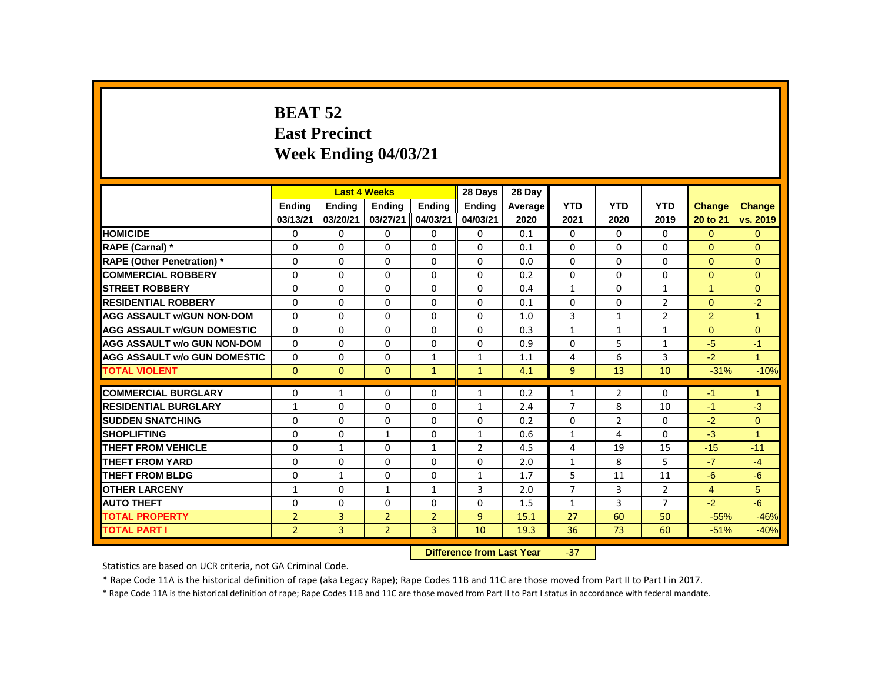# **BEAT 52 East Precinct Week Ending 04/03/21**

|                                     |                |                | <b>Last 4 Weeks</b> |                | 28 Days                   | 28 Day  |                |                |                |                      |                      |
|-------------------------------------|----------------|----------------|---------------------|----------------|---------------------------|---------|----------------|----------------|----------------|----------------------|----------------------|
|                                     | <b>Ending</b>  | <b>Ending</b>  | <b>Ending</b>       | <b>Ending</b>  | <b>Ending</b>             | Average | <b>YTD</b>     | <b>YTD</b>     | <b>YTD</b>     | Change               | <b>Change</b>        |
|                                     | 03/13/21       | 03/20/21       | 03/27/21            | 04/03/21       | 04/03/21                  | 2020    | 2021           | 2020           | 2019           | 20 to 21             | vs. 2019             |
| <b>HOMICIDE</b>                     | 0              | 0              | 0                   | $\mathbf{0}$   | 0                         | 0.1     | $\mathbf{0}$   | $\Omega$       | $\mathbf{0}$   | $\Omega$             | $\mathbf{0}$         |
| RAPE (Carnal) *                     | 0              | 0              | 0                   | $\mathbf{0}$   | 0                         | 0.1     | $\Omega$       | 0              | $\Omega$       | $\Omega$             | $\Omega$             |
| <b>RAPE (Other Penetration)</b> *   | 0              | $\mathbf{0}$   | $\Omega$            | $\mathbf{0}$   | 0                         | 0.0     | $\Omega$       | $\mathbf{0}$   | $\Omega$       | $\Omega$             | $\overline{0}$       |
| <b>COMMERCIAL ROBBERY</b>           | $\Omega$       | $\mathbf{0}$   | $\Omega$            | $\mathbf{0}$   | $\Omega$                  | 0.2     | $\Omega$       | $\Omega$       | $\Omega$       | $\Omega$             | $\Omega$             |
| <b>STREET ROBBERY</b>               | 0              | 0              | $\Omega$            | $\Omega$       | $\Omega$                  | 0.4     | $\mathbf{1}$   | 0              | $\mathbf{1}$   | $\blacktriangleleft$ | $\Omega$             |
| <b>RESIDENTIAL ROBBERY</b>          | 0              | $\Omega$       | $\Omega$            | $\Omega$       | $\Omega$                  | 0.1     | $\Omega$       | $\Omega$       | $\overline{2}$ | $\Omega$             | $-2$                 |
| <b>AGG ASSAULT w/GUN NON-DOM</b>    | 0              | $\Omega$       | $\Omega$            | $\Omega$       | $\Omega$                  | 1.0     | 3              | $\mathbf{1}$   | $\overline{2}$ | 2                    | $\mathbf{1}$         |
| <b>AGG ASSAULT W/GUN DOMESTIC</b>   | $\Omega$       | $\mathbf{0}$   | $\Omega$            | $\mathbf{0}$   | $\Omega$                  | 0.3     | $\mathbf{1}$   | $\mathbf{1}$   | $\mathbf{1}$   | $\Omega$             | $\overline{0}$       |
| <b>AGG ASSAULT w/o GUN NON-DOM</b>  | $\Omega$       | $\Omega$       | $\Omega$            | $\Omega$       | $\Omega$                  | 0.9     | $\Omega$       | 5              | $\mathbf{1}$   | $-5$                 | $-1$                 |
| <b>AGG ASSAULT w/o GUN DOMESTIC</b> | 0              | $\mathbf{0}$   | 0                   | $\mathbf{1}$   | 1                         | 1.1     | 4              | 6              | 3              | $-2$                 | $\mathbf{1}$         |
| <b>TOTAL VIOLENT</b>                | $\Omega$       | $\mathbf{0}$   | $\mathbf{0}$        | $\mathbf{1}$   | $\mathbf{1}$              | 4.1     | 9              | 13             | 10             | $-31%$               | $-10%$               |
| <b>COMMERCIAL BURGLARY</b>          | 0              | $\mathbf{1}$   | $\Omega$            | $\Omega$       | $\mathbf{1}$              | 0.2     | $\mathbf{1}$   | $\overline{2}$ | $\Omega$       | $-1$                 | $\blacktriangleleft$ |
| <b>RESIDENTIAL BURGLARY</b>         | $\mathbf{1}$   | 0              | 0                   | $\mathbf{0}$   | $\mathbf{1}$              | 2.4     | $\overline{7}$ | 8              | 10             | $-1$                 | $-3$                 |
| <b>SUDDEN SNATCHING</b>             | 0              | 0              | $\Omega$            | $\mathbf{0}$   | $\Omega$                  | 0.2     | $\Omega$       | $\overline{2}$ | $\Omega$       | $-2$                 | $\Omega$             |
| <b>SHOPLIFTING</b>                  | 0              | $\Omega$       | 1                   | $\Omega$       | $\mathbf{1}$              | 0.6     | $\mathbf{1}$   | 4              | 0              | $-3$                 | $\overline{1}$       |
| <b>THEFT FROM VEHICLE</b>           | $\Omega$       | $\mathbf{1}$   | $\Omega$            | $\mathbf{1}$   | $\mathcal{P}$             | 4.5     | 4              | 19             | 15             | $-15$                | $-11$                |
| <b>THEFT FROM YARD</b>              | 0              | 0              | 0                   | $\mathbf{0}$   | 0                         | 2.0     | $\mathbf{1}$   | 8              | 5              | $-7$                 | $-4$                 |
| <b>THEFT FROM BLDG</b>              | 0              | $\mathbf{1}$   | 0                   | $\mathbf{0}$   | $\mathbf{1}$              | 1.7     | 5              | 11             | 11             | $-6$                 | $-6$                 |
| <b>OTHER LARCENY</b>                | 1              | $\mathbf 0$    | $\mathbf{1}$        | $\mathbf{1}$   | 3                         | 2.0     | $\overline{7}$ | 3              | $\overline{2}$ | $\overline{4}$       | 5                    |
| <b>AUTO THEFT</b>                   | $\Omega$       | $\Omega$       | $\Omega$            | $\mathbf{0}$   | $\Omega$                  | 1.5     | $\mathbf{1}$   | 3              | $\overline{7}$ | $-2$                 | $-6$                 |
| <b>TOTAL PROPERTY</b>               | $\overline{2}$ | $\overline{3}$ | $\overline{2}$      | $\overline{2}$ | $\overline{9}$            | 15.1    | 27             | 60             | 50             | $-55%$               | $-46%$               |
| <b>TOTAL PART I</b>                 | $\overline{2}$ | 3              | $\overline{2}$      | 3              | 10                        | 19.3    | 36             | 73             | 60             | $-51%$               | $-40%$               |
|                                     |                |                |                     |                | Difference from Loot Vear |         | 27             |                |                |                      |                      |

**Difference from Last Year**  $-37$ 

Statistics are based on UCR criteria, not GA Criminal Code.

\* Rape Code 11A is the historical definition of rape (aka Legacy Rape); Rape Codes 11B and 11C are those moved from Part II to Part I in 2017.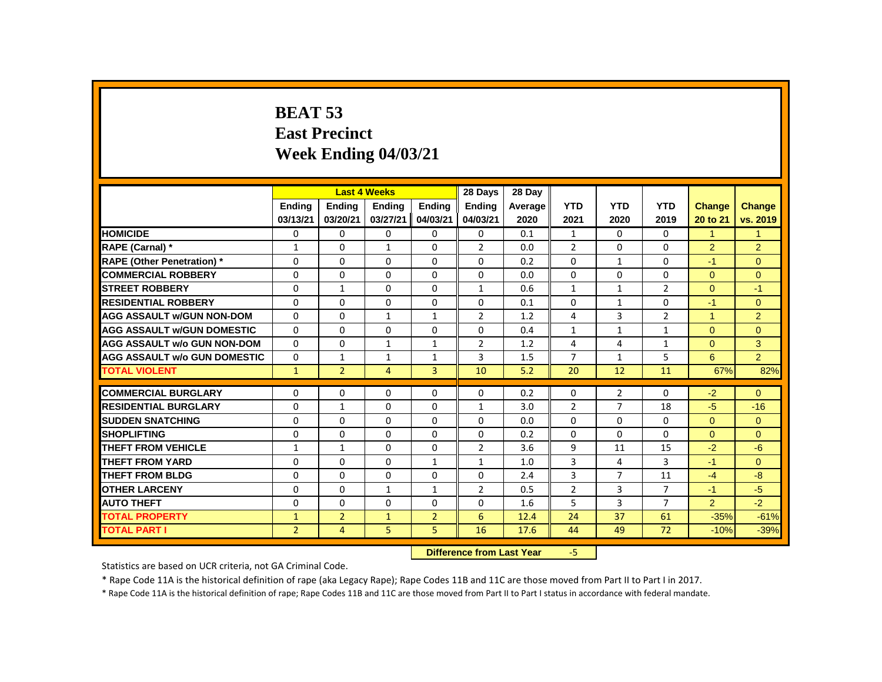# **BEAT 53 East Precinct Week Ending 04/03/21**

|                                     |                |                | <b>Last 4 Weeks</b> |                | 28 Days                   | 28 Dav  |                |                |                |                      |                |
|-------------------------------------|----------------|----------------|---------------------|----------------|---------------------------|---------|----------------|----------------|----------------|----------------------|----------------|
|                                     | <b>Ending</b>  | <b>Ending</b>  | <b>Ending</b>       | <b>Ending</b>  | <b>Ending</b>             | Average | <b>YTD</b>     | <b>YTD</b>     | <b>YTD</b>     | <b>Change</b>        | <b>Change</b>  |
|                                     | 03/13/21       | 03/20/21       | 03/27/21            | 04/03/21       | 04/03/21                  | 2020    | 2021           | 2020           | 2019           | 20 to 21             | vs. 2019       |
| <b>HOMICIDE</b>                     | 0              | $\Omega$       | $\Omega$            | $\mathbf{0}$   | $\mathbf 0$               | 0.1     | $\mathbf{1}$   | $\Omega$       | $\mathbf{0}$   | $\mathbf{1}$         | $\mathbf{1}$   |
| RAPE (Carnal) *                     | 1              | $\Omega$       | $\mathbf{1}$        | $\Omega$       | $\overline{2}$            | 0.0     | $\overline{2}$ | $\Omega$       | $\Omega$       | $\overline{2}$       | $\overline{2}$ |
| <b>RAPE (Other Penetration)</b> *   | $\Omega$       | $\Omega$       | $\Omega$            | $\Omega$       | $\Omega$                  | 0.2     | $\Omega$       | $\mathbf{1}$   | $\Omega$       | $-1$                 | $\Omega$       |
| <b>COMMERCIAL ROBBERY</b>           | $\mathbf{0}$   | $\Omega$       | $\Omega$            | $\Omega$       | $\Omega$                  | 0.0     | $\Omega$       | $\Omega$       | $\Omega$       | $\Omega$             | $\overline{0}$ |
| <b>STREET ROBBERY</b>               | $\Omega$       | $\mathbf{1}$   | $\Omega$            | $\Omega$       | $\mathbf{1}$              | 0.6     | $\mathbf{1}$   | $\mathbf{1}$   | $\overline{2}$ | $\Omega$             | $-1$           |
| <b>RESIDENTIAL ROBBERY</b>          | $\Omega$       | $\Omega$       | $\Omega$            | $\Omega$       | $\Omega$                  | 0.1     | $\Omega$       | $\mathbf{1}$   | $\Omega$       | $-1$                 | $\Omega$       |
| <b>AGG ASSAULT W/GUN NON-DOM</b>    | $\Omega$       | $\Omega$       | $\mathbf{1}$        | $\mathbf{1}$   | $\overline{2}$            | 1.2     | 4              | 3              | $\overline{2}$ | $\blacktriangleleft$ | $\overline{2}$ |
| <b>AGG ASSAULT W/GUN DOMESTIC</b>   | $\Omega$       | $\Omega$       | $\Omega$            | $\Omega$       | $\Omega$                  | 0.4     | $\mathbf{1}$   | $\mathbf{1}$   | $\mathbf{1}$   | $\mathbf{0}$         | $\pmb{0}$      |
| <b>AGG ASSAULT w/o GUN NON-DOM</b>  | $\Omega$       | $\Omega$       | $\mathbf{1}$        | $\mathbf{1}$   | $\overline{2}$            | 1.2     | 4              | 4              | $\mathbf{1}$   | $\Omega$             | 3              |
| <b>AGG ASSAULT W/o GUN DOMESTIC</b> | 0              | $\mathbf{1}$   | $\mathbf{1}$        | $\mathbf{1}$   | 3                         | 1.5     | $\overline{7}$ | $\mathbf{1}$   | 5              | 6                    | $\overline{2}$ |
| <b>TOTAL VIOLENT</b>                | $\mathbf{1}$   | $\overline{2}$ | $\overline{4}$      | $\overline{3}$ | 10                        | 5.2     | 20             | 12             | 11             | 67%                  | 82%            |
| <b>COMMERCIAL BURGLARY</b>          | 0              | 0              | $\Omega$            | $\Omega$       | $\Omega$                  | 0.2     | $\Omega$       | $\overline{2}$ | $\Omega$       | $-2$                 | $\overline{0}$ |
| <b>RESIDENTIAL BURGLARY</b>         | 0              | $\mathbf{1}$   | $\Omega$            | $\Omega$       | $\mathbf{1}$              | 3.0     | $\overline{2}$ | $\overline{7}$ | 18             | $-5$                 | $-16$          |
| <b>SUDDEN SNATCHING</b>             | $\Omega$       | $\Omega$       | $\Omega$            | $\Omega$       | $\Omega$                  | 0.0     | $\Omega$       | $\Omega$       | $\Omega$       | $\Omega$             | $\overline{0}$ |
| <b>SHOPLIFTING</b>                  | $\mathbf{0}$   | $\Omega$       | $\Omega$            | $\Omega$       | $\Omega$                  | 0.2     | $\Omega$       | $\Omega$       | $\Omega$       | $\Omega$             | $\Omega$       |
| <b>THEFT FROM VEHICLE</b>           | $\mathbf{1}$   | $\mathbf{1}$   | $\Omega$            | $\Omega$       | $\overline{2}$            | 3.6     | 9              | 11             | 15             | $-2$                 | $-6$           |
| <b>THEFT FROM YARD</b>              | 0              | 0              | 0                   | 1              | 1                         | 1.0     | 3              | 4              | 3              | $-1$                 | $\Omega$       |
| <b>THEFT FROM BLDG</b>              | $\Omega$       | $\Omega$       | $\Omega$            | $\Omega$       | 0                         | 2.4     | 3              | $\overline{7}$ | 11             | $-4$                 | $-8$           |
| <b>OTHER LARCENY</b>                | $\mathbf{0}$   | $\Omega$       | $\mathbf{1}$        | $\mathbf{1}$   | $\overline{2}$            | 0.5     | $\overline{2}$ | 3              | $\overline{7}$ | $-1$                 | $-5$           |
| <b>AUTO THEFT</b>                   | $\mathbf{0}$   | $\Omega$       | $\Omega$            | $\Omega$       | $\Omega$                  | 1.6     | 5              | $\overline{3}$ | $\overline{7}$ | $\overline{2}$       | $-2$           |
| <b>TOTAL PROPERTY</b>               | $\mathbf{1}$   | $\overline{2}$ | $\mathbf{1}$        | $\overline{2}$ | 6                         | 12.4    | 24             | 37             | 61             | $-35%$               | $-61%$         |
| <b>TOTAL PART I</b>                 | $\overline{2}$ | $\overline{4}$ | 5                   | 5.             | 16                        | 17.6    | 44             | 49             | 72             | $-10%$               | $-39%$         |
|                                     |                |                |                     |                | Difference from Last Vear |         | LE.            |                |                |                      |                |

 **Difference from Last Year** -5

Statistics are based on UCR criteria, not GA Criminal Code.

\* Rape Code 11A is the historical definition of rape (aka Legacy Rape); Rape Codes 11B and 11C are those moved from Part II to Part I in 2017.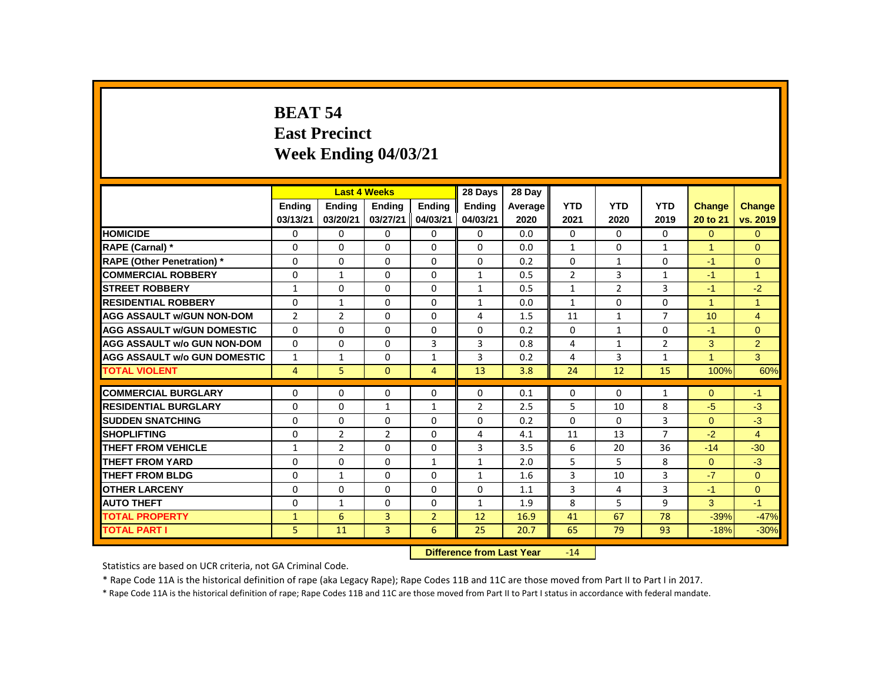# **BEAT 54 East Precinct Week Ending 04/03/21**

|                                     |                |                | <b>Last 4 Weeks</b> |                | 28 Days                   | 28 Day  |                |                |                |                      |                |
|-------------------------------------|----------------|----------------|---------------------|----------------|---------------------------|---------|----------------|----------------|----------------|----------------------|----------------|
|                                     | <b>Ending</b>  | <b>Ending</b>  | <b>Ending</b>       | <b>Ending</b>  | <b>Ending</b>             | Average | <b>YTD</b>     | <b>YTD</b>     | <b>YTD</b>     | Change               | <b>Change</b>  |
|                                     | 03/13/21       | 03/20/21       | 03/27/21            | 04/03/21       | 04/03/21                  | 2020    | 2021           | 2020           | 2019           | 20 to 21             | vs. 2019       |
| <b>HOMICIDE</b>                     | 0              | 0              | 0                   | $\mathbf{0}$   | 0                         | 0.0     | $\mathbf{0}$   | $\Omega$       | $\mathbf{0}$   | $\overline{0}$       | $\mathbf{0}$   |
| RAPE (Carnal) *                     | 0              | 0              | 0                   | $\mathbf{0}$   | 0                         | 0.0     | $\mathbf{1}$   | 0              | $\mathbf{1}$   | 1                    | $\Omega$       |
| <b>RAPE (Other Penetration)</b> *   | 0              | 0              | 0                   | $\mathbf{0}$   | 0                         | 0.2     | $\mathbf{0}$   | $\mathbf{1}$   | 0              | $-1$                 | $\mathbf{0}$   |
| <b>COMMERCIAL ROBBERY</b>           | $\Omega$       | $\mathbf{1}$   | $\Omega$            | $\mathbf{0}$   | $\mathbf{1}$              | 0.5     | $\overline{2}$ | 3              | $\mathbf{1}$   | $-1$                 | $\overline{1}$ |
| <b>STREET ROBBERY</b>               | $\mathbf{1}$   | 0              | $\Omega$            | 0              | $\mathbf{1}$              | 0.5     | $\mathbf{1}$   | $\overline{2}$ | 3              | $-1$                 | $-2$           |
| <b>RESIDENTIAL ROBBERY</b>          | 0              | $\mathbf{1}$   | $\Omega$            | $\Omega$       | $\mathbf{1}$              | 0.0     | $\mathbf{1}$   | $\Omega$       | $\Omega$       | 1                    | $\mathbf{1}$   |
| <b>AGG ASSAULT w/GUN NON-DOM</b>    | $\overline{2}$ | $\overline{2}$ | $\Omega$            | $\Omega$       | 4                         | 1.5     | 11             | $\mathbf{1}$   | $\overline{7}$ | 10                   | $\overline{4}$ |
| <b>AGG ASSAULT W/GUN DOMESTIC</b>   | $\Omega$       | $\mathbf{0}$   | $\Omega$            | $\mathbf{0}$   | $\Omega$                  | 0.2     | $\Omega$       | $\mathbf{1}$   | $\Omega$       | $-1$                 | $\overline{0}$ |
| <b>AGG ASSAULT w/o GUN NON-DOM</b>  | $\Omega$       | $\Omega$       | $\Omega$            | 3              | 3                         | 0.8     | 4              | $\mathbf{1}$   | $\overline{2}$ | 3                    | $\overline{2}$ |
| <b>AGG ASSAULT w/o GUN DOMESTIC</b> | $\mathbf{1}$   | $\mathbf{1}$   | 0                   | $\mathbf{1}$   | 3                         | 0.2     | 4              | 3              | $\mathbf{1}$   | $\blacktriangleleft$ | 3              |
| <b>TOTAL VIOLENT</b>                | 4              | 5              | $\mathbf{0}$        | $\overline{4}$ | 13                        | 3.8     | 24             | 12             | 15             | 100%                 | 60%            |
| <b>COMMERCIAL BURGLARY</b>          | 0              | $\Omega$       | $\Omega$            | 0              | $\Omega$                  | 0.1     | 0              | 0              | $\mathbf{1}$   | $\Omega$             | $-1$           |
| <b>RESIDENTIAL BURGLARY</b>         | 0              | 0              | 1                   | $\mathbf{1}$   | $\overline{2}$            | 2.5     | 5              | 10             | 8              | $-5$                 | $-3$           |
| <b>SUDDEN SNATCHING</b>             | 0              | 0              | $\Omega$            | $\mathbf{0}$   | $\Omega$                  | 0.2     | $\Omega$       | $\Omega$       | 3              | $\Omega$             | $-3$           |
| <b>SHOPLIFTING</b>                  | 0              | $\overline{2}$ | $\overline{2}$      | $\Omega$       | 4                         | 4.1     | 11             | 13             | $\overline{7}$ | $-2$                 | $\overline{4}$ |
| <b>THEFT FROM VEHICLE</b>           | $\mathbf{1}$   | $\overline{2}$ | $\Omega$            | $\Omega$       | $\overline{3}$            | 3.5     | 6              | 20             | 36             | $-14$                | $-30$          |
| <b>THEFT FROM YARD</b>              | 0              | 0              | 0                   | $\mathbf{1}$   | $\mathbf{1}$              | 2.0     | 5              | 5              | 8              | $\overline{0}$       | $-3$           |
| <b>THEFT FROM BLDG</b>              | 0              | $\mathbf{1}$   | 0                   | $\mathbf{0}$   | $\mathbf{1}$              | 1.6     | 3              | 10             | 3              | $-7$                 | $\Omega$       |
| <b>OTHER LARCENY</b>                | 0              | $\mathbf 0$    | $\Omega$            | $\Omega$       | $\Omega$                  | 1.1     | 3              | 4              | 3              | $-1$                 | $\overline{0}$ |
| <b>AUTO THEFT</b>                   | $\Omega$       | $\mathbf{1}$   | $\Omega$            | $\mathbf{0}$   | $\mathbf{1}$              | 1.9     | 8              | 5              | 9              | 3                    | $-1$           |
| <b>TOTAL PROPERTY</b>               | $\mathbf{1}$   | 6              | 3                   | $\overline{2}$ | 12                        | 16.9    | 41             | 67             | 78             | $-39%$               | $-47%$         |
| <b>TOTAL PART I</b>                 | 5              | 11             | 3                   | 6              | 25                        | 20.7    | 65             | 79             | 93             | $-18%$               | $-30%$         |
|                                     |                |                |                     |                | Difference from Loot Vear |         | 11             |                |                |                      |                |

**Difference from Last Year** 

Statistics are based on UCR criteria, not GA Criminal Code.

\* Rape Code 11A is the historical definition of rape (aka Legacy Rape); Rape Codes 11B and 11C are those moved from Part II to Part I in 2017.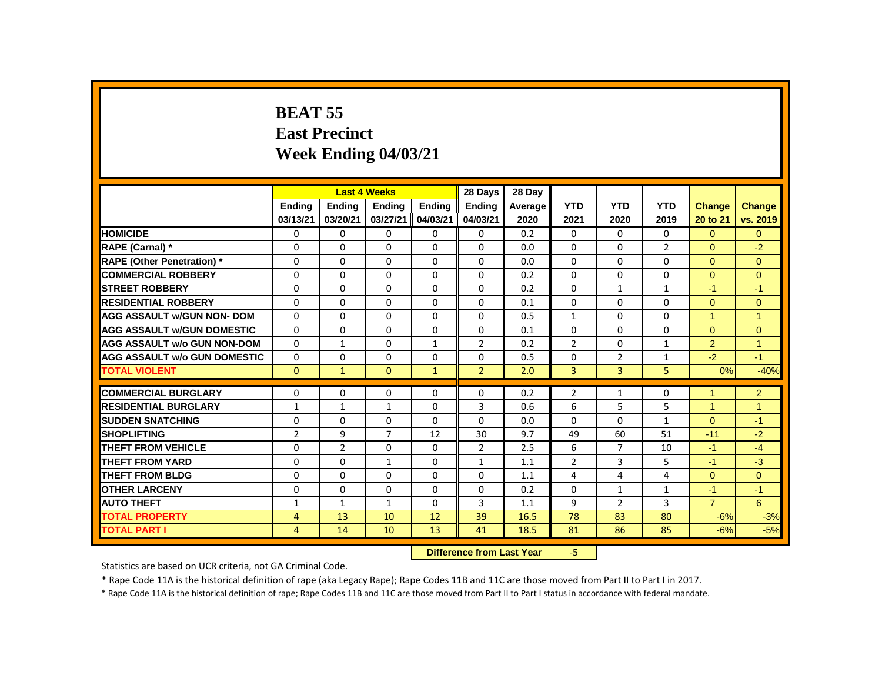# **BEAT 55 East Precinct Week Ending 04/03/21**

|                                     |                |                | <b>Last 4 Weeks</b> |              | 28 Days                   | 28 Day  |                |                |                |                      |                |
|-------------------------------------|----------------|----------------|---------------------|--------------|---------------------------|---------|----------------|----------------|----------------|----------------------|----------------|
|                                     | Ending         | Ending         | <b>Ending</b>       | Ending       | Ending                    | Average | <b>YTD</b>     | <b>YTD</b>     | <b>YTD</b>     | <b>Change</b>        | <b>Change</b>  |
|                                     | 03/13/21       | 03/20/21       | 03/27/21            | 04/03/21     | 04/03/21                  | 2020    | 2021           | 2020           | 2019           | 20 to 21             | vs. 2019       |
| <b>HOMICIDE</b>                     | 0              | 0              | $\mathbf 0$         | 0            | 0                         | 0.2     | 0              | $\mathbf{0}$   | $\mathbf{0}$   | $\overline{0}$       | $\overline{0}$ |
| <b>RAPE (Carnal)</b> *              | 0              | $\Omega$       | 0                   | 0            | $\Omega$                  | 0.0     | $\Omega$       | $\Omega$       | $\overline{2}$ | $\Omega$             | $-2$           |
| <b>RAPE (Other Penetration)</b> *   | 0              | $\Omega$       | $\Omega$            | $\mathbf{0}$ | $\Omega$                  | 0.0     | $\Omega$       | $\Omega$       | $\Omega$       | $\Omega$             | $\mathbf{0}$   |
| <b>COMMERCIAL ROBBERY</b>           | 0              | $\Omega$       | $\Omega$            | $\mathbf 0$  | $\mathbf{0}$              | 0.2     | $\Omega$       | $\Omega$       | $\Omega$       | $\Omega$             | $\mathbf{0}$   |
| <b>STREET ROBBERY</b>               | $\Omega$       | $\Omega$       | $\Omega$            | 0            | 0                         | 0.2     | $\Omega$       | $\mathbf{1}$   | $\mathbf{1}$   | $-1$                 | $-1$           |
| <b>RESIDENTIAL ROBBERY</b>          | 0              | 0              | $\Omega$            | $\mathbf 0$  | 0                         | 0.1     | 0              | $\mathbf{0}$   | 0              | $\Omega$             | $\mathbf{0}$   |
| <b>AGG ASSAULT w/GUN NON- DOM</b>   | 0              | $\Omega$       | 0                   | $\Omega$     | $\Omega$                  | 0.5     | $\mathbf{1}$   | $\Omega$       | $\Omega$       | $\blacktriangleleft$ | $\overline{1}$ |
| <b>AGG ASSAULT W/GUN DOMESTIC</b>   | 0              | $\Omega$       | $\Omega$            | $\Omega$     | $\Omega$                  | 0.1     | $\Omega$       | $\Omega$       | $\Omega$       | $\Omega$             | $\overline{0}$ |
| <b>AGG ASSAULT w/o GUN NON-DOM</b>  | $\Omega$       | $\mathbf{1}$   | $\Omega$            | $\mathbf{1}$ | $\overline{2}$            | 0.2     | $\overline{2}$ | $\Omega$       | $\mathbf{1}$   | $\overline{2}$       | $\overline{1}$ |
| <b>AGG ASSAULT w/o GUN DOMESTIC</b> | 0              | $\Omega$       | 0                   | 0            | 0                         | 0.5     | $\Omega$       | $\overline{2}$ | 1              | $-2$                 | $-1$           |
| <b>TOTAL VIOLENT</b>                | $\Omega$       | $\mathbf{1}$   | $\Omega$            | $\mathbf{1}$ | $\overline{2}$            | 2.0     | $\overline{3}$ | $\overline{3}$ | 5              | 0%                   | $-40%$         |
| <b>COMMERCIAL BURGLARY</b>          | 0              | $\Omega$       | 0                   | $\Omega$     | 0                         | 0.2     | $\overline{2}$ | $\mathbf{1}$   | $\Omega$       | -1                   | 2              |
| <b>RESIDENTIAL BURGLARY</b>         | $\mathbf{1}$   | $\mathbf{1}$   | $\mathbf{1}$        | $\Omega$     | 3                         | 0.6     | 6              | 5              | 5              | $\blacktriangleleft$ | $\overline{1}$ |
| <b>SUDDEN SNATCHING</b>             | 0              | $\Omega$       | $\mathbf 0$         | $\mathbf{0}$ | $\Omega$                  | 0.0     | $\mathbf{0}$   | $\Omega$       | $\mathbf{1}$   | $\Omega$             | $-1$           |
| <b>SHOPLIFTING</b>                  | $\overline{2}$ | 9              | $\overline{7}$      | 12           | 30                        | 9.7     | 49             | 60             | 51             | $-11$                | $-2$           |
| <b>THEFT FROM VEHICLE</b>           | $\Omega$       | $\overline{2}$ | $\Omega$            | $\Omega$     | $\overline{2}$            | 2.5     | 6              | $\overline{7}$ | 10             | $-1$                 | $-4$           |
| <b>THEFT FROM YARD</b>              | 0              | 0              | $\mathbf{1}$        | 0            | $\mathbf{1}$              | 1.1     | $\overline{2}$ | 3              | 5              | $-1$                 | $-3$           |
| <b>THEFT FROM BLDG</b>              | 0              | $\Omega$       | $\Omega$            | $\Omega$     | $\Omega$                  | 1.1     | 4              | 4              | 4              | $\Omega$             | $\Omega$       |
| <b>OTHER LARCENY</b>                | 0              | 0              | $\mathbf 0$         | $\mathbf 0$  | $\mathbf 0$               | 0.2     | 0              | $\mathbf{1}$   | $\mathbf{1}$   | $-1$                 | $-1$           |
| <b>AUTO THEFT</b>                   | $\mathbf{1}$   | $\mathbf{1}$   | $\mathbf{1}$        | $\Omega$     | 3                         | 1.1     | 9              | $\overline{2}$ | $\overline{3}$ | $\overline{7}$       | 6              |
| <b>TOTAL PROPERTY</b>               | $\overline{4}$ | 13             | 10                  | 12           | 39                        | 16.5    | 78             | 83             | 80             | $-6%$                | $-3%$          |
| <b>TOTAL PART I</b>                 | $\overline{4}$ | 14             | 10                  | 13           | 41                        | 18.5    | 81             | 86             | 85             | $-6%$                | $-5%$          |
|                                     |                |                |                     |              | Difference from Last Vear |         | -51            |                |                |                      |                |

**Difference from Last Year** 

Statistics are based on UCR criteria, not GA Criminal Code.

\* Rape Code 11A is the historical definition of rape (aka Legacy Rape); Rape Codes 11B and 11C are those moved from Part II to Part I in 2017.